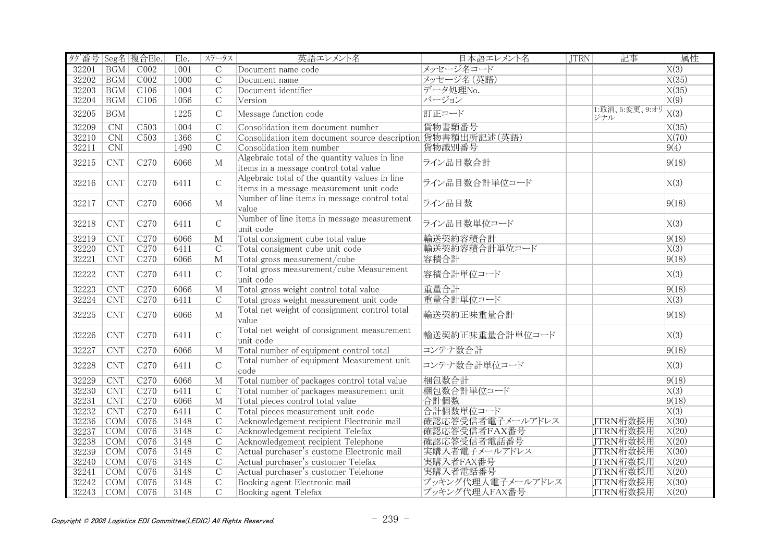| タグ番号 Seg名 複合Ele. |                             |                  | Ele. | ステータス                   | 英語エレメント名                                                                                   | 日本語エレメント名         | <b>JTRN</b> | 記事                    | 属性                 |
|------------------|-----------------------------|------------------|------|-------------------------|--------------------------------------------------------------------------------------------|-------------------|-------------|-----------------------|--------------------|
| 32201            | <b>BGM</b>                  | CO <sub>02</sub> | 1001 | $\overline{C}$          | Document name code                                                                         | メッセージ名コード         |             |                       | X(3)               |
| 32202            | <b>BGM</b>                  | COO2             | 1000 | $\overline{C}$          | Document name                                                                              | メッセージ名 (英語)       |             |                       | X(35)              |
| 32203            | <b>BGM</b>                  | C106             | 1004 | $\overline{C}$          | Document identifier                                                                        | データ処理No.          |             |                       | X(35)              |
| 32204            | <b>BGM</b>                  | C106             | 1056 | $\mathcal{C}$           | Version                                                                                    | バージョン             |             |                       | $\overline{X(9)}$  |
| 32205            | <b>BGM</b>                  |                  | 1225 | $\mathcal{C}$           | Message function code                                                                      | 訂正コード             |             | 1:取消、5:変更、9:オリ<br>ジナル | X(3)               |
| 32209            | $\overline{\text{CNI}}$     | C <sub>503</sub> | 1004 | $\overline{C}$          | Consolidation item document number                                                         | 貨物書類番号            |             |                       | X(35)              |
| 32210            | CNI                         | C503             | 1366 | $\mathcal{C}$           | Consolidation item document source description 貨物書類出所記述(英語)                                |                   |             |                       | $\overline{X(70)}$ |
| 32211            | $\overline{\text{CNI}}$     |                  | 1490 | $\overline{C}$          | Consolidation item number                                                                  | 貨物識別番号            |             |                       | 9(4)               |
| 32215            | <b>CNT</b>                  | C <sub>270</sub> | 6066 | $\mathbf{M}$            | Algebraic total of the quantity values in line<br>items in a message control total value   | ライン品目数合計          |             |                       | 9(18)              |
| 32216            | <b>CNT</b>                  | C <sub>270</sub> | 6411 | $\overline{C}$          | Algebraic total of the quantity values in line<br>items in a message measurement unit code | ライン品目数合計単位コード     |             |                       | X(3)               |
| 32217            | <b>CNT</b>                  | C <sub>270</sub> | 6066 | M                       | Number of line items in message control total<br>value                                     | ライン品目数            |             |                       | 9(18)              |
| 32218            | <b>CNT</b>                  | C <sub>270</sub> | 6411 | $\mathsf C$             | Number of line items in message measurement<br>unit code                                   | ライン品目数単位コード       |             |                       | X(3)               |
| 32219            | <b>CNT</b>                  | C270             | 6066 | $\overline{\mathbf{M}}$ | Total consigment cube total value                                                          | 輸送契約容積合計          |             |                       | 9(18)              |
| 32220            | CNT                         | C <sub>270</sub> | 6411 | $\mathcal{C}$           | Total consigment cube unit code                                                            | 輸送契約容積合計単位コード     |             |                       | X(3)               |
| 32221            | $\ensuremath{\mathrm{CNT}}$ | C <sub>270</sub> | 6066 | $\mathbf{M}$            | Total gross measurement/cube                                                               | 容積合計              |             |                       | 9(18)              |
| 32222            | <b>CNT</b>                  | C <sub>270</sub> | 6411 | $\mathsf{C}$            | Total gross measurement/cube Measurement<br>unit code                                      | 容積合計単位コード         |             |                       | X(3)               |
| 32223            | CNT                         | C <sub>270</sub> | 6066 | $\overline{M}$          | Total gross weight control total value                                                     | 重量合計              |             |                       | 9(18)              |
| 32224            | CNT                         | C270             | 6411 | $\mathcal{C}$           | Total gross weight measurement unit code                                                   | 重量合計単位コード         |             |                       | $\overline{X(3)}$  |
| 32225            | <b>CNT</b>                  | C <sub>270</sub> | 6066 | M                       | Total net weight of consignment control total<br>value                                     | 輸送契約正味重量合計        |             |                       | 9(18)              |
| 32226            | <b>CNT</b>                  | C <sub>270</sub> | 6411 | $\mathcal{C}$           | Total net weight of consignment measurement<br>unit code                                   | 輸送契約正味重量合計単位コード   |             |                       | X(3)               |
| 32227            | <b>CNT</b>                  | C <sub>270</sub> | 6066 | M                       | Total number of equipment control total                                                    | コンテナ数合計           |             |                       | 9(18)              |
| 32228            | <b>CNT</b>                  | C <sub>270</sub> | 6411 | $\mathsf{C}$            | Total number of equipment Measurement unit<br>code                                         | コンテナ数合計単位コード      |             |                       | X(3)               |
| 32229            | <b>CNT</b>                  | C <sub>270</sub> | 6066 | M                       | Total number of packages control total value                                               | 梱包数合計             |             |                       | 9(18)              |
| 32230            | CNT                         | C <sub>270</sub> | 6411 | $\mathcal{C}$           | Total number of packages measurement unit                                                  | 梱包数合計単位コード        |             |                       | $\overline{X(3)}$  |
| 32231            | CNT                         | C <sub>270</sub> | 6066 | $\mathbf{M}$            | Total pieces control total value                                                           | 合計個数              |             |                       | 9(18)              |
| 32232            | <b>CNT</b>                  | C <sub>270</sub> | 6411 | $\overline{C}$          | Total pieces measurement unit code                                                         | 合計個数単位コード         |             |                       | $\overline{X(3)}$  |
| 32236            | <b>COM</b>                  | C076             | 3148 | $\overline{C}$          | Acknowledgement recipient Electronic mail                                                  | 確認応答受信者電子メールアドレス  |             | JTRN桁数採用              | X(30)              |
| 32237            | COM                         | CO76             | 3148 | $\overline{C}$          | Acknowledgement recipient Telefax                                                          | 確認応答受信者FAX番号      |             | JTRN桁数採用              | X(20)              |
| 32238            | COM                         | CO76             | 3148 | $\overline{C}$          | Acknowledgement recipient Telephone                                                        | 確認応答受信者電話番号       |             | JTRN桁数採用              | X(20)              |
| 32239            | COM                         | CO76             | 3148 | $\overline{C}$          | Actual purchaser's custome Electronic mail                                                 | 実購入者電子メールアドレス     |             | JTRN桁数採用              | $\overline{X(30)}$ |
| 32240            | COM                         | C076             | 3148 | $\mathcal{C}$           | Actual purchaser's customer Telefax                                                        | 実購入者FAX番号         |             | JTRN桁数採用              | X(20)              |
| 32241            | COM                         | CO76             | 3148 | $\overline{C}$          | Actual purchaser's customer Telehone                                                       | 実購入者電話番号          |             | JTRN桁数採用              | X(20)              |
| 32242            | <b>COM</b>                  | C076             | 3148 | $\overline{C}$          | Booking agent Electronic mail                                                              | ブッキング代理人電子メールアドレス |             | JTRN桁数採用              | X(30)              |
| 32243            | COM                         | C076             | 3148 | $\overline{C}$          | Booking agent Telefax                                                                      | ブッキング代理人FAX番号     |             | JTRN桁数採用              | X(20)              |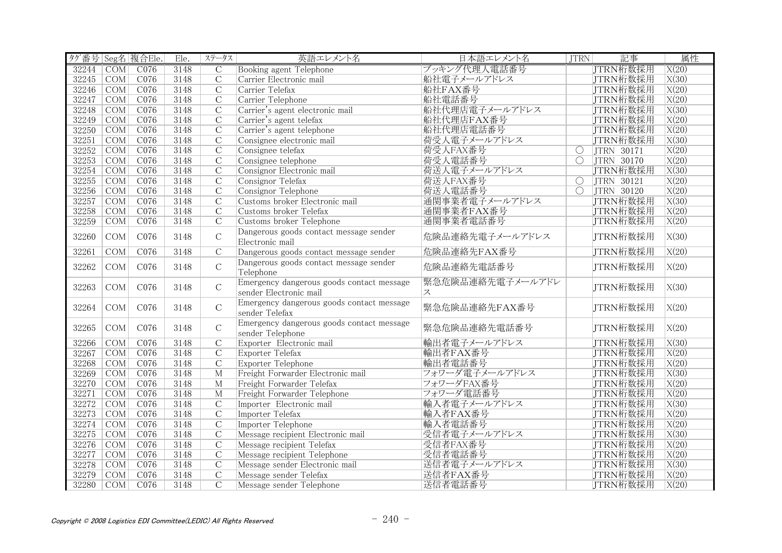| タグ番号 Seg名 複合Ele. |                  |      | Ele. | ステータス          | 英語エレメント名                                  | 日本語エレメント名        | JTRN                  | 記事                | 属性                 |
|------------------|------------------|------|------|----------------|-------------------------------------------|------------------|-----------------------|-------------------|--------------------|
| 32244            | COM              | CO76 | 3148 | $\overline{C}$ | Booking agent Telephone                   | ブッキング代理人電話番号     |                       | JTRN桁数採用          | $\overline{X(20)}$ |
| 32245 COM        |                  | C076 | 3148 | $\overline{C}$ | Carrier Electronic mail                   | 船社電子メールアドレス      |                       | JTRN桁数採用          | X(30)              |
| 32246            | <b>COM</b>       | C076 | 3148 | $\overline{C}$ | Carrier Telefax                           | 船社FAX番号          |                       | JTRN桁数採用          | X(20)              |
| 32247            | COM              | C076 | 3148 | $\overline{C}$ | Carrier Telephone                         | 船社電話番号           |                       | JTRN桁数採用          | X(20)              |
| 32248            | $\overline{COM}$ | C076 | 3148 | $\overline{C}$ | Carrier's agent electronic mail           | 船社代理店電子メールアドレス   |                       | JTRN桁数採用          | X(30)              |
| 32249            | COM              | CO76 | 3148 | $\overline{C}$ | Carrier's agent telefax                   | 船社代理店FAX番号       |                       | JTRN桁数採用          | X(20)              |
| 32250            | COM              | CO76 | 3148 | $\overline{C}$ | Carrier's agent telephone                 | 船社代理店電話番号        |                       | JTRN桁数採用          | X(20)              |
| 32251            | $\overline{COM}$ | CO76 | 3148 | $\overline{C}$ | Consignee electronic mail                 | 荷受人電子メールアドレス     |                       | JTRN桁数採用          | X(30)              |
| 32252            | COM              | C076 | 3148 | $\overline{C}$ | Consignee telefax                         | 荷受人FAX番号         | $\overline{\bigcirc}$ | JTRN 30171        | X(20)              |
| 32253            | $\overline{COM}$ | C076 | 3148 | $\overline{C}$ | Consignee telephone                       | 荷受人電話番号          | $\overline{O}$        | <b>JTRN 30170</b> | X(20)              |
| 32254            | COM              | C076 | 3148 | $\overline{C}$ | Consignor Electronic mail                 | 荷送人電子メールアドレス     |                       | JTRN桁数採用          | X(30)              |
| 32255            | COM              | CO76 | 3148 | $\overline{C}$ | Consignor Telefax                         | 荷送人FAX番号         | $\overline{O}$        | JTRN 30121        | X(20)              |
| 32256            | COM              | C076 | 3148 | $\overline{C}$ | Consignor Telephone                       | 荷送人電話番号          | $\overline{\bigcirc}$ | <b>JTRN 30120</b> | X(20)              |
| 32257            | COM              | CO76 | 3148 | $\overline{C}$ | Customs broker Electronic mail            | 通関事業者電子メールアドレス   |                       | JTRN桁数採用          | X(30)              |
| 32258            | COM              | CO76 | 3148 | $\overline{C}$ | Customs broker Telefax                    | 通関事業者FAX番号       |                       | JTRN桁数採用          | X(20)              |
| 32259            | COM              | CO76 | 3148 | $\overline{C}$ | Customs broker Telephone                  | 通関事業者電話番号        |                       | JTRN桁数採用          | X(20)              |
|                  |                  |      |      |                | Dangerous goods contact message sender    |                  |                       |                   |                    |
| 32260            | COM              | C076 | 3148 | $\mathcal{C}$  | Electronic mail                           | 危険品連絡先電子メールアドレス  |                       | JTRN桁数採用          | X(30)              |
| 32261            | COM              | C076 | 3148 | $\mathcal{C}$  | Dangerous goods contact message sender    | 危険品連絡先FAX番号      |                       | JTRN桁数採用          | X(20)              |
|                  |                  |      |      |                | Dangerous goods contact message sender    |                  |                       |                   |                    |
| 32262            | COM              | C076 | 3148 | $\mathsf C$    | Telephone                                 | 危険品連絡先電話番号       |                       | JTRN桁数採用          | X(20)              |
|                  |                  |      |      |                | Emergency dangerous goods contact message | 緊急危険品連絡先電子メールアドレ |                       |                   |                    |
| 32263            | COM              | C076 | 3148 | $\mathcal{C}$  | sender Electronic mail                    | ス                |                       | JTRN桁数採用          | X(30)              |
|                  |                  |      |      |                | Emergency dangerous goods contact message |                  |                       |                   |                    |
| 32264            | COM              | C076 | 3148 | $\mathcal{C}$  | sender Telefax                            | 緊急危険品連絡先FAX番号    |                       | JTRN桁数採用          | X(20)              |
|                  |                  |      |      |                | Emergency dangerous goods contact message |                  |                       |                   |                    |
| 32265            | COM              | C076 | 3148 | $\mathsf{C}$   | sender Telephone                          | 緊急危険品連絡先電話番号     |                       | JTRN桁数採用          | X(20)              |
| 32266            | $\overline{COM}$ | C076 | 3148 | $\overline{C}$ | Exporter Electronic mail                  | 輸出者電子メールアドレス     |                       | JTRN桁数採用          | $\overline{X(30)}$ |
| 32267            | $\overline{COM}$ | CO76 | 3148 | $\overline{C}$ | Exporter Telefax                          | 輸出者FAX番号         |                       | JTRN桁数採用          | X(20)              |
| 32268            | COM              | CO76 | 3148 | $\overline{C}$ | Exporter Telephone                        | 輸出者電話番号          |                       | JTRN桁数採用          | X(20)              |
| 32269            | $\overline{COM}$ | C076 | 3148 | $\overline{M}$ | Freight Forwarder Electronic mail         | フォワーダ電子メールアドレス   |                       | JTRN桁数採用          | $\overline{X(30)}$ |
| 32270            | COM              | C076 | 3148 | $\overline{M}$ | Freight Forwarder Telefax                 | フォワーダFAX番号       |                       | JTRN桁数採用          | X(20)              |
| 32271            | COM              | C076 | 3148 | $\overline{M}$ | Freight Forwarder Telephone               | フォワーダ電話番号        |                       | JTRN桁数採用          | X(20)              |
| 32272            | COM              | C076 | 3148 | $\mathcal{C}$  | Importer Electronic mail                  | 輸入者電子メールアドレス     |                       | JTRN桁数採用          | X(30)              |
| 32273            | $\overline{COM}$ | CO76 | 3148 | $\overline{C}$ | Importer Telefax                          | 輸入者FAX番号         |                       | JTRN桁数採用          | X(20)              |
| 32274            | COM              | CO76 | 3148 | $\overline{C}$ | Importer Telephone                        | 輸入者電話番号          |                       | JTRN桁数採用          | X(20)              |
| 32275            | COM              | CO76 | 3148 | $\overline{C}$ | Message recipient Electronic mail         | 受信者電子メールアドレス     |                       | JTRN桁数採用          | $\overline{X(30)}$ |
| 32276            | COM              | C076 | 3148 | $\overline{C}$ | Message recipient Telefax                 | 受信者FAX番号         |                       | JTRN桁数採用          | X(20)              |
| 32277            | COM              | C076 | 3148 | $\overline{C}$ | Message recipient Telephone               | 受信者電話番号          |                       | JTRN桁数採用          | X(20)              |
| 32278            | <b>COM</b>       | C076 | 3148 | $\overline{C}$ | Message sender Electronic mail            | 送信者電子メールアドレス     |                       | JTRN桁数採用          | X(30)              |
| 32279            | <b>COM</b>       | C076 | 3148 | $\overline{C}$ | Message sender Telefax                    | 送信者FAX番号         |                       | JTRN桁数採用          | X(20)              |
| 32280            | COM              | C076 | 3148 | $\overline{C}$ | Message sender Telephone                  | 送信者電話番号          |                       | JTRN桁数採用          | X(20)              |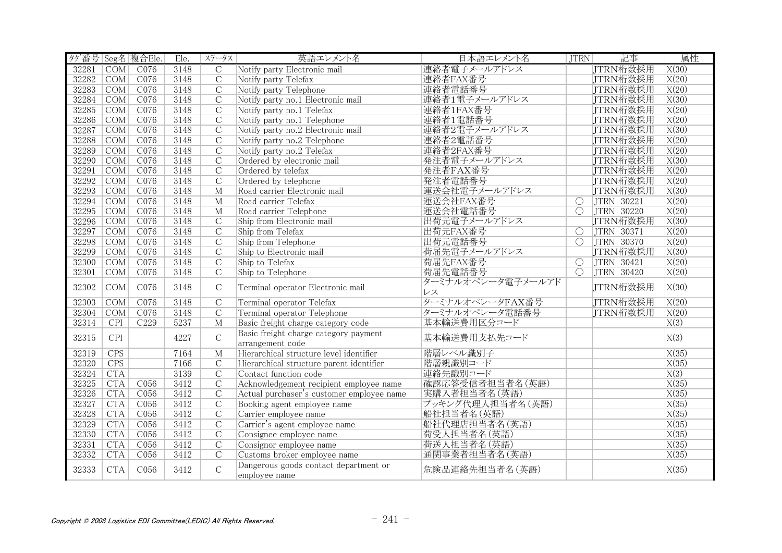| タグ番号 Seg名 複合Ele. |                  |                  | Ele. | ステータス          | 英語エレメント名                                  | 日本語エレメント名         | JTRN                  | 記事              | 属性                 |
|------------------|------------------|------------------|------|----------------|-------------------------------------------|-------------------|-----------------------|-----------------|--------------------|
| 32281            | COM              | C076             | 3148 | $\overline{C}$ | Notify party Electronic mail              | 連絡者電子メールアドレス      |                       | <b>JTRN桁数採用</b> | X(30)              |
| 32282            | COM              | C076             | 3148 | $\overline{C}$ | Notify party Telefax                      | 連絡者FAX番号          |                       | JTRN桁数採用        | X(20)              |
| 32283            | COM              | C076             | 3148 | $\overline{C}$ | Notify party Telephone                    | 連絡者電話番号           |                       | JTRN桁数採用        | X(20)              |
| 32284            | COM              | C076             | 3148 | $\overline{C}$ | Notify party no.1 Electronic mail         | 連絡者1電子メールアドレス     |                       | JTRN桁数採用        | X(30)              |
| 32285            | COM              | CO76             | 3148 | $\overline{C}$ | Notify party no.1 Telefax                 | 連絡者1FAX番号         |                       | JTRN桁数採用        | X(20)              |
| 32286            | COM              | C076             | 3148 | $\overline{C}$ | Notify party no.1 Telephone               | 連絡者1電話番号          |                       | JTRN桁数採用        | X(20)              |
| 32287            | COM              | C076             | 3148 | $\overline{C}$ | Notify party no.2 Electronic mail         | 連絡者2電子メールアドレス     |                       | JTRN桁数採用        | X(30)              |
| 32288            | COM              | C076             | 3148 | $\overline{C}$ | Notify party no.2 Telephone               | 連絡者2電話番号          |                       | JTRN桁数採用        | X(20)              |
| 32289            | COM              | C076             | 3148 | $\mathcal{C}$  | Notify party no.2 Telefax                 | 連絡者2FAX番号         |                       | JTRN桁数採用        | X(20)              |
| 32290            | COM              | C076             | 3148 | $\overline{C}$ | Ordered by electronic mail                | 発注者電子メールアドレス      |                       | JTRN桁数採用        | X(30)              |
| 32291            | COM              | C076             | 3148 | $\overline{C}$ | Ordered by telefax                        | 発注者FAX番号          |                       | JTRN桁数採用        | X(20)              |
| 32292            | $\overline{COM}$ | CO76             | 3148 | $\overline{C}$ | Ordered by telephone                      | 発注者電話番号           |                       | JTRN桁数採用        | X(20)              |
| 32293            | COM              | CO76             | 3148 | $\overline{M}$ | Road carrier Electronic mail              | 運送会社電子メールアドレス     |                       | JTRN桁数採用        | $\overline{X(30)}$ |
| 32294            | COM              | CO76             | 3148 | $\overline{M}$ | Road carrier Telefax                      | 運送会社FAX番号         | $\overline{\bigcirc}$ | JTRN 30221      | X(20)              |
| 32295            | COM              | C076             | 3148 | $\overline{M}$ | Road carrier Telephone                    | 運送会社電話番号          | $\bigcirc$            | JTRN 30220      | X(20)              |
| 32296            | COM              | CO76             | 3148 | $\overline{C}$ | Ship from Electronic mail                 | 出荷元電子メールアドレス      |                       | JTRN桁数採用        | $\overline{X(30)}$ |
| 32297            | COM              | C076             | 3148 | $\overline{C}$ | Ship from Telefax                         | 出荷元FAX番号          | $\bigcirc$            | JTRN 30371      | X(20)              |
| 32298            | COM              | C076             | 3148 | $\overline{C}$ | Ship from Telephone                       | 出荷元電話番号           | $\overline{\bigcirc}$ | JTRN 30370      | X(20)              |
| 32299            | COM              | C076             | 3148 | $\overline{C}$ | Ship to Electronic mail                   | 荷届先電子メールアドレス      |                       | JTRN桁数採用        | X(30)              |
| 32300            | $\overline{COM}$ | C076             | 3148 | $\overline{C}$ | Ship to Telefax                           | 荷届先FAX番号          | $\overline{\bigcirc}$ | JTRN 30421      | X(20)              |
| 32301            | COM              | C076             | 3148 | $\mathcal{C}$  | Ship to Telephone                         | 荷届先電話番号           | $\overline{O}$        | JTRN 30420      | X(20)              |
| 32302            | COM              | C076             | 3148 | $\mathcal{C}$  | Terminal operator Electronic mail         | ターミナルオペレータ電子メールアド |                       | JTRN桁数採用        | X(30)              |
|                  |                  |                  |      |                |                                           | レス                |                       |                 |                    |
| 32303            | COM              | C076             | 3148 | $\overline{C}$ | Terminal operator Telefax                 | ターミナルオペレータFAX番号   |                       | JTRN桁数採用        | X(20)              |
| 32304            | COM              | C076             | 3148 | $\overline{C}$ | Terminal operator Telephone               | ターミナルオペレータ電話番号    |                       | JTRN桁数採用        | X(20)              |
| 32314            | CPI              | C <sub>229</sub> | 5237 | M              | Basic freight charge category code        | 基本輸送費用区分コード       |                       |                 | $\overline{X(3)}$  |
| 32315            | CPI              |                  | 4227 | $\mathcal{C}$  | Basic freight charge category payment     | 基本輸送費用支払先コード      |                       |                 | X(3)               |
|                  |                  |                  |      |                | arrangement code                          |                   |                       |                 |                    |
| 32319            | <b>CPS</b>       |                  | 7164 | $\mathbf{M}$   | Hierarchical structure level identifier   | 階層レベル識別子          |                       |                 | X(35)              |
| 32320            | CPS              |                  | 7166 | $\mathcal{C}$  | Hierarchical structure parent identifier  | 階層親識別コード          |                       |                 | X(35)              |
| 32324            | <b>CTA</b>       |                  | 3139 | $\overline{C}$ | Contact function code                     | 連絡先識別コード          |                       |                 | $\overline{X(3)}$  |
| 32325            | <b>CTA</b>       | C056             | 3412 | $\overline{C}$ | Acknowledgement recipient employee name   | 確認応答受信者担当者名(英語)   |                       |                 | X(35)              |
| 32326            | <b>CTA</b>       | C056             | 3412 | $\overline{C}$ | Actual purchaser's customer employee name | 実購入者担当者名(英語)      |                       |                 | X(35)              |
| 32327            | <b>CTA</b>       | C056             | 3412 | $\mathcal{C}$  | Booking agent employee name               | ブッキング代理人担当者名(英語)  |                       |                 | X(35)              |
| 32328            | <b>CTA</b>       | C056             | 3412 | $\overline{C}$ | Carrier employee name                     | 船社担当者名(英語)        |                       |                 | X(35)              |
| 32329            | CTA              | C056             | 3412 | $\overline{C}$ | Carrier's agent employee name             | 船社代理店担当者名(英語)     |                       |                 | X(35)              |
| 32330            | <b>CTA</b>       | C056             | 3412 | $\overline{C}$ | Consignee employee name                   | 荷受人担当者名(英語)       |                       |                 | X(35)              |
| 32331            | <b>CTA</b>       | C056             | 3412 | $\mathcal{C}$  | Consignor employee name                   | 荷送人担当者名(英語)       |                       |                 | X(35)              |
| 32332            | <b>CTA</b>       | C056             | 3412 | $\mathcal{C}$  | Customs broker employee name              | 通関事業者担当者名(英語)     |                       |                 | X(35)              |
| 32333            | <b>CTA</b>       | C056             | 3412 | $\overline{C}$ | Dangerous goods contact department or     | 危険品連絡先担当者名(英語)    |                       |                 | X(35)              |
|                  |                  |                  |      |                | employee name                             |                   |                       |                 |                    |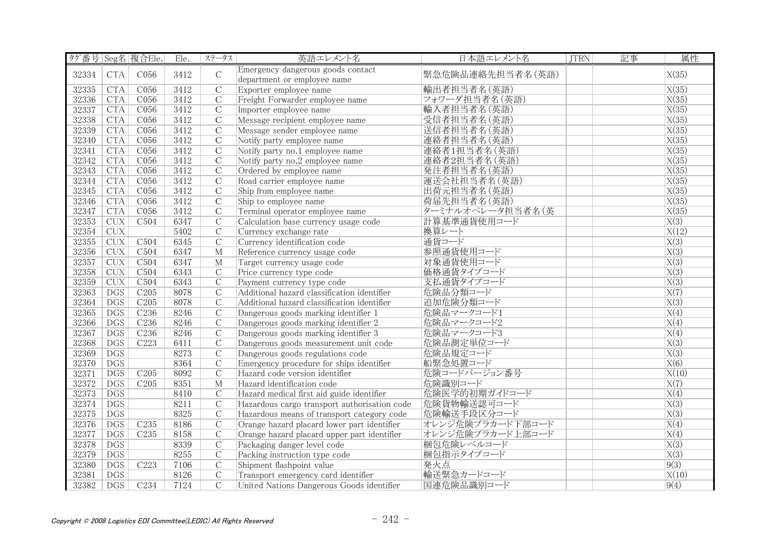| タグ番号 Seg名 複合Ele. |            |                  | Ele. | ステータス          | 英語エレメント名                                                         | 日本語エレメント名        | <b>JTRN</b> | 記事 | 属性                 |
|------------------|------------|------------------|------|----------------|------------------------------------------------------------------|------------------|-------------|----|--------------------|
| 32334            | <b>CTA</b> | C056             | 3412 | $\mathsf C$    | Emergency dangerous goods contact<br>department or employee name | 緊急危険品連絡先担当者名(英語) |             |    | X(35)              |
| 32335            | <b>CTA</b> | C056             | 3412 | $\overline{C}$ | Exporter employee name                                           | 輸出者担当者名 (英語)     |             |    | X(35)              |
| 32336            | <b>CTA</b> | C056             | 3412 | $\mathcal{C}$  | Freight Forwarder employee name                                  | フォワーダ担当者名(英語)    |             |    | X(35)              |
| 32337            | CTA        | CO56             | 3412 | $\overline{C}$ | Importer employee name                                           | 輸入者担当者名(英語)      |             |    | $\overline{X(35)}$ |
| 32338            | CTA        | CO56             | 3412 | $\overline{C}$ | Message recipient employee name                                  | 受信者担当者名(英語)      |             |    | X(35)              |
| 32339            | <b>CTA</b> | C056             | 3412 | $\mathcal{C}$  | Message sender employee name                                     | 送信者担当者名(英語)      |             |    | X(35)              |
| 32340            | <b>CTA</b> | C056             | 3412 | $\mathcal{C}$  | Notify party employee name                                       | 連絡者担当者名(英語)      |             |    | X(35)              |
| 32341            | <b>CTA</b> | C056             | 3412 | $\mathcal{C}$  | Notify party no.1 employee name                                  | 連絡者1担当者名(英語)     |             |    | X(35)              |
| 32342            | <b>CTA</b> | C056             | 3412 | $\overline{C}$ | Notify party no.2 employee name                                  | 連絡者2担当者名(英語)     |             |    | X(35)              |
| 32343            | <b>CTA</b> | C056             | 3412 | $\overline{C}$ | Ordered by employee name                                         | 発注者担当者名(英語)      |             |    | X(35)              |
| 32344            | CTA        | C056             | 3412 | $\overline{C}$ | Road carrier employee name                                       | 運送会社担当者名(英語)     |             |    | X(35)              |
| 32345            | CTA        | CO56             | 3412 | $\overline{C}$ | Ship from employee name                                          | 出荷元担当者名(英語)      |             |    | X(35)              |
| 32346            | <b>CTA</b> | CO56             | 3412 | $\overline{C}$ | Ship to employee name                                            | 荷届先担当者名(英語)      |             |    | X(35)              |
| 32347            | <b>CTA</b> | C056             | 3412 | $\mathcal{C}$  | Terminal operator employee name                                  | ターミナルオペレータ担当者名(英 |             |    | X(35)              |
| 32353            | <b>CUX</b> | C <sub>504</sub> | 6347 | $\overline{C}$ | Calculation base currency usage code                             | 計算基準通貨使用コード      |             |    | $\overline{X(3)}$  |
| 32354            | <b>CUX</b> |                  | 5402 | $\overline{C}$ | Currency exchange rate                                           | 換算レート            |             |    | X(12)              |
| 32355            | <b>CUX</b> | C <sub>504</sub> | 6345 | $\mathcal{C}$  | Currency identification code                                     | 通貨コード            |             |    | X(3)               |
| 32356            | CUX        | C <sub>504</sub> | 6347 | $\mathbf{M}$   | Reference currency usage code                                    | 参照通貨使用コード        |             |    | $\overline{X(3)}$  |
| 32357            | CUX        | C504             | 6347 | M              | Target currency usage code                                       | 対象通貨使用コード        |             |    | X(3)               |
| 32358            | CUX        | C504             | 6343 | $\overline{C}$ | Price currency type code                                         | 価格通貨タイプコード       |             |    | $\overline{X(3)}$  |
| 32359            | <b>CUX</b> | C <sub>504</sub> | 6343 | $\mathcal{C}$  | Payment currency type code                                       | 支払通貨タイプコード       |             |    | X(3)               |
| 32363            | <b>DGS</b> | C205             | 8078 | $\mathcal{C}$  | Additional hazard classification identifier                      | 危険品分類コード         |             |    | $\overline{X(7)}$  |
| 32364            | <b>DGS</b> | C205             | 8078 | $\overline{C}$ | Additional hazard classification identifier                      | 追加危険分類コード        |             |    | $\overline{X(3)}$  |
| 32365            | <b>DGS</b> | C <sub>236</sub> | 8246 | $\mathsf{C}$   | Dangerous goods marking identifier 1                             | 危険品マークコード1       |             |    | X(4)               |
| 32366            | <b>DGS</b> | C <sub>236</sub> | 8246 | $\mathcal{C}$  | Dangerous goods marking identifier 2                             | 危険品マークコード2       |             |    | X(4)               |
| 32367            | DGS        | C <sub>236</sub> | 8246 | $\overline{C}$ | Dangerous goods marking identifier 3                             | 危険品マークコード3       |             |    | X(4)               |
| 32368            | <b>DGS</b> | C <sub>223</sub> | 6411 | $\overline{C}$ | Dangerous goods measurement unit code                            | 危険品測定単位コード       |             |    | X(3)               |
| 32369            | <b>DGS</b> |                  | 8273 | $\overline{C}$ | Dangerous goods regulations code                                 | 危険品規定コード         |             |    | $\overline{X(3)}$  |
| 32370            | <b>DGS</b> |                  | 8364 | $\mathcal{C}$  | Emergency procedure for ships identifier                         | 船緊急処置コード         |             |    | X(6)               |
| 32371            | <b>DGS</b> | C205             | 8092 | $\overline{C}$ | Hazard code version identifier                                   | 危険コードバージョン番号     |             |    | X(10)              |
| 32372            | <b>DGS</b> | C205             | 8351 | $\overline{M}$ | Hazard identification code                                       | 危険識別コード          |             |    | $\overline{X(7)}$  |
| 32373            | <b>DGS</b> |                  | 8410 | $\mathcal{C}$  | Hazard medical first aid guide identifier                        | 危険医学的初期ガイドコード    |             |    | X(4)               |
| 32374            | <b>DGS</b> |                  | 8211 | $\mathcal{C}$  | Hazardous cargo transport authorisation code                     | 危険貨物輸送認可コード      |             |    | $\overline{X(3)}$  |
| 32375            | <b>DGS</b> |                  | 8325 | $\overline{C}$ | Hazardous means of transport category code                       | 危険輸送手段区分コード      |             |    | $\overline{X(3)}$  |
| 32376            | <b>DGS</b> | C235             | 8186 | $\overline{C}$ | Orange hazard placard lower part identifier                      | オレンジ危険プラカード下部コード |             |    | $\overline{X(4)}$  |
| 32377            | DGS        | C <sub>235</sub> | 8158 | $\overline{C}$ | Orange hazard placard upper part identifier                      | オレンジ危険プラカード上部コード |             |    | X(4)               |
| 32378            | <b>DGS</b> |                  | 8339 | $\mathcal{C}$  | Packaging danger level code                                      | 梱包危険レベルコード       |             |    | X(3)               |
| 32379            | <b>DGS</b> |                  | 8255 | $\overline{C}$ | Packing instruction type code                                    | 梱包指示タイプコード       |             |    | $\overline{X(3)}$  |
| 32380            | <b>DGS</b> | C223             | 7106 | $\mathcal{C}$  | Shipment flashpoint value                                        | 発火点              |             |    | 9(3)               |
| 32381            | <b>DGS</b> |                  | 8126 | $\mathcal{C}$  | Transport emergency card identifier                              | 輸送緊急カードコード       |             |    | X(10)              |
| 32382            | <b>DGS</b> | C <sub>234</sub> | 7124 | $\overline{C}$ | United Nations Dangerous Goods identifier                        | 国連危険品識別コード       |             |    | 9(4)               |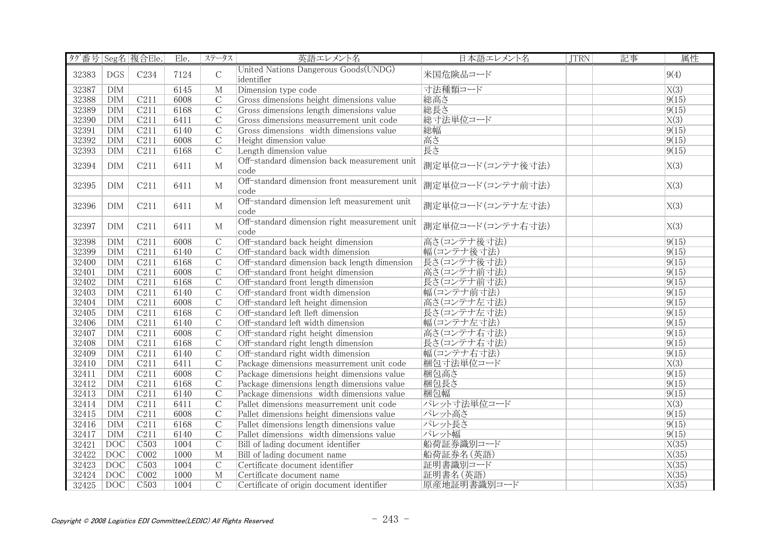| タグ番号 Seg名 複合Ele. |                  |                  | Ele. | ステータス          | 英語エレメント名                                              | 日本語エレメント名        | <b>JTRN</b> | 記事 | 属性                |
|------------------|------------------|------------------|------|----------------|-------------------------------------------------------|------------------|-------------|----|-------------------|
| 32383            | <b>DGS</b>       | C234             | 7124 | $\mathsf C$    | United Nations Dangerous Goods(UNDG)<br>identifier    | 米国危険品コード         |             |    | 9(4)              |
| 32387            | <b>DIM</b>       |                  | 6145 | M              | Dimension type code                                   | 寸法種類コード          |             |    | $\overline{X(3)}$ |
| 32388            | <b>DIM</b>       | C211             | 6008 | $\overline{C}$ | Gross dimensions height dimensions value              | 総高さ              |             |    | 9(15)             |
| 32389            | <b>DIM</b>       | C211             | 6168 | $\overline{C}$ | Gross dimensions length dimensions value              | 総長さ              |             |    | 9(15)             |
| 32390            | DIM              | C211             | 6411 | $\overline{C}$ | Gross dimensions measurrement unit code               | 総寸法単位コード         |             |    | X(3)              |
| 32391            | <b>DIM</b>       | C211             | 6140 | $\overline{C}$ | Gross dimensions width dimensions value               | 総幅               |             |    | 9(15)             |
| 32392            | <b>DIM</b>       | C211             | 6008 | $\mathcal{C}$  | Height dimension value                                | 高さ               |             |    | 9(15)             |
| 32393            | <b>DIM</b>       | C211             | 6168 | $\overline{C}$ | Length dimension value                                | 長さ               |             |    | 9(15)             |
| 32394            | <b>DIM</b>       | C211             | 6411 | $\mathbf{M}$   | Off-standard dimension back measurement unit<br>code  | 測定単位コード(コンテナ後寸法) |             |    | X(3)              |
| 32395            | <b>DIM</b>       | C211             | 6411 | М              | Off-standard dimension front measurement unit<br>code | 測定単位コード(コンテナ前寸法) |             |    | X(3)              |
| 32396            | <b>DIM</b>       | C211             | 6411 | M              | Off-standard dimension left measurement unit<br>code  | 測定単位コード(コンテナ左寸法) |             |    | X(3)              |
| 32397            | DIM              | C211             | 6411 | M              | Off-standard dimension right measurement unit<br>code | 測定単位コード(コンテナ右寸法) |             |    | X(3)              |
| 32398            | <b>DIM</b>       | C211             | 6008 | $\overline{C}$ | Off-standard back height dimension                    | 高さ(コンテナ後寸法)      |             |    | 9(15)             |
| 32399            | DIM              | C211             | 6140 | $\mathcal{C}$  | Off-standard back width dimension                     | 幅(コンテナ後寸法)       |             |    | 9(15)             |
| 32400            | DIM              | C211             | 6168 | $\overline{C}$ | Off-standard dimension back length dimension          | 長さ(コンテナ後寸法)      |             |    | 9(15)             |
| 32401            | DIM              | C211             | 6008 | $\overline{C}$ | Off-standard front height dimension                   | 高さ(コンテナ前寸法)      |             |    | 9(15)             |
| 32402            | <b>DIM</b>       | C211             | 6168 | $\overline{C}$ | Off-standard front length dimension                   | 長さ(コンテナ前寸法)      |             |    | 9(15)             |
| 32403            | DIM              | C211             | 6140 | $\overline{C}$ | Off-standard front width dimension                    | 幅(コンテナ前寸法)       |             |    | 9(15)             |
| 32404            | DIM              | C211             | 6008 | $\overline{C}$ | Off-standard left height dimension                    | 高さ(コンテナ左寸法)      |             |    | 9(15)             |
| 32405            | <b>DIM</b>       | C211             | 6168 | $\mathcal{C}$  | Off-standard left lleft dimension                     | 長さ(コンテナ左寸法)      |             |    | 9(15)             |
| 32406            | DIM              | C211             | 6140 | $\mathcal{C}$  | Off-standard left width dimension                     | 幅(コンテナ左寸法)       |             |    | 9(15)             |
| 32407            | DIM              | C211             | 6008 | $\overline{C}$ | Off-standard right height dimension                   | 高さ(コンテナ右寸法)      |             |    | 9(15)             |
| 32408            | <b>DIM</b>       | C211             | 6168 | $\overline{C}$ | Off-standard right length dimension                   | 長さ(コンテナ右寸法)      |             |    | 9(15)             |
| 32409            | <b>DIM</b>       | C211             | 6140 | $\overline{C}$ | Off-standard right width dimension                    | 幅(コンテナ右寸法)       |             |    | 9(15)             |
| 32410            | <b>DIM</b>       | C211             | 6411 | $\overline{C}$ | Package dimensions measurrement unit code             | 梱包寸法単位コード        |             |    | $\overline{X(3)}$ |
| 32411            | DIM              | C211             | 6008 | $\mathcal{C}$  | Package dimensions height dimensions value            | 梱包高さ             |             |    | 9(15)             |
| 32412            | <b>DIM</b>       | C211             | 6168 | $\overline{C}$ | Package dimensions length dimensions value            | 梱包長さ             |             |    | 9(15)             |
| 32413            | <b>DIM</b>       | C211             | 6140 | $\overline{C}$ | Package dimensions width dimensions value             | 梱包幅              |             |    | 9(15)             |
| 32414            | DIM              | C211             | 6411 | $\mathcal{C}$  | Pallet dimensions measurrement unit code              | パレット寸法単位コード      |             |    | X(3)              |
| 32415            | <b>DIM</b>       | C211             | 6008 | $\overline{C}$ | Pallet dimensions height dimensions value             | パレット高さ           |             |    | 9(15)             |
| 32416            | DIM              | C211             | 6168 | $\overline{C}$ | Pallet dimensions length dimensions value             | パレット長さ           |             |    | 9(15)             |
| 32417            | DIM              | C211             | 6140 | $\overline{C}$ | Pallet dimensions width dimensions value              | パレット幅            |             |    | 9(15)             |
| 32421            | DOC              | C <sub>503</sub> | 1004 | $\overline{C}$ | Bill of lading document identifier                    | 船荷証券識別コード        |             |    | X(35)             |
| 32422            | DOC              | CO <sub>02</sub> | 1000 | $\overline{M}$ | Bill of lading document name                          | 船荷証券名(英語)        |             |    | X(35)             |
| 32423            | <b>DOC</b>       | C <sub>503</sub> | 1004 | $\mathsf C$    | Certificate document identifier                       | 証明書識別コード         |             |    | X(35)             |
| 32424            | $\overline{DOC}$ | CO <sub>02</sub> | 1000 | $\overline{M}$ | Certificate document name                             | 証明書名 (英語)        |             |    | X(35)             |
| 32425            | DOC              | C503             | 1004 | $\mathcal{C}$  | Certificate of origin document identifier             | 原産地証明書識別コード      |             |    | X(35)             |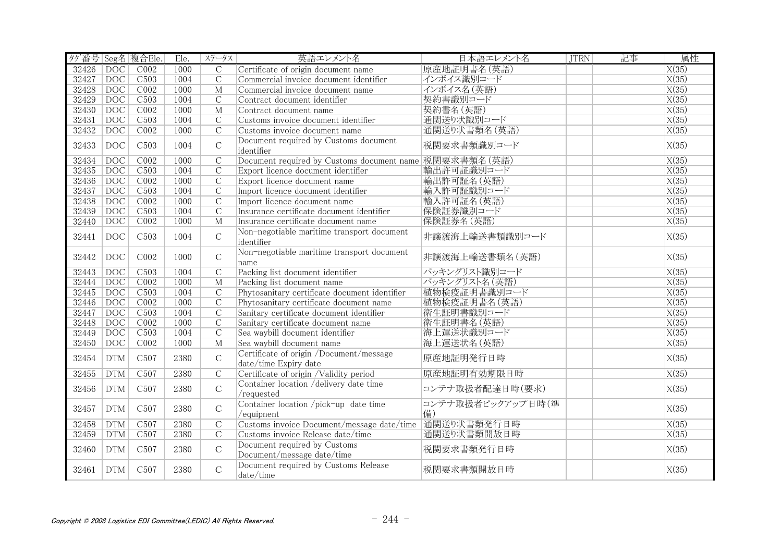| タグ番号 Seg名 複合Ele. |                   |                  | Ele. | ステータス          | 英語エレメント名                                                         | 日本語エレメント名               | <b>JTRN</b> | 記事 | 属性                 |
|------------------|-------------------|------------------|------|----------------|------------------------------------------------------------------|-------------------------|-------------|----|--------------------|
| 32426            | DOC <sup>1</sup>  | COO2             | 1000 | $\overline{C}$ | Certificate of origin document name                              | 原産地証明書名 (英語)            |             |    | $\overline{X(35)}$ |
| 32427            | DOC               | C <sub>503</sub> | 1004 | $\overline{C}$ | Commercial invoice document identifier                           | インボイス識別コード              |             |    | X(35)              |
| 32428            | <b>DOC</b>        | CO <sub>02</sub> | 1000 | $\overline{M}$ | Commercial invoice document name                                 | インボイス名 (英語)             |             |    | X(35)              |
| 32429            | <b>DOC</b>        | C <sub>503</sub> | 1004 | $\mathcal{C}$  | Contract document identifier                                     | 契約書識別コード                |             |    | X(35)              |
| 32430            | DOC               | COO2             | 1000 | $\overline{M}$ | Contract document name                                           | 契約書名(英語)                |             |    | X(35)              |
| 32431            | $\overline{DOC}$  | C503             | 1004 | $\overline{C}$ | Customs invoice document identifier                              | 通関送り状識別コード              |             |    | X(35)              |
| 32432            | <b>DOC</b>        | CO <sub>02</sub> | 1000 | $\overline{C}$ | Customs invoice document name                                    | 通関送り状書類名 (英語)           |             |    | X(35)              |
| 32433            | <b>DOC</b>        | C <sub>503</sub> | 1004 | $\mathcal{C}$  | Document required by Customs document<br>identifier              | 税関要求書類識別コード             |             |    | X(35)              |
| 32434            | DOC               | CO <sub>02</sub> | 1000 | $\overline{C}$ | Document required by Customs document name 税関要求書類名(英語)           |                         |             |    | X(35)              |
| 32435            | <b>DOC</b>        | C <sub>503</sub> | 1004 | $\mathcal{C}$  | Export licence document identifier                               | 輸出許可証識別コード              |             |    | X(35)              |
| 32436            | DOC               | COO2             | 1000 | $\overline{C}$ | Export licence document name                                     | 輸出許可証名 (英語)             |             |    | X(35)              |
| 32437            | DOC               | C <sub>503</sub> | 1004 | $\overline{C}$ | Import licence document identifier                               | 輸入許可証識別コード              |             |    | X(35)              |
| 32438            | <b>DOC</b>        | CO02             | 1000 | $\overline{C}$ | Import licence document name                                     | 輸入許可証名 (英語)             |             |    | X(35)              |
| 32439            | $\overline{DOC}$  | C503             | 1004 | $\overline{C}$ | Insurance certificate document identifier                        | 保険証券識別コード               |             |    | X(35)              |
| 32440            | DOC               | COO2             | 1000 | M              | Insurance certificate document name                              | 保険証券名 (英語)              |             |    | X(35)              |
| 32441            | DOC               | C <sub>503</sub> | 1004 | $\mathsf{C}$   | Non-negotiable maritime transport document<br>identifier         | 非譲渡海上輸送書類識別コード          |             |    | X(35)              |
| 32442            | $_{\mathrm{DOC}}$ | C002             | 1000 | $\mathcal{C}$  | Non-negotiable maritime transport document<br>name               | 非譲渡海上輸送書類名 (英語)         |             |    | X(35)              |
| 32443            | DOC               | C503             | 1004 | $\overline{C}$ | Packing list document identifier                                 | パッキングリスト識別コード           |             |    | $\overline{X(35)}$ |
| 32444            | <b>DOC</b>        | COO2             | 1000 | M              | Packing list document name                                       | パッキングリスト名 (英語)          |             |    | X(35)              |
| 32445            | <b>DOC</b>        | C503             | 1004 | $\overline{C}$ | Phytosanitary certificate document identifier                    | 植物検疫証明書識別コード            |             |    | X(35)              |
| 32446            | <b>DOC</b>        | CO <sub>02</sub> | 1000 | $\overline{C}$ | Phytosanitary certificate document name                          | 植物検疫証明書名 (英語)           |             |    | X(35)              |
| 32447            | <b>DOC</b>        | C <sub>503</sub> | 1004 | $\mathcal{C}$  | Sanitary certificate document identifier                         | 衛生証明書識別コード              |             |    | X(35)              |
| 32448            | <b>DOC</b>        | COO2             | 1000 | $\overline{C}$ | Sanitary certificate document name                               | 衛生証明書名 (英語)             |             |    | X(35)              |
| 32449            | DOC               | C503             | 1004 | $\overline{C}$ | Sea waybill document identifier                                  | 海上運送状識別コード              |             |    | X(35)              |
| 32450            | DOC               | CO <sub>02</sub> | 1000 | M              | Sea waybill document name                                        | 海上運送状名(英語)              |             |    | $\overline{X(35)}$ |
| 32454            | <b>DTM</b>        | C <sub>507</sub> | 2380 | $\mathsf C$    | Certificate of origin /Document/message<br>date/time Expiry date | 原産地証明発行日時               |             |    | X(35)              |
| 32455            | <b>DTM</b>        | C <sub>507</sub> | 2380 | $\mathcal{C}$  | Certificate of origin /Validity period                           | 原産地証明有効期限日時             |             |    | X(35)              |
| 32456            | <b>DTM</b>        | C <sub>507</sub> | 2380 | $\mathcal{C}$  | Container location /delivery date time<br>/requested             | コンテナ取扱者配達日時(要求)         |             |    | X(35)              |
| 32457            | <b>DTM</b>        | C <sub>507</sub> | 2380 | $\mathbf C$    | Container location /pick-up date time<br>/equipnent              | コンテナ取扱者ピックアップ日時(準<br>備) |             |    | X(35)              |
| 32458            | <b>DTM</b>        | C507             | 2380 | $\overline{C}$ | Customs invoice Document/message date/time 通関送り状書類発行日時           |                         |             |    | X(35)              |
| 32459            | <b>DTM</b>        | C507             | 2380 | $\overline{C}$ | Customs invoice Release date/time                                | 通関送り状書類開放日時             |             |    | X(35)              |
| 32460            | <b>DTM</b>        | C <sub>507</sub> | 2380 | $\mathbf C$    | Document required by Customs<br>Document/message date/time       | 税関要求書類発行日時              |             |    | X(35)              |
| 32461            | <b>DTM</b>        | C <sub>507</sub> | 2380 | $\mathsf{C}$   | Document required by Customs Release<br>date/time                | 税関要求書類開放日時              |             |    | X(35)              |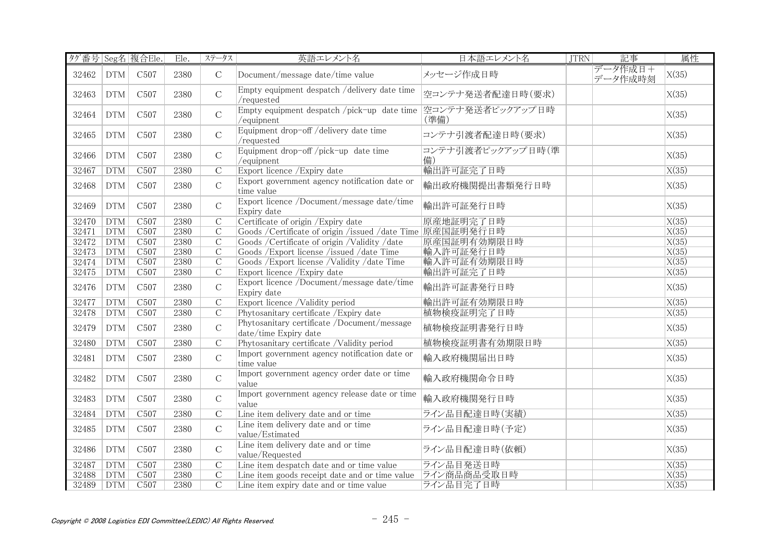| タグ番号 Seg名 複合Ele. |            |                  | Ele. | ステータス          | 英語エレメント名                                                             | 日本語エレメント名                | <b>JTRN</b> | 記事                 | 属性                 |
|------------------|------------|------------------|------|----------------|----------------------------------------------------------------------|--------------------------|-------------|--------------------|--------------------|
| 32462            | <b>DTM</b> | C <sub>507</sub> | 2380 | $\mathbf C$    | Document/message date/time value                                     | メッセージ作成日時                |             | データ作成日+<br>データ作成時刻 | X(35)              |
| 32463            | <b>DTM</b> | C <sub>507</sub> | 2380 | $\mathcal{C}$  | Empty equipment despatch /delivery date time<br>/requested           | 空コンテナ発送者配達日時(要求)         |             |                    | X(35)              |
| 32464            | <b>DTM</b> | C <sub>507</sub> | 2380 | $\mathsf C$    | Empty equipment despatch /pick-up date time<br>/equipnent            | 空コンテナ発送者ピックアップ日時<br>(準備) |             |                    | X(35)              |
| 32465            | <b>DTM</b> | C <sub>507</sub> | 2380 | $\mathcal{C}$  | Equipment drop-off /delivery date time<br>/requested                 | コンテナ引渡者配達日時(要求)          |             |                    | X(35)              |
| 32466            | <b>DTM</b> | C <sub>507</sub> | 2380 | $\mathsf C$    | Equipment drop-off /pick-up date time<br>/equipnent                  | コンテナ引渡者ピックアップ日時(準<br>備)  |             |                    | X(35)              |
| 32467            | <b>DTM</b> | C <sub>507</sub> | 2380 | $\overline{C}$ | Export licence / Expiry date                                         | 輸出許可証完了日時                |             |                    | $\overline{X(35)}$ |
| 32468            | <b>DTM</b> | C <sub>507</sub> | 2380 | $\mathsf C$    | Export government agency notification date or<br>time value          | 輸出政府機関提出書類発行日時           |             |                    | X(35)              |
| 32469            | <b>DTM</b> | C <sub>507</sub> | 2380 | $\mathcal{C}$  | Export licence /Document/message date/time<br>Expiry date            | 輸出許可証発行日時                |             |                    | X(35)              |
| 32470            | <b>DTM</b> | C <sub>507</sub> | 2380 | $\overline{C}$ | Certificate of origin / Expiry date                                  | 原産地証明完了日時                |             |                    | X(35)              |
| 32471            | <b>DTM</b> | C <sub>507</sub> | 2380 | $\overline{C}$ | Goods /Certificate of origin /issued /date Time 原産国証明発行日時            |                          |             |                    | X(35)              |
| 32472            | <b>DTM</b> | C <sub>507</sub> | 2380 | $\mathcal{C}$  | Goods / Certificate of origin / Validity / date                      | 原産国証明有効期限日時              |             |                    | X(35)              |
| 32473            | <b>DTM</b> | C <sub>507</sub> | 2380 | $\overline{C}$ | Goods /Export license /issued /date Time                             | 輸入許可証発行日時                |             |                    | $\overline{X(35)}$ |
| 32474            | DTM        | C507             | 2380 | $\overline{C}$ | Goods / Export license / Validity / date Time                        | 輸入許可証有効期限日時              |             |                    | $\overline{X(35)}$ |
| 32475            | <b>DTM</b> | C <sub>507</sub> | 2380 | $\overline{C}$ | Export licence / Expiry date                                         | 輸出許可証完了日時                |             |                    | X(35)              |
| 32476            | <b>DTM</b> | C <sub>507</sub> | 2380 | $\mathsf{C}$   | Export licence /Document/message date/time<br>Expiry date            | 輸出許可証書発行日時               |             |                    | X(35)              |
| 32477            | <b>DTM</b> | C <sub>507</sub> | 2380 | $\overline{C}$ | Export licence /Validity period                                      | 輸出許可証有効期限日時              |             |                    | X(35)              |
| 32478            | <b>DTM</b> | C <sub>507</sub> | 2380 | $\mathcal{C}$  | Phytosanitary certificate / Expiry date                              | 植物検疫証明完了日時               |             |                    | X(35)              |
| 32479            | <b>DTM</b> | C <sub>507</sub> | 2380 | $\mathcal{C}$  | Phytosanitary certificate /Document/message<br>date/time Expiry date | 植物検疫証明書発行日時              |             |                    | X(35)              |
| 32480            | <b>DTM</b> | C <sub>507</sub> | 2380 | $\overline{C}$ | Phytosanitary certificate /Validity period                           | 植物検疫証明書有効期限日時            |             |                    | X(35)              |
| 32481            | <b>DTM</b> | C <sub>507</sub> | 2380 | $\mathcal{C}$  | Import government agency notification date or<br>time value          | 輸入政府機関届出日時               |             |                    | X(35)              |
| 32482            | <b>DTM</b> | C <sub>507</sub> | 2380 | $\mathsf C$    | Import government agency order date or time<br>value                 | 輸入政府機関命令日時               |             |                    | X(35)              |
| 32483            | <b>DTM</b> | C <sub>507</sub> | 2380 | $\mathsf C$    | Import government agency release date or time<br>value               | 輸入政府機関発行日時               |             |                    | X(35)              |
| 32484            | DTM        | C507             | 2380 | $\overline{C}$ | Line item delivery date and or time                                  | ライン品目配達日時(実績)            |             |                    | $\overline{X(35)}$ |
| 32485            | <b>DTM</b> | C <sub>507</sub> | 2380 | $\mathbf C$    | Line item delivery date and or time<br>value/Estimated               | ライン品目配達日時(予定)            |             |                    | X(35)              |
| 32486            | <b>DTM</b> | C <sub>507</sub> | 2380 | $\mathbf C$    | Line item delivery date and or time<br>value/Requested               | ライン品目配達日時(依頼)            |             |                    | X(35)              |
| 32487            | <b>DTM</b> | C <sub>507</sub> | 2380 | $\overline{C}$ | Line item despatch date and or time value                            | ライン品目発送日時                |             |                    | X(35)              |
| 32488            | <b>DTM</b> | C <sub>507</sub> | 2380 | $\mathcal{C}$  | Line item goods receipt date and or time value                       | ライン商品商品受取日時              |             |                    | X(35)              |
| 32489            | <b>DTM</b> | C507             | 2380 | $\overline{C}$ | Line item expiry date and or time value                              | ライン品目完了日時                |             |                    | $\overline{X(35)}$ |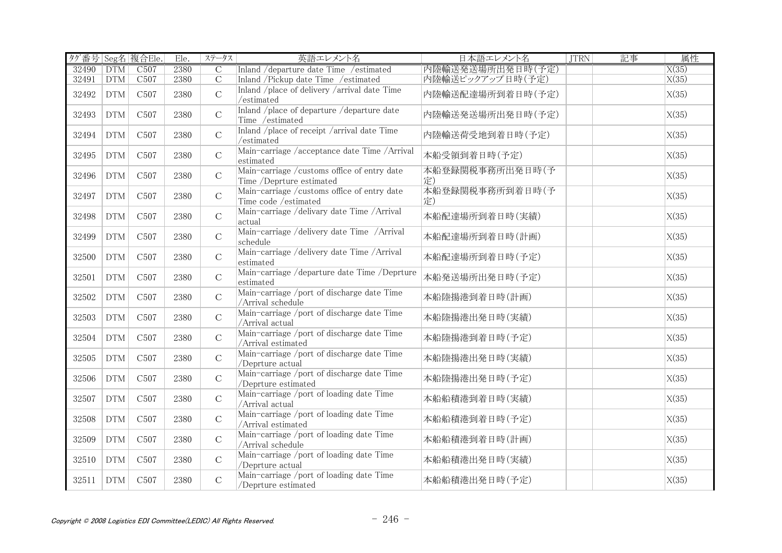| タグ番号 Seg名 複合Ele. |            |                  | Ele. | ステータス          | 英語エレメント名                                                                 | 日本語エレメント名             | <b>JTRN</b> | 記事 | 属性    |
|------------------|------------|------------------|------|----------------|--------------------------------------------------------------------------|-----------------------|-------------|----|-------|
| 32490            | <b>DTM</b> | C <sub>507</sub> | 2380 | $\mathcal{C}$  | Inland / departure date Time / estimated                                 | 内陸輸送発送場所出発日時(予定)      |             |    | X(35) |
| 32491            | DTM        | C <sub>507</sub> | 2380 | $\overline{C}$ | Inland /Pickup date Time /estimated                                      | 内陸輸送ピックアップ日時(予定)      |             |    | X(35) |
| 32492            | <b>DTM</b> | C <sub>507</sub> | 2380 | $\mathcal{C}$  | Inland /place of delivery /arrival date Time<br>/estimated               | 内陸輸送配達場所到着日時(予定)      |             |    | X(35) |
| 32493            | <b>DTM</b> | C <sub>507</sub> | 2380 | $\mathsf{C}$   | Inland /place of departure /departure date<br>Time /estimated            | 内陸輸送発送場所出発日時(予定)      |             |    | X(35) |
| 32494            | <b>DTM</b> | C <sub>507</sub> | 2380 | $\mathcal{C}$  | Inland /place of receipt /arrival date Time<br>/estimated                | 内陸輸送荷受地到着日時(予定)       |             |    | X(35) |
| 32495            | <b>DTM</b> | C <sub>507</sub> | 2380 | $\mathsf C$    | Main-carriage /acceptance date Time /Arrival<br>estimated                | 本船受領到着日時(予定)          |             |    | X(35) |
| 32496            | <b>DTM</b> | C <sub>507</sub> | 2380 | $\mathcal{C}$  | Main-carriage / customs office of entry date<br>Time /Deprture estimated | 本船登録関税事務所出発日時(予<br>定) |             |    | X(35) |
| 32497            | <b>DTM</b> | C <sub>507</sub> | 2380 | $\mathcal{C}$  | Main-carriage /customs office of entry date<br>Time code /estimated      | 本船登録関税事務所到着日時(予<br>定) |             |    | X(35) |
| 32498            | <b>DTM</b> | C <sub>507</sub> | 2380 | $\mathcal{C}$  | Main-carriage /delivary date Time /Arrival<br>actual                     | 本船配達場所到着日時(実績)        |             |    | X(35) |
| 32499            | <b>DTM</b> | C <sub>507</sub> | 2380 | $\mathcal{C}$  | Main-carriage /delivery date Time /Arrival<br>schedule                   | 本船配達場所到着日時(計画)        |             |    | X(35) |
| 32500            | <b>DTM</b> | C <sub>507</sub> | 2380 | $\mathcal{C}$  | Main-carriage /delivery date Time /Arrival<br>estimated                  | 本船配達場所到着日時(予定)        |             |    | X(35) |
| 32501            | <b>DTM</b> | C <sub>507</sub> | 2380 | $\mathsf C$    | Main-carriage /departure date Time /Deprture<br>estimated                | 本船発送場所出発日時(予定)        |             |    | X(35) |
| 32502            | <b>DTM</b> | C <sub>507</sub> | 2380 | $\mathbf C$    | Main-carriage /port of discharge date Time<br>/Arrival schedule          | 本船陸揚港到着日時(計画)         |             |    | X(35) |
| 32503            | <b>DTM</b> | C <sub>507</sub> | 2380 | $\mathcal{C}$  | Main-carriage /port of discharge date Time<br>/Arrival actual            | 本船陸揚港出発日時(実績)         |             |    | X(35) |
| 32504            | <b>DTM</b> | C <sub>507</sub> | 2380 | $\mathcal{C}$  | Main-carriage /port of discharge date Time<br>/Arrival estimated         | 本船陸揚港到着日時(予定)         |             |    | X(35) |
| 32505            | <b>DTM</b> | C <sub>507</sub> | 2380 | $\mathsf{C}$   | Main-carriage /port of discharge date Time<br>/Deprture actual           | 本船陸揚港出発日時(実績)         |             |    | X(35) |
| 32506            | <b>DTM</b> | C <sub>507</sub> | 2380 | $\mathbf C$    | Main-carriage /port of discharge date Time<br>/Deprture estimated        | 本船陸揚港出発日時(予定)         |             |    | X(35) |
| 32507            | <b>DTM</b> | C <sub>507</sub> | 2380 | $\mathsf C$    | Main-carriage /port of loading date Time<br>/Arrival actual              | 本船船積港到着日時(実績)         |             |    | X(35) |
| 32508            | <b>DTM</b> | C <sub>507</sub> | 2380 | $\mathbf C$    | Main-carriage /port of loading date Time<br>/Arrival estimated           | 本船船積港到着日時(予定)         |             |    | X(35) |
| 32509            | <b>DTM</b> | C <sub>507</sub> | 2380 | $\mathsf{C}$   | Main-carriage /port of loading date Time<br>/Arrival schedule            | 本船船積港到着日時(計画)         |             |    | X(35) |
| 32510            | <b>DTM</b> | C <sub>507</sub> | 2380 | $\mathcal{C}$  | Main-carriage /port of loading date Time<br>/Deprture actual             | 本船船積港出発日時(実績)         |             |    | X(35) |
| 32511            | <b>DTM</b> | C <sub>507</sub> | 2380 | $\mathcal{C}$  | Main-carriage /port of loading date Time<br>/Deprture estimated          | 本船船積港出発日時(予定)         |             |    | X(35) |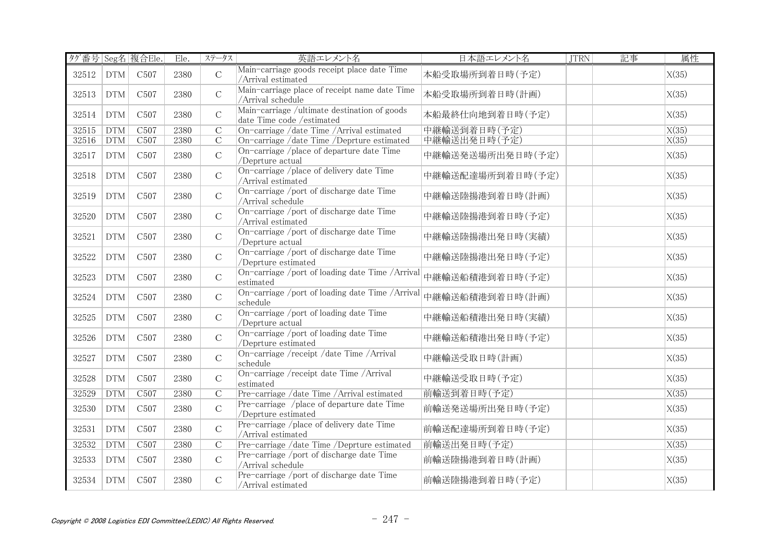| タグ番号 Seg名 複合Ele. |                             |                  | Ele. | ステータス          | 英語エレメント名                                                                  | 日本語エレメント名        | <b>JTRN</b> | 記事 | 属性    |
|------------------|-----------------------------|------------------|------|----------------|---------------------------------------------------------------------------|------------------|-------------|----|-------|
| 32512            | DTM                         | C <sub>507</sub> | 2380 | $\overline{C}$ | Main-carriage goods receipt place date Time<br>/Arrival estimated         | 本船受取場所到着日時(予定)   |             |    | X(35) |
| 32513            | <b>DTM</b>                  | C <sub>507</sub> | 2380 | $\mathcal{C}$  | Main-carriage place of receipt name date Time<br>/Arrival schedule        | 本船受取場所到着日時(計画)   |             |    | X(35) |
| 32514            | <b>DTM</b>                  | C <sub>507</sub> | 2380 | $\mathsf C$    | Main-carriage /ultimate destination of goods<br>date Time code /estimated | 本船最終仕向地到着日時(予定)  |             |    | X(35) |
| 32515            | <b>DTM</b>                  | C <sub>507</sub> | 2380 | $\overline{C}$ | On-carriage /date Time /Arrival estimated                                 | 中継輸送到着日時(予定)     |             |    | X(35) |
| 32516            | <b>DTM</b>                  | C <sub>507</sub> | 2380 | $\mathcal{C}$  | On-carriage /date Time /Deprture estimated                                | 中継輸送出発日時(予定)     |             |    | X(35) |
| 32517            | <b>DTM</b>                  | C <sub>507</sub> | 2380 | $\mathsf{C}$   | On-carriage /place of departure date Time<br>/Deprture actual             | 中継輸送発送場所出発日時(予定) |             |    | X(35) |
| 32518            | <b>DTM</b>                  | C <sub>507</sub> | 2380 | $\mathsf{C}$   | On-carriage /place of delivery date Time<br>/Arrival estimated            | 中継輸送配達場所到着日時(予定) |             |    | X(35) |
| 32519            | <b>DTM</b>                  | C <sub>507</sub> | 2380 | $\mathcal{C}$  | On-carriage /port of discharge date Time<br>/Arrival schedule             | 中継輸送陸揚港到着日時(計画)  |             |    | X(35) |
| 32520            | <b>DTM</b>                  | C <sub>507</sub> | 2380 | $\mathcal{C}$  | On-carriage /port of discharge date Time<br>/Arrival estimated            | 中継輸送陸揚港到着日時(予定)  |             |    | X(35) |
| 32521            | <b>DTM</b>                  | C <sub>507</sub> | 2380 | $\mathcal{C}$  | On-carriage /port of discharge date Time<br>/Deprture actual              | 中継輸送陸揚港出発日時(実績)  |             |    | X(35) |
| 32522            | <b>DTM</b>                  | C <sub>507</sub> | 2380 | $\mathcal{C}$  | On-carriage /port of discharge date Time<br>/Deprture estimated           | 中継輸送陸揚港出発日時(予定)  |             |    | X(35) |
| 32523            | <b>DTM</b>                  | C <sub>507</sub> | 2380 | $\mathcal{C}$  | On-carriage /port of loading date Time /Arrival<br>estimated              | 中継輸送船積港到着日時(予定)  |             |    | X(35) |
| 32524            | <b>DTM</b>                  | C <sub>507</sub> | 2380 | $\mathsf{C}$   | On-carriage /port of loading date Time /Arrival<br>schedule               | 中継輸送船積港到着日時(計画)  |             |    | X(35) |
| 32525            | <b>DTM</b>                  | C <sub>507</sub> | 2380 | $\mathsf{C}$   | On-carriage /port of loading date Time<br>/Deprture actual                | 中継輸送船積港出発日時(実績)  |             |    | X(35) |
| 32526            | <b>DTM</b>                  | C <sub>507</sub> | 2380 | $\mathbf C$    | On-carriage /port of loading date Time<br>/Deprture estimated             | 中継輸送船積港出発日時(予定)  |             |    | X(35) |
| 32527            | <b>DTM</b>                  | C <sub>507</sub> | 2380 | $\mathsf{C}$   | On-carriage /receipt /date Time /Arrival<br>schedule                      | 中継輸送受取日時(計画)     |             |    | X(35) |
| 32528            | <b>DTM</b>                  | C <sub>507</sub> | 2380 | $\mathcal{C}$  | On-carriage /receipt date Time /Arrival<br>estimated                      | 中継輸送受取日時(予定)     |             |    | X(35) |
| 32529            | <b>DTM</b>                  | C <sub>507</sub> | 2380 | $\overline{C}$ | Pre-carriage /date Time /Arrival estimated                                | 前輸送到着日時(予定)      |             |    | X(35) |
| 32530            | <b>DTM</b>                  | C <sub>507</sub> | 2380 | $\mathcal{C}$  | Pre-carriage /place of departure date Time<br>/Deprture estimated         | 前輸送発送場所出発日時(予定)  |             |    | X(35) |
| 32531            | <b>DTM</b>                  | C <sub>507</sub> | 2380 | $\mathcal{C}$  | Pre-carriage /place of delivery date Time<br>/Arrival estimated           | 前輸送配達場所到着日時(予定)  |             |    | X(35) |
| 32532            | DTM                         | C <sub>507</sub> | 2380 | $\overline{C}$ | Pre-carriage /date Time /Deprture estimated                               | 前輸送出発日時(予定)      |             |    | X(35) |
| 32533            | <b>DTM</b>                  | C <sub>507</sub> | 2380 | $\mathcal{C}$  | Pre-carriage /port of discharge date Time<br>/Arrival schedule            | 前輸送陸揚港到着日時(計画)   |             |    | X(35) |
| 32534            | $\mathop{\rm DTM}\nolimits$ | C <sub>507</sub> | 2380 | $\mathcal{C}$  | Pre-carriage /port of discharge date Time<br>/Arrival estimated           | 前輸送陸揚港到着日時(予定)   |             |    | X(35) |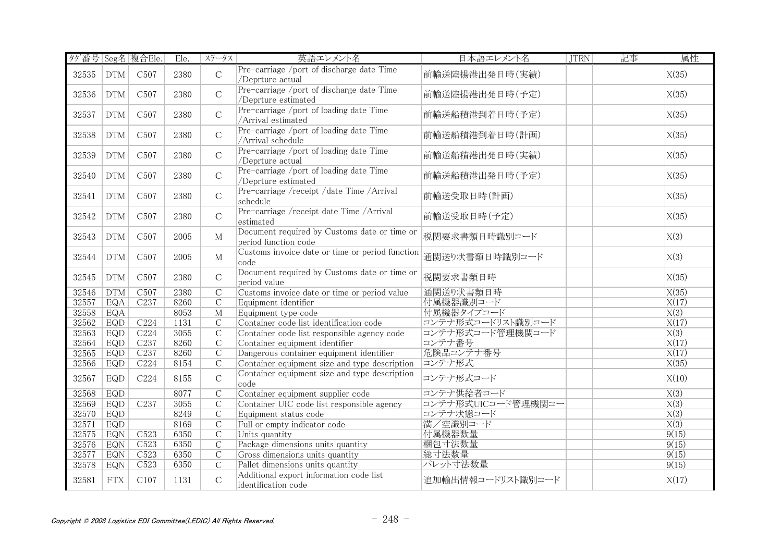| タグ番号 Seg名 複合Ele. |            |                  | $E$ le. | ステータス          | 英語エレメント名                                                             | 日本語エレメント名          | <b>JTRN</b> | 記事 | 属性                |
|------------------|------------|------------------|---------|----------------|----------------------------------------------------------------------|--------------------|-------------|----|-------------------|
| 32535            | <b>DTM</b> | C <sub>507</sub> | 2380    | $\overline{C}$ | Pre-carriage /port of discharge date Time<br>/Deprture actual        | 前輸送陸揚港出発日時(実績)     |             |    | X(35)             |
| 32536            | <b>DTM</b> | C <sub>507</sub> | 2380    | $\mathcal{C}$  | Pre-carriage /port of discharge date Time<br>/Deprture estimated     | 前輸送陸揚港出発日時(予定)     |             |    | X(35)             |
| 32537            | <b>DTM</b> | C <sub>507</sub> | 2380    | $\mathbf C$    | Pre-carriage /port of loading date Time<br>/Arrival estimated        | 前輸送船積港到着日時(予定)     |             |    | X(35)             |
| 32538            | <b>DTM</b> | C <sub>507</sub> | 2380    | $\mathbf C$    | Pre-carriage /port of loading date Time<br>/Arrival schedule         | 前輸送船積港到着日時(計画)     |             |    | X(35)             |
| 32539            | <b>DTM</b> | C <sub>507</sub> | 2380    | $\mathcal{C}$  | Pre-carriage /port of loading date Time<br>/Deprture actual          | 前輸送船積港出発日時(実績)     |             |    | X(35)             |
| 32540            | <b>DTM</b> | C <sub>507</sub> | 2380    | $\mathcal{C}$  | Pre-carriage /port of loading date Time<br>/Deprture estimated       | 前輸送船積港出発日時(予定)     |             |    | X(35)             |
| 32541            | <b>DTM</b> | C <sub>507</sub> | 2380    | $\mathbf C$    | Pre-carriage /receipt /date Time /Arrival<br>schedule                | 前輸送受取日時(計画)        |             |    | X(35)             |
| 32542            | <b>DTM</b> | C <sub>507</sub> | 2380    | $\mathcal{C}$  | Pre-carriage /receipt date Time /Arrival<br>estimated                | 前輸送受取日時(予定)        |             |    | X(35)             |
| 32543            | <b>DTM</b> | C <sub>507</sub> | 2005    | $\mathbf{M}$   | Document required by Customs date or time or<br>period function code | 税関要求書類日時識別コード      |             |    | X(3)              |
| 32544            | <b>DTM</b> | C <sub>507</sub> | 2005    | $\mathbf M$    | Customs invoice date or time or period function<br>code              | 通関送り状書類日時識別コード     |             |    | X(3)              |
| 32545            | <b>DTM</b> | C <sub>507</sub> | 2380    | $\mathcal{C}$  | Document required by Customs date or time or<br>period value         | 税関要求書類日時           |             |    | X(35)             |
| 32546            | DTM        | C <sub>507</sub> | 2380    | $\overline{C}$ | Customs invoice date or time or period value                         | 通関送り状書類日時          |             |    | X(35)             |
| 32557            | EQA        | C <sub>237</sub> | 8260    | $\overline{C}$ | Equipment identifier                                                 | 付属機器識別コード          |             |    | X(17)             |
| 32558            | EQA        |                  | 8053    | $\overline{M}$ | Equipment type code                                                  | 付属機器タイプコード         |             |    | $\overline{X(3)}$ |
| 32562            | EQD        | C224             | 1131    | $\mathcal{C}$  | Container code list identification code                              | コンテナ形式コードリスト識別コード  |             |    | X(17)             |
| 32563            | EQD        | C224             | 3055    | $\overline{C}$ | Container code list responsible agency code                          | コンテナ形式コード管理機関コード   |             |    | X(3)              |
| 32564            | EQD        | C <sub>237</sub> | 8260    | $\overline{C}$ | Container equipment identifier                                       | コンテナ番号             |             |    | X(17)             |
| 32565            | EQD        | C237             | 8260    | $\overline{C}$ | Dangerous container equipment identifier                             | 危険品コンテナ番号          |             |    | X(17)             |
| 32566            | EQD        | C224             | 8154    | $\overline{C}$ | Container equipment size and type description                        | コンテナ形式             |             |    | X(35)             |
| 32567            | EQD        | C224             | 8155    | $\mathbf C$    | Container equipment size and type description<br>code                | コンテナ形式コード          |             |    | X(10)             |
| 32568            | EQD        |                  | 8077    | С              | Container equipment supplier code                                    | コンテナ供給者コード         |             |    | X(3)              |
| 32569            | EQD        | C <sub>237</sub> | 3055    | $\overline{C}$ | Container UIC code list responsible agency                           | コンテナ形式UICコード管理機関コー |             |    | $\overline{X(3)}$ |
| 32570            | EQD        |                  | 8249    | $\overline{C}$ | Equipment status code                                                | コンテナ状態コード          |             |    | $\overline{X(3)}$ |
| 32571            | <b>EQD</b> |                  | 8169    | $\overline{C}$ | Full or empty indicator code                                         | 満/空識別コード           |             |    | X(3)              |
| 32575            | EQN        | C <sub>523</sub> | 6350    | $\overline{C}$ | Units quantity                                                       | 付属機器数量             |             |    | 9(15)             |
| 32576            | EQN        | C <sub>523</sub> | 6350    | $\overline{C}$ | Package dimensions units quantity                                    | 梱包寸法数量             |             |    | 9(15)             |
| 32577            | <b>EQN</b> | C <sub>523</sub> | 6350    | $\overline{C}$ | Gross dimensions units quantity                                      | 総寸法数量              |             |    | 9(15)             |
| 32578            | EQN        | C <sub>523</sub> | 6350    | $\overline{C}$ | Pallet dimensions units quantity                                     | パレット寸法数量           |             |    | 9(15)             |
| 32581            | <b>FTX</b> | C107             | 1131    | $\mathsf C$    | Additional export information code list<br>identification code       | 追加輸出情報コードリスト識別コード  |             |    | X(17)             |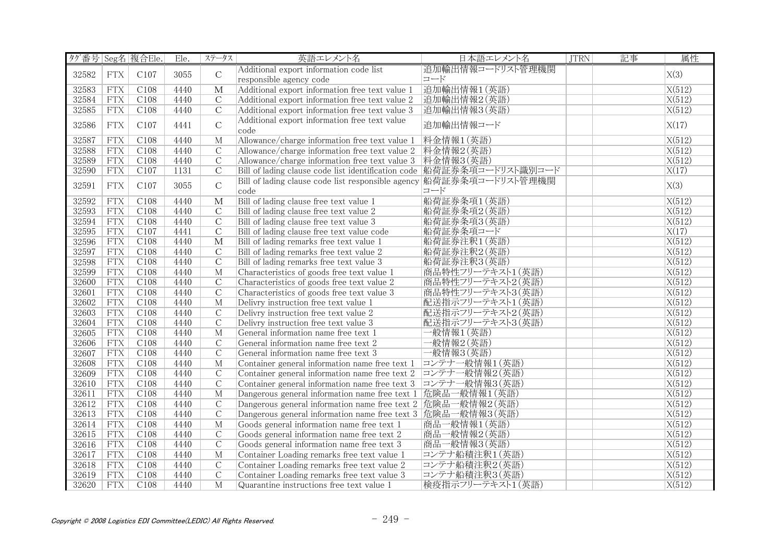|       |             | タグ番号 Seg名 複合Ele. | Ele. | ステータス                   | 英語エレメント名                                                               | 日本語エレメント名        | <b>JTRN</b> | 記事 | 属性     |
|-------|-------------|------------------|------|-------------------------|------------------------------------------------------------------------|------------------|-------------|----|--------|
| 32582 | ${\rm FTX}$ | C107             | 3055 | $\mathcal{C}$           | Additional export information code list                                | 追加輸出情報コードリスト管理機関 |             |    | X(3)   |
|       |             |                  |      |                         | responsible agency code                                                | コード              |             |    |        |
| 32583 | <b>FTX</b>  | C108             | 4440 | М                       | Additional export information free text value 1                        | 追加輸出情報1(英語)      |             |    | X(512) |
| 32584 | <b>FTX</b>  | C108             | 4440 | $\mathcal{C}$           | Additional export information free text value 2                        | 追加輸出情報2(英語)      |             |    | X(512) |
| 32585 | <b>FTX</b>  | C108             | 4440 | $\overline{C}$          | Additional export information free text value 3                        | 追加輸出情報3(英語)      |             |    | X(512) |
|       |             |                  |      | $\mathcal{C}$           | Additional export information free text value                          | 追加輸出情報コード        |             |    |        |
| 32586 | <b>FTX</b>  | C107             | 4441 |                         | code                                                                   |                  |             |    | X(17)  |
| 32587 | <b>FTX</b>  | C108             | 4440 | M                       | Allowance/charge information free text value 1  料金情報1(英語)              |                  |             |    | X(512) |
| 32588 | <b>FTX</b>  | C108             | 4440 | $\mathcal{C}$           | Allowance/charge information free text value 2  料金情報2(英語)              |                  |             |    | X(512) |
| 32589 | <b>FTX</b>  | C108             | 4440 | $\mathcal{C}$           | Allowance/charge information free text value 3 料金情報3(英語)               |                  |             |    | X(512) |
| 32590 | <b>FTX</b>  | C107             | 1131 | $\mathcal{C}$           | Bill of lading clause code list identification code  船荷証券条項コードリスト識別コード |                  |             |    | X(17)  |
| 32591 | <b>FTX</b>  | C107             | 3055 | $\mathsf C$             | Bill of lading clause code list responsible agency 船荷証券条項コードリスト管理機関    |                  |             |    | X(3)   |
|       |             |                  |      |                         | code                                                                   | コード              |             |    |        |
| 32592 | <b>FTX</b>  | C108             | 4440 | $\overline{\mathbf{M}}$ | Bill of lading clause free text value 1                                | 船荷証券条項1(英語)      |             |    | X(512) |
| 32593 | ${\rm FTX}$ | C108             | 4440 | $\mathcal{C}$           | Bill of lading clause free text value 2                                | 船荷証券条項2(英語)      |             |    | X(512) |
| 32594 | <b>FTX</b>  | C108             | 4440 | $\overline{C}$          | Bill of lading clause free text value 3                                | 船荷証券条項3(英語)      |             |    | X(512) |
| 32595 | <b>FTX</b>  | C107             | 4441 | $\mathcal{C}$           | Bill of lading clause free text value code                             | 船荷証券条項コード        |             |    | X(17)  |
| 32596 | <b>FTX</b>  | C108             | 4440 | М                       | Bill of lading remarks free text value 1                               | 船荷証券注釈1(英語)      |             |    | X(512) |
| 32597 | <b>FTX</b>  | C108             | 4440 | $\mathcal{C}$           | Bill of lading remarks free text value 2                               | 船荷証券注釈2(英語)      |             |    | X(512) |
| 32598 | <b>FTX</b>  | C108             | 4440 | $\overline{C}$          | Bill of lading remarks free text value 3                               | 船荷証券注釈3(英語)      |             |    | X(512) |
| 32599 | <b>FTX</b>  | C108             | 4440 | M                       | Characteristics of goods free text value 1                             | 商品特性フリーテキスト1(英語) |             |    | X(512) |
| 32600 | <b>FTX</b>  | C108             | 4440 | $\mathcal{C}$           | Characteristics of goods free text value 2                             | 商品特性フリーテキスト2(英語) |             |    | X(512) |
| 32601 | ${\rm FTX}$ | C108             | 4440 | $\mathcal{C}$           | Characteristics of goods free text value 3                             | 商品特性フリーテキスト3(英語) |             |    | X(512) |
| 32602 | <b>FTX</b>  | C108             | 4440 | $\mathbf{M}$            | Delivry instruction free text value 1                                  | 配送指示フリーテキスト1(英語) |             |    | X(512) |
| 32603 | <b>FTX</b>  | C108             | 4440 | $\mathcal{C}$           | Delivry instruction free text value 2                                  | 配送指示フリーテキスト2(英語) |             |    | X(512) |
| 32604 | <b>FTX</b>  | C108             | 4440 | $\mathcal{C}$           | Delivry instruction free text value 3                                  | 配送指示フリーテキスト3(英語) |             |    | X(512) |
| 32605 | <b>FTX</b>  | C108             | 4440 | $\mathbf{M}$            | General information name free text 1                                   | 一般情報1(英語)        |             |    | X(512) |
| 32606 | FTX         | C108             | 4440 | $\overline{C}$          | General information name free text 2                                   | 一般情報2(英語)        |             |    | X(512) |
| 32607 | <b>FTX</b>  | C108             | 4440 | $\overline{C}$          | General information name free text 3                                   | 一般情報3(英語)        |             |    | X(512) |
| 32608 | FTX         | C108             | 4440 | $\mathbf{M}$            | Container general information name free text 1  コンテナー般情報1 (英語)         |                  |             |    | X(512) |
| 32609 | <b>FTX</b>  | C108             | 4440 | $\overline{C}$          | Container general information name free text 2 コンテナー般情報2(英語)           |                  |             |    | X(512) |
| 32610 | FTX         | C108             | 4440 | $\overline{C}$          | Container general information name free text 3 コンテナー般情報3(英語)           |                  |             |    | X(512) |
| 32611 | <b>FTX</b>  | C108             | 4440 | $\mathbf{M}$            | Dangerous general information name free text 1 危険品一般情報1(英語)            |                  |             |    | X(512) |
| 32612 | <b>FTX</b>  | C108             | 4440 | $\mathcal{C}$           | Dangerous general information name free text 2 危険品一般情報2(英語)            |                  |             |    | X(512) |
| 32613 | <b>FTX</b>  | C108             | 4440 | $\overline{C}$          | Dangerous general information name free text 3 危険品一般情報3(英語)            |                  |             |    | X(512) |
| 32614 | <b>FTX</b>  | C108             | 4440 | M                       | Goods general information name free text 1                             | 商品一般情報1(英語)      |             |    | X(512) |
| 32615 | FTX         | C108             | 4440 | $\overline{C}$          | Goods general information name free text 2                             | 商品一般情報2(英語)      |             |    | X(512) |
| 32616 | <b>FTX</b>  | C108             | 4440 | $\overline{C}$          | Goods general information name free text 3                             | 商品一般情報3(英語)      |             |    | X(512) |
| 32617 | <b>FTX</b>  | C108             | 4440 | $\mathbf{M}$            | Container Loading remarks free text value 1                            | コンテナ船積注釈1(英語)    |             |    | X(512) |
| 32618 | <b>FTX</b>  | C108             | 4440 | $\mathcal{C}$           | Container Loading remarks free text value 2                            | コンテナ船積注釈2(英語)    |             |    | X(512) |
| 32619 | <b>FTX</b>  | C108             | 4440 | $\mathcal{C}$           | Container Loading remarks free text value 3                            | コンテナ船積注釈3(英語)    |             |    | X(512) |
| 32620 | <b>FTX</b>  | C108             | 4440 | $\overline{M}$          | Quarantine instructions free text value 1                              | 検疫指示フリーテキスト1(英語) |             |    | X(512) |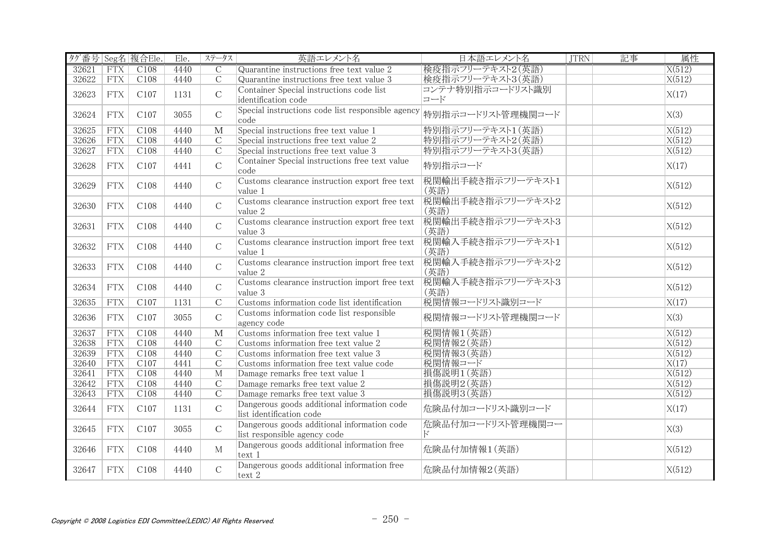| タグ番号 Seg名 複合Ele. |             |      | Ele. | ステータス                   | 英語エレメント名                                                                    | 日本語エレメント名                 | <b>JTRN</b> | 記事 | 属性     |
|------------------|-------------|------|------|-------------------------|-----------------------------------------------------------------------------|---------------------------|-------------|----|--------|
| 32621            | <b>FTX</b>  | C108 | 4440 | $\mathcal{C}$           | Quarantine instructions free text value 2                                   | 検疫指示フリーテキスト2(英語)          |             |    | X(512) |
| 32622            | FTX         | C108 | 4440 | $\overline{C}$          | Quarantine instructions free text value 3                                   | 検疫指示フリーテキスト3(英語)          |             |    | X(512) |
| 32623            | <b>FTX</b>  | C107 | 1131 | $\mathcal{C}$           | Container Special instructions code list<br>identification code             | コンテナ特別指示コードリスト識別<br>コード   |             |    | X(17)  |
| 32624            | <b>FTX</b>  | C107 | 3055 | $\mathcal{C}$           | Special instructions code list responsible agency<br>$ code\rangle$         | 特別指示コードリスト管理機関コード         |             |    | X(3)   |
| 32625            | <b>FTX</b>  | C108 | 4440 | $\overline{\mathbf{M}}$ | Special instructions free text value 1                                      | 特別指示フリーテキスト1(英語)          |             |    | X(512) |
| 32626            | <b>FTX</b>  | C108 | 4440 | $\overline{C}$          | Special instructions free text value 2                                      | 特別指示フリーテキスト2(英語)          |             |    | X(512) |
| 32627            | FTX         | C108 | 4440 | $\mathcal{C}$           | Special instructions free text value 3                                      | 特別指示フリーテキスト3(英語)          |             |    | X(512) |
| 32628            | <b>FTX</b>  | C107 | 4441 | $\mathcal{C}$           | Container Special instructions free text value<br>code                      | 特別指示コード                   |             |    | X(17)  |
| 32629            | <b>FTX</b>  | C108 | 4440 | $\mathcal{C}$           | Customs clearance instruction export free text<br>value 1                   | 税関輸出手続き指示フリーテキスト1<br>(英語) |             |    | X(512) |
| 32630            | <b>FTX</b>  | C108 | 4440 | $\mathcal{C}$           | Customs clearance instruction export free text<br>value 2                   | 税関輸出手続き指示フリーテキスト2<br>(英語) |             |    | X(512) |
| 32631            | <b>FTX</b>  | C108 | 4440 | $\mathcal{C}$           | Customs clearance instruction export free text<br>value 3                   | 税関輸出手続き指示フリーテキスト3<br>(英語) |             |    | X(512) |
| 32632            | <b>FTX</b>  | C108 | 4440 | $\mathcal{C}$           | Customs clearance instruction import free text<br>value 1                   | 税関輸入手続き指示フリーテキスト1<br>(英語) |             |    | X(512) |
| 32633            | <b>FTX</b>  | C108 | 4440 | $\mathsf C$             | Customs clearance instruction import free text<br>value 2                   | 税関輸入手続き指示フリーテキスト2<br>(英語) |             |    | X(512) |
| 32634            | <b>FTX</b>  | C108 | 4440 | $\mathcal{C}$           | Customs clearance instruction import free text<br>value 3                   | 税関輸入手続き指示フリーテキスト3<br>(英語) |             |    | X(512) |
| 32635            | <b>FTX</b>  | C107 | 1131 | $\overline{C}$          | Customs information code list identification                                | 税関情報コードリスト識別コード           |             |    | X(17)  |
| 32636            | <b>FTX</b>  | C107 | 3055 | $\mathcal{C}$           | Customs information code list responsible<br>agency code                    | 税関情報コードリスト管理機関コード         |             |    | X(3)   |
| 32637            | FTX         | C108 | 4440 | M                       | Customs information free text value 1                                       | 税関情報1(英語)                 |             |    | X(512) |
| 32638            | FTX         | C108 | 4440 | $\overline{C}$          | Customs information free text value 2                                       | 税関情報2(英語)                 |             |    | X(512) |
| 32639            | FTX         | C108 | 4440 | $\overline{C}$          | Customs information free text value 3                                       | 税関情報3(英語)                 |             |    | X(512) |
| 32640            | <b>FTX</b>  | C107 | 4441 | $\overline{C}$          | Customs information free text value code                                    | 税関情報コード                   |             |    | X(17)  |
| 32641            | <b>FTX</b>  | C108 | 4440 | M                       | Damage remarks free text value 1                                            | 損傷説明1 (英語)                |             |    | X(512) |
| 32642            | ${\rm FTX}$ | C108 | 4440 | $\mathcal{C}$           | Damage remarks free text value 2                                            | 損傷説明2 (英語)                |             |    | X(512) |
| 32643            | FTX         | C108 | 4440 | $\overline{C}$          | Damage remarks free text value 3                                            | 損傷説明3(英語)                 |             |    | X(512) |
| 32644            | <b>FTX</b>  | C107 | 1131 | $\mathbf C$             | Dangerous goods additional information code<br>list identification code     | 危険品付加コードリスト識別コード          |             |    | X(17)  |
| 32645            | <b>FTX</b>  | C107 | 3055 | $\mathcal{C}$           | Dangerous goods additional information code<br>list responsible agency code | 危険品付加コードリスト管理機関コー<br>K,   |             |    | X(3)   |
| 32646            | <b>FTX</b>  | C108 | 4440 | M                       | Dangerous goods additional information free<br>text 1                       | 危険品付加情報1(英語)              |             |    | X(512) |
| 32647            | <b>FTX</b>  | C108 | 4440 | $\mathcal{C}$           | Dangerous goods additional information free<br>text 2                       | 危険品付加情報2(英語)              |             |    | X(512) |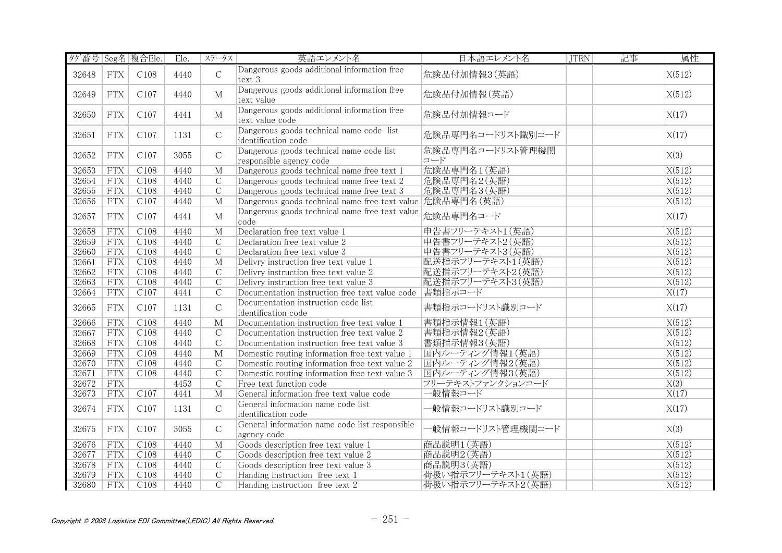| タグ番号 Seg名 複合Ele. |            |                  | Ele. | ステータス                   | 英語エレメント名                                                            | 日本語エレメント名               | <b>JTRN</b> | 記事 | 属性                 |
|------------------|------------|------------------|------|-------------------------|---------------------------------------------------------------------|-------------------------|-------------|----|--------------------|
| 32648            | <b>FTX</b> | C108             | 4440 | $\mathcal{C}$           | Dangerous goods additional information free<br>text 3               | 危険品付加情報3(英語)            |             |    | X(512)             |
| 32649            | <b>FTX</b> | C107             | 4440 | $\mathbf{M}$            | Dangerous goods additional information free<br>text value           | 危険品付加情報(英語)             |             |    | X(512)             |
| 32650            | <b>FTX</b> | C107             | 4441 | $\mathbf{M}$            | Dangerous goods additional information free<br>text value code      | 危険品付加情報コード              |             |    | X(17)              |
| 32651            | <b>FTX</b> | C <sub>107</sub> | 1131 | $\mathcal{C}$           | Dangerous goods technical name code list<br>identification code     | 危険品専門名コードリスト識別コード       |             |    | X(17)              |
| 32652            | <b>FTX</b> | C107             | 3055 | $\mathcal{C}$           | Dangerous goods technical name code list<br>responsible agency code | 危険品専門名コードリスト管理機関<br>コード |             |    | X(3)               |
| 32653            | FTX        | C108             | 4440 | $\mathbf{M}$            | Dangerous goods technical name free text 1                          | 危険品専門名1(英語)             |             |    | X(512)             |
| 32654            | FTX        | C108             | 4440 | $\overline{C}$          | Dangerous goods technical name free text 2                          | 危険品専門名2(英語)             |             |    | X(512)             |
| 32655            | FTX        | C108             | 4440 | $\overline{C}$          | Dangerous goods technical name free text 3                          | 危険品専門名3(英語)             |             |    | X(512)             |
| 32656            | FTX        | C107             | 4440 | M                       | Dangerous goods technical name free text value 危険品専門名(英語)           |                         |             |    | X(512)             |
| 32657            | <b>FTX</b> | C107             | 4441 | $\mathbf M$             | Dangerous goods technical name free text value<br>code              | 危険品専門名コード               |             |    | X(17)              |
| 32658            | FTX        | C108             | 4440 | M                       | Declaration free text value 1                                       | 申告書フリーテキスト1(英語)         |             |    | X(512)             |
| 32659            | <b>FTX</b> | C108             | 4440 | $\mathcal{C}$           | Declaration free text value 2                                       | 申告書フリーテキスト2(英語)         |             |    | X(512)             |
| 32660            | FTX        | C108             | 4440 | $\overline{C}$          | Declaration free text value 3                                       | 申告書フリーテキスト3(英語)         |             |    | X(512)             |
| 32661            | FTX        | C108             | 4440 | M                       | Delivry instruction free text value 1                               | 配送指示フリーテキスト1(英語)        |             |    | X(512)             |
| 32662            | FTX        | C108             | 4440 | $\overline{C}$          | Delivry instruction free text value 2                               | 配送指示フリーテキスト2(英語)        |             |    | X(512)             |
| 32663            | <b>FTX</b> | C108             | 4440 | $\overline{C}$          | Delivry instruction free text value 3                               | 配送指示フリーテキスト3(英語)        |             |    | X(512)             |
| 32664            | FTX        | C107             | 4441 | $\overline{C}$          | Documentation instruction free text value code  書類指示コード             |                         |             |    | $\overline{X(17)}$ |
| 32665            | <b>FTX</b> | C107             | 1131 | $\mathbf C$             | Documentation instruction code list<br>identification code          | 書類指示コードリスト識別コード         |             |    | X(17)              |
| 32666            | <b>FTX</b> | C108             | 4440 | $\mathbf{M}$            | Documentation instruction free text value 1                         | 書類指示情報1(英語)             |             |    | X(512)             |
| 32667            | FTX        | C108             | 4440 | $\overline{C}$          | Documentation instruction free text value 2                         | 書類指示情報2(英語)             |             |    | X(512)             |
| 32668            | FTX        | C108             | 4440 | $\overline{C}$          | Documentation instruction free text value 3                         | 書類指示情報3(英語)             |             |    | X(512)             |
| 32669            | FTX        | C108             | 4440 | $\overline{\mathbf{M}}$ | Domestic routing information free text value 1                      | 国内ルーティング情報1(英語)         |             |    | X(512)             |
| 32670            | <b>FTX</b> | C108             | 4440 | $\mathcal{C}$           | Domestic routing information free text value 2                      | 国内ルーティング情報2(英語)         |             |    | X(512)             |
| 32671            | <b>FTX</b> | C108             | 4440 | $\overline{C}$          | Domestic routing information free text value 3                      | 国内ルーティング情報3(英語)         |             |    | X(512)             |
| 32672            | <b>FTX</b> |                  | 4453 | $\overline{C}$          | Free text function code                                             | フリーテキストファンクションコード       |             |    | $\overline{X(3)}$  |
| 32673            | <b>FTX</b> | C107             | 4441 | $M_{\odot}$             | General information free text value code                            | 一般情報コード                 |             |    | X(17)              |
| 32674            | <b>FTX</b> | C107             | 1131 | $\mathbf C$             | General information name code list<br>identification code           | -般情報コードリスト識別コード         |             |    | X(17)              |
| 32675            | <b>FTX</b> | C107             | 3055 | $\mathcal{C}$           | General information name code list responsible<br>agency code       | -般情報コードリスト管理機関コード       |             |    | X(3)               |
| 32676            | <b>FTX</b> | C108             | 4440 | M                       | Goods description free text value 1                                 | 商品説明1(英語)               |             |    | X(512)             |
| 32677            | <b>FTX</b> | C108             | 4440 | $\overline{C}$          | Goods description free text value 2                                 | 商品説明2(英語)               |             |    | X(512)             |
| 32678            | <b>FTX</b> | C108             | 4440 | $\mathcal{C}$           | Goods description free text value 3                                 | 商品説明3(英語)               |             |    | X(512)             |
| 32679            | <b>FTX</b> | C108             | 4440 | $\mathcal{C}$           | Handing instruction free text 1                                     | 荷扱い指示フリーテキスト1(英語)       |             |    | X(512)             |
| 32680            | FTX        | C108             | 4440 | $\overline{C}$          | Handing instruction free text 2                                     | 荷扱い指示フリーテキスト2(英語)       |             |    | X(512)             |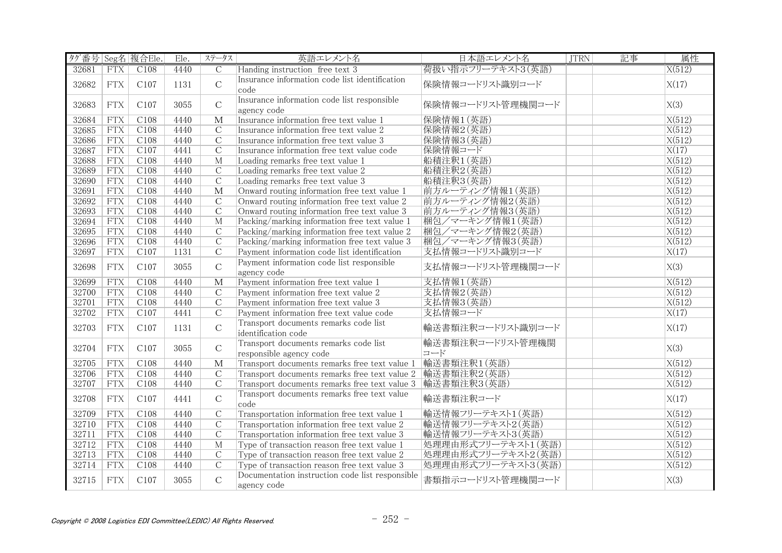| タグ番号 Seg名 複合Ele. |             |      | Ele. | ステータス                   | 英語エレメント名                                                         | 日本語エレメント名               | <b>JTRN</b> | 記事 | 属性     |
|------------------|-------------|------|------|-------------------------|------------------------------------------------------------------|-------------------------|-------------|----|--------|
| 32681            | <b>FTX</b>  | C108 | 4440 | $\overline{C}$          | Handing instruction free text 3                                  | 荷扱い指示フリーテキスト3(英語)       |             |    | X(512) |
| 32682            | <b>FTX</b>  | C107 | 1131 | $\mathcal{C}$           | Insurance information code list identification<br>code           | 保険情報コードリスト識別コード         |             |    | X(17)  |
| 32683            | <b>FTX</b>  | C107 | 3055 | $\overline{C}$          | Insurance information code list responsible<br>agency code       | 保険情報コードリスト管理機関コード       |             |    | X(3)   |
| 32684            | FTX         | C108 | 4440 | $\overline{\mathbf{M}}$ | Insurance information free text value 1                          | 保険情報1(英語)               |             |    | X(512) |
| 32685            | <b>FTX</b>  | C108 | 4440 | $\overline{C}$          | Insurance information free text value 2                          | 保険情報2(英語)               |             |    | X(512) |
| 32686            | FTX         | C108 | 4440 | $\overline{C}$          | Insurance information free text value 3                          | 保険情報3(英語)               |             |    | X(512) |
| 32687            | <b>FTX</b>  | C107 | 4441 | $\overline{C}$          | Insurance information free text value code                       | 保険情報コード                 |             |    | X(17)  |
| 32688            | <b>FTX</b>  | C108 | 4440 | $\overline{M}$          | Loading remarks free text value 1                                | 船積注釈1(英語)               |             |    | X(512) |
| 32689            | <b>FTX</b>  | C108 | 4440 | $\mathcal{C}$           | Loading remarks free text value 2                                | 船積注釈2(英語)               |             |    | X(512) |
| 32690            | FTX         | C108 | 4440 | $\overline{C}$          | Loading remarks free text value 3                                | 船積注釈3(英語)               |             |    | X(512) |
| 32691            | FTX         | C108 | 4440 | $\overline{\mathbf{M}}$ | Onward routing information free text value 1                     | 前方ルーティング情報1(英語)         |             |    | X(512) |
| 32692            | FTX         | C108 | 4440 | $\overline{C}$          | Onward routing information free text value 2                     | 前方ルーティング情報2(英語)         |             |    | X(512) |
| 32693            | FTX         | C108 | 4440 | $\overline{C}$          | Onward routing information free text value 3                     | 前方ルーティング情報3(英語)         |             |    | X(512) |
| 32694            | <b>FTX</b>  | C108 | 4440 | M                       | Packing/marking information free text value 1                    | 梱包/マーキング情報1(英語)         |             |    | X(512) |
| 32695            | <b>FTX</b>  | C108 | 4440 | $\overline{C}$          | Packing/marking information free text value 2                    | 梱包/マーキング情報2(英語)         |             |    | X(512) |
| 32696            | <b>FTX</b>  | C108 | 4440 | $\overline{C}$          | Packing/marking information free text value 3                    | 梱包/マーキング情報3(英語)         |             |    | X(512) |
| 32697            | <b>FTX</b>  | C107 | 1131 | $\mathcal{C}$           | Payment information code list identification                     | 支払情報コードリスト識別コード         |             |    | X(17)  |
| 32698            | ${\rm FTX}$ | C107 | 3055 | $\mathsf C$             | Payment information code list responsible<br>agency code         | 支払情報コードリスト管理機関コード       |             |    | X(3)   |
| 32699            | <b>FTX</b>  | C108 | 4440 | $\overline{\mathbf{M}}$ | Payment information free text value 1                            | 支払情報1(英語)               |             |    | X(512) |
| 32700            | FTX         | C108 | 4440 | $\overline{C}$          | Payment information free text value 2                            | 支払情報2(英語)               |             |    | X(512) |
| 32701            | <b>FTX</b>  | C108 | 4440 | $\overline{C}$          | Payment information free text value 3                            | 支払情報3(英語)               |             |    | X(512) |
| 32702            | <b>FTX</b>  | C107 | 4441 | $\mathcal{C}$           | Payment information free text value code                         | 支払情報コード                 |             |    | X(17)  |
| 32703            | <b>FTX</b>  | C107 | 1131 | $\mathcal{C}$           | Transport documents remarks code list<br>identification code     | 輸送書類注釈コードリスト識別コード       |             |    | X(17)  |
| 32704            | <b>FTX</b>  | C107 | 3055 | $\mathcal{C}$           | Transport documents remarks code list<br>responsible agency code | 輸送書類注釈コードリスト管理機関<br>コード |             |    | X(3)   |
| 32705            | <b>FTX</b>  | C108 | 4440 | M                       | Transport documents remarks free text value 1                    | 輸送書類注釈1(英語)             |             |    | X(512) |
| 32706            | <b>FTX</b>  | C108 | 4440 | $\mathcal{C}$           | Transport documents remarks free text value 2                    | 輸送書類注釈2(英語)             |             |    | X(512) |
| 32707            | <b>FTX</b>  | C108 | 4440 | $\overline{C}$          | Transport documents remarks free text value 3                    | 輸送書類注釈3(英語)             |             |    | X(512) |
| 32708            | <b>FTX</b>  | C107 | 4441 | $\mathsf C$             | Transport documents remarks free text value<br>code              | 輸送書類注釈コード               |             |    | X(17)  |
| 32709            | FTX         | C108 | 4440 | $\overline{C}$          | Transportation information free text value 1                     | 輸送情報フリーテキスト1 (英語)       |             |    | X(512) |
| 32710            | FTX         | C108 | 4440 | $\overline{C}$          | Transportation information free text value 2                     | 輸送情報フリーテキスト2(英語)        |             |    | X(512) |
| 32711            | <b>FTX</b>  | C108 | 4440 | $\overline{C}$          | Transportation information free text value 3                     | 輸送情報フリーテキスト3(英語)        |             |    | X(512) |
| 32712            | <b>FTX</b>  | C108 | 4440 | M                       | Type of transaction reason free text value 1                     | 処理理由形式フリーテキスト1(英語)      |             |    | X(512) |
| 32713            | <b>FTX</b>  | C108 | 4440 | $\mathcal{C}$           | Type of transaction reason free text value 2                     | 処理理由形式フリーテキスト2(英語)      |             |    | X(512) |
| 32714            | <b>FTX</b>  | C108 | 4440 | $\overline{C}$          | Type of transaction reason free text value 3                     | 処理理由形式フリーテキスト3(英語)      |             |    | X(512) |
| 32715            | <b>FTX</b>  | C107 | 3055 | $\mathsf C$             | Documentation instruction code list responsible<br>agency code   | 書類指示コードリスト管理機関コード       |             |    | X(3)   |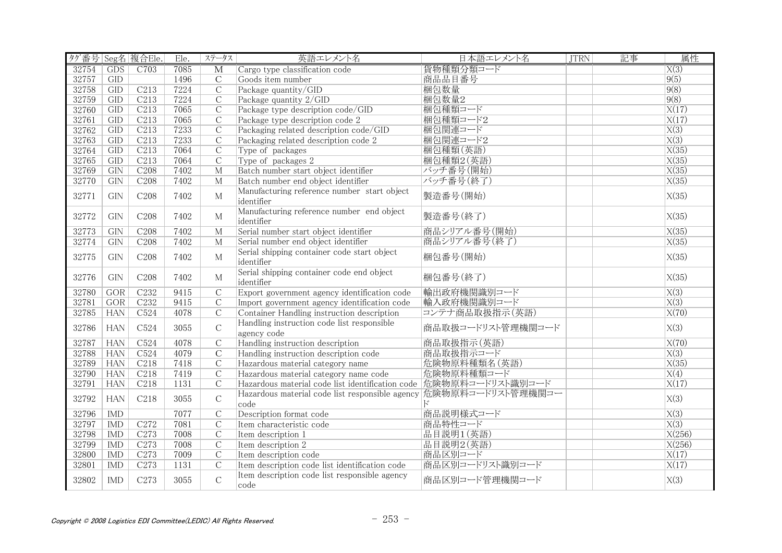| タグ番号 Seg名 複合Ele. |            |                  | Ele. | ステータス                   | 英語エレメント名                                                                  | 日本語エレメント名         | <b>JTRN</b> | 記事 | 属性                 |
|------------------|------------|------------------|------|-------------------------|---------------------------------------------------------------------------|-------------------|-------------|----|--------------------|
| 32754            | <b>GDS</b> | C703             | 7085 | $\overline{\mathbf{M}}$ | Cargo type classification code                                            | 貨物種類分類コード         |             |    | $\overline{X(3)}$  |
| 32757            | GID        |                  | 1496 | $\overline{C}$          | Goods item number                                                         | 商品品目番号            |             |    | 9(5)               |
| 32758            | GID        | C <sub>213</sub> | 7224 | $\mathcal{C}$           | Package quantity/GID                                                      | 梱包数量              |             |    | 9(8)               |
| 32759            | GID        | C <sub>213</sub> | 7224 | $\overline{C}$          | Package quantity 2/GID                                                    | 梱包数量2             |             |    | 9(8)               |
| 32760            | GID        | C213             | 7065 | $\overline{C}$          | Package type description code/GID                                         | 梱包種類コード           |             |    | X(17)              |
| 32761            | GID        | C <sub>213</sub> | 7065 | $\overline{C}$          | Package type description code 2                                           | 梱包種類コード2          |             |    | X(17)              |
| 32762            | GID        | C213             | 7233 | $\overline{C}$          | Packaging related description code/GID                                    | 梱包関連コード           |             |    | $\overline{X(3)}$  |
| 32763            | GID        | C213             | 7233 | $\overline{C}$          | Packaging related description code 2                                      | 梱包関連コード2          |             |    | X(3)               |
| 32764            | GID        | C213             | 7064 | $\overline{C}$          | Type of packages                                                          | 梱包種類(英語)          |             |    | X(35)              |
| 32765            | GID        | C213             | 7064 | $\overline{C}$          | Type of packages 2                                                        | 梱包種類2(英語)         |             |    | X(35)              |
| 32769            | GIN        | C208             | 7402 | $\overline{M}$          | Batch number start object identifier                                      | バッチ番号(開始)         |             |    | X(35)              |
| 32770            | GIN        | C <sub>208</sub> | 7402 | $\overline{M}$          | Batch number end object identifier                                        | バッチ番号(終了)         |             |    | X(35)              |
| 32771            | GIN        | C <sub>208</sub> | 7402 | $\mathbf{M}$            | Manufacturing reference number start object<br>identifier                 | 製造番号(開始)          |             |    | X(35)              |
| 32772            | GIN        | C <sub>208</sub> | 7402 | $\mathbf M$             | Manufacturing reference number end object<br>identifier                   | 製造番号(終了)          |             |    | X(35)              |
| 32773            | GIN        | C <sub>208</sub> | 7402 | $\mathbf M$             | Serial number start object identifier                                     | 商品シリアル番号(開始)      |             |    | X(35)              |
| 32774            | GIN        | C <sub>208</sub> | 7402 | M                       | Serial number end object identifier                                       | 商品シリアル番号(終了)      |             |    | $\overline{X(35)}$ |
| 32775            | <b>GIN</b> | C <sub>208</sub> | 7402 | M                       | Serial shipping container code start object<br>identifier                 | 梱包番号(開始)          |             |    | X(35)              |
| 32776            | GIN        | C208             | 7402 | M                       | Serial shipping container code end object<br>identifier                   | 梱包番号(終了)          |             |    | X(35)              |
| 32780            | GOR        | C <sub>232</sub> | 9415 | $\overline{C}$          | Export government agency identification code                              | 輸出政府機関識別コード       |             |    | $\overline{X(3)}$  |
| 32781            | <b>GOR</b> | C <sub>232</sub> | 9415 | $\overline{C}$          | Import government agency identification code                              | 輸入政府機関識別コード       |             |    | $\overline{X(3)}$  |
| 32785            | <b>HAN</b> | C524             | 4078 | $\mathcal{C}$           | Container Handling instruction description                                | コンテナ商品取扱指示(英語)    |             |    | X(70)              |
| 32786            | <b>HAN</b> | C524             | 3055 | $\mathcal{C}$           | Handling instruction code list responsible<br>agency code                 | 商品取扱コードリスト管理機関コード |             |    | X(3)               |
| 32787            | <b>HAN</b> | C524             | 4078 | $\overline{C}$          | Handling instruction description                                          | 商品取扱指示(英語)        |             |    | X(70)              |
| 32788            | <b>HAN</b> | C <sub>524</sub> | 4079 | $\overline{C}$          | Handling instruction description code                                     | 商品取扱指示コード         |             |    | X(3)               |
| 32789            | <b>HAN</b> | C <sub>218</sub> | 7418 | $\mathcal{C}$           | Hazardous material category name                                          | 危険物原料種類名(英語)      |             |    | X(35)              |
| 32790            | <b>HAN</b> | C <sub>218</sub> | 7419 | $\overline{C}$          | Hazardous material category name code                                     | 危険物原料種類コード        |             |    | X(4)               |
| 32791            | <b>HAN</b> | C218             | 1131 | $\overline{C}$          | Hazardous material code list identification code 危険物原料コードリスト識別コード         |                   |             |    | X(17)              |
| 32792            | <b>HAN</b> | C218             | 3055 | $\mathcal{C}$           | Hazardous material code list responsible agency 危険物原料コードリスト管理機関コー<br>code | Е                 |             |    | X(3)               |
| 32796            | <b>IMD</b> |                  | 7077 | $\overline{C}$          | Description format code                                                   | 商品説明様式コード         |             |    | $\overline{X(3)}$  |
| 32797            | <b>IMD</b> | C <sub>272</sub> | 7081 | $\overline{C}$          | Item characteristic code                                                  | 商品特性コード           |             |    | X(3)               |
| 32798            | <b>IMD</b> | C <sub>273</sub> | 7008 | $\overline{C}$          | Item description 1                                                        | 品目説明1 (英語)        |             |    | X(256)             |
| 32799            | <b>IMD</b> | C <sub>273</sub> | 7008 | $\overline{C}$          | Item description 2                                                        | 品目説明2(英語)         |             |    | X(256)             |
| 32800            | <b>IMD</b> | C <sub>273</sub> | 7009 | $\overline{C}$          | Item description code                                                     | 商品区別コード           |             |    | X(17)              |
| 32801            | <b>IMD</b> | C <sub>273</sub> | 1131 | $\mathcal{C}$           | Item description code list identification code                            | 商品区別コードリスト識別コード   |             |    | $\overline{X(17)}$ |
| 32802            | <b>IMD</b> | C273             | 3055 | $\mathcal{C}$           | Item description code list responsible agency<br>code                     | 商品区別コード管理機関コード    |             |    | X(3)               |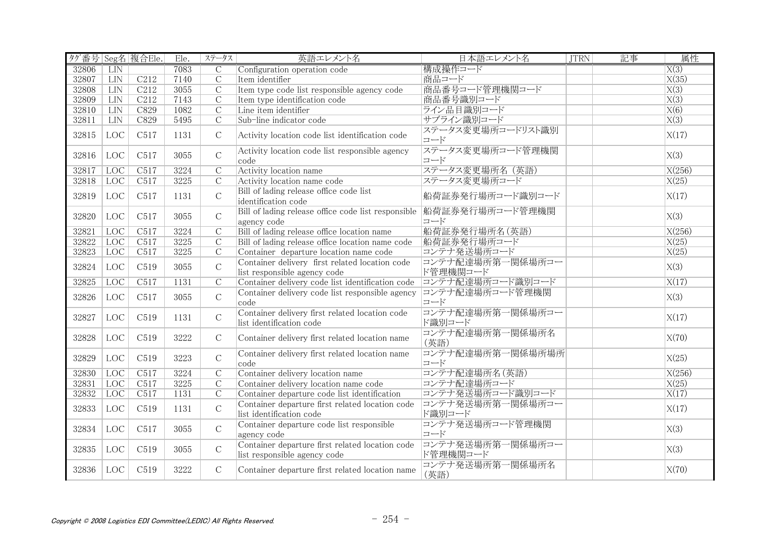| タグ番号 Seg名 複合Ele. |                   |                  | Ele. | ステータス          | 英語エレメント名                                                                           | 日本語エレメント名                    | <b>JTRN</b> | 記事 | 属性                |
|------------------|-------------------|------------------|------|----------------|------------------------------------------------------------------------------------|------------------------------|-------------|----|-------------------|
| 32806            | <b>LIN</b>        |                  | 7083 | $\mathcal{C}$  | Configuration operation code                                                       | 構成操作コード                      |             |    | X(3)              |
| 32807            | <b>LIN</b>        | C <sub>212</sub> | 7140 | $\overline{C}$ | Item identifier                                                                    | 商品コード                        |             |    | X(35)             |
| 32808            | <b>LIN</b>        | C212             | 3055 | $\overline{C}$ | Item type code list responsible agency code                                        | 商品番号コード管理機関コード               |             |    | X(3)              |
| 32809            | <b>LIN</b>        | C <sub>212</sub> | 7143 | $\mathcal{C}$  | Item type identification code                                                      | 商品番号識別コード                    |             |    | $\overline{X(3)}$ |
| 32810            | LIN               | C829             | 1082 | $\overline{C}$ | Line item identifier                                                               | ライン品目識別コード                   |             |    | X(6)              |
| 32811            | LIN               | C829             | 5495 | $\overline{C}$ | Sub-line indicator code                                                            | サブライン識別コード                   |             |    | X(3)              |
| 32815            | LOC               | C517             | 1131 | $\mathcal{C}$  | Activity location code list identification code                                    | ステータス変更場所コードリスト識別<br>コード     |             |    | X(17)             |
| 32816            | LOC               | C517             | 3055 | $\mathcal{C}$  | Activity location code list responsible agency<br>code                             | ステータス変更場所コード管理機関<br>コード      |             |    | X(3)              |
| 32817            | <b>LOC</b>        | C517             | 3224 | $\mathcal{C}$  | Activity location name                                                             | ステータス変更場所名 (英語)              |             |    | X(256)            |
| 32818            | <b>LOC</b>        | C517             | 3225 | $\mathcal{C}$  | Activity location name code                                                        | ステータス変更場所コード                 |             |    | X(25)             |
| 32819            | LOC               | C517             | 1131 | $\mathsf{C}$   | Bill of lading release office code list<br>identification code                     | 船荷証券発行場所コード識別コード             |             |    | X(17)             |
| 32820            | LOC               | C517             | 3055 | $\mathsf{C}$   | Bill of lading release office code list responsible 船荷証券発行場所コード管理機関<br>agency code | コード                          |             |    | X(3)              |
| 32821            | <b>LOC</b>        | C517             | 3224 | $\overline{C}$ | Bill of lading release office location name                                        | 船荷証券発行場所名(英語)                |             |    | X(256)            |
| 32822            | <b>LOC</b>        | C517             | 3225 | $\mathcal{C}$  | Bill of lading release office location name code                                   | 船荷証券発行場所コード                  |             |    | X(25)             |
| 32823            | <b>LOC</b>        | C517             | 3225 | $\overline{C}$ | Container departure location name code                                             | コンテナ発送場所コード                  |             |    | X(25)             |
| 32824            | LOC               | C519             | 3055 | $\mathcal{C}$  | Container delivery first related location code<br>list responsible agency code     | コンテナ配達場所第一関係場所コー<br>ド管理機関コード |             |    | X(3)              |
| 32825            | LOC               | C517             | 1131 | $\mathcal{C}$  | Container delivery code list identification code                                   | コンテナ配達場所コード識別コード             |             |    | X(17)             |
| 32826            | LOC               | C517             | 3055 | $\mathsf{C}$   | Container delivery code list responsible agency<br>code                            | コンテナ配達場所コード管理機関<br>コード       |             |    | X(3)              |
| 32827            | LOC               | C519             | 1131 | $\mathcal{C}$  | Container delivery first related location code<br>list identification code         | コンテナ配達場所第一関係場所コー<br>ド識別コード   |             |    | X(17)             |
| 32828            | LOC               | C519             | 3222 | $\mathcal{C}$  | Container delivery first related location name                                     | コンテナ配達場所第一関係場所名<br>(英語)      |             |    | X(70)             |
| 32829            | LOC               | C519             | 3223 | $\mathsf{C}$   | Container delivery first related location name<br>code                             | コンテナ配達場所第一関係場所場所<br>コード      |             |    | X(25)             |
| 32830            | LOC               | C517             | 3224 | $\mathcal{C}$  | Container delivery location name                                                   | コンテナ配達場所名 (英語)               |             |    | X(256)            |
| 32831            | <b>LOC</b>        | C517             | 3225 | $\overline{C}$ | Container delivery location name code                                              | コンテナ配達場所コード                  |             |    | X(25)             |
| 32832            | <b>LOC</b>        | C517             | 1131 | $\overline{C}$ | Container departure code list identification                                       | コンテナ発送場所コード識別コード             |             |    | X(17)             |
| 32833            | $_{\mathrm{LOC}}$ | C519             | 1131 | $\mathcal{C}$  | Container departure first related location code<br>list identification code        | コンテナ発送場所第一関係場所コー<br>ド識別コード   |             |    | X(17)             |
| 32834            | LOC               | C517             | 3055 | $\mathcal{C}$  | Container departure code list responsible<br>agency code                           | コンテナ発送場所コード管理機関<br>コード       |             |    | X(3)              |
| 32835            | LOC               | C519             | 3055 | $\mathcal{C}$  | Container departure first related location code<br>list responsible agency code    | コンテナ発送場所第一関係場所コー<br>ド管理機関コード |             |    | X(3)              |
| 32836            | LOC               | C519             | 3222 | $\mathcal{C}$  | Container departure first related location name                                    | コンテナ発送場所第一関係場所名<br>(英語)      |             |    | X(70)             |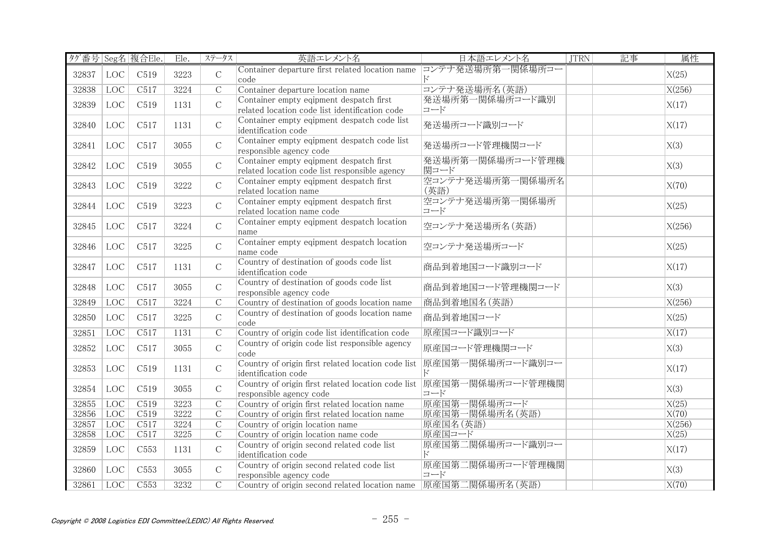|       |            | タグ番号 Seg名 複合Ele. | Ele. | ステータス          | 英語エレメント名                                                                                        | 日本語エレメント名                | JTRN | 記事 | 属性     |
|-------|------------|------------------|------|----------------|-------------------------------------------------------------------------------------------------|--------------------------|------|----|--------|
| 32837 | LOC        | C519             | 3223 | $\mathcal{C}$  | Container departure first related location name コンテナ発送場所第一関係場所コー<br>code                        | k,                       |      |    | X(25)  |
| 32838 | <b>LOC</b> | C517             | 3224 | $\overline{C}$ | Container departure location name                                                               | コンテナ発送場所名 (英語)           |      |    | X(256) |
| 32839 | LOC        | C519             | 1131 | $\mathcal{C}$  | Container empty eqipment despatch first<br>related location code list identification code       | 発送場所第一関係場所コード識別<br>コード   |      |    | X(17)  |
| 32840 | LOC        | C517             | 1131 | $\mathsf C$    | Container empty eqipment despatch code list<br>identification code                              | 発送場所コード識別コード             |      |    | X(17)  |
| 32841 | LOC        | C517             | 3055 | $\mathsf C$    | Container empty eqipment despatch code list<br>responsible agency code                          | 発送場所コード管理機関コード           |      |    | X(3)   |
| 32842 | LOC        | C519             | 3055 | $\mathsf{C}$   | Container empty eqipment despatch first<br>related location code list responsible agency        | 発送場所第一関係場所コード管理機<br>関コード |      |    | X(3)   |
| 32843 | LOC        | C519             | 3222 | $\mathsf C$    | Container empty eqipment despatch first<br>related location name                                | 空コンテナ発送場所第一関係場所名<br>(英語) |      |    | X(70)  |
| 32844 | LOC        | C519             | 3223 | $\mathsf C$    | Container empty eqipment despatch first<br>related location name code                           | 空コンテナ発送場所第一関係場所<br>コード   |      |    | X(25)  |
| 32845 | LOC        | C517             | 3224 | $\mathsf{C}$   | Container empty eqipment despatch location<br>name                                              | 空コンテナ発送場所名(英語)           |      |    | X(256) |
| 32846 | LOC        | C517             | 3225 | $\mathcal{C}$  | Container empty eqipment despatch location<br>name code                                         | 空コンテナ発送場所コード             |      |    | X(25)  |
| 32847 | LOC        | C517             | 1131 | $\mathsf{C}$   | Country of destination of goods code list<br>identification code                                | 商品到着地国コード識別コード           |      |    | X(17)  |
| 32848 | LOC        | C517             | 3055 | $\mathsf C$    | Country of destination of goods code list<br>responsible agency code                            | 商品到着地国コード管理機関コード         |      |    | X(3)   |
| 32849 | <b>LOC</b> | C517             | 3224 | $\mathcal{C}$  | Country of destination of goods location name                                                   | 商品到着地国名(英語)              |      |    | X(256) |
| 32850 | LOC        | C517             | 3225 | $\mathsf C$    | Country of destination of goods location name<br>code                                           | 商品到着地国コード                |      |    | X(25)  |
| 32851 | LOC        | C517             | 1131 | $\overline{C}$ | Country of origin code list identification code                                                 | 原産国コード識別コード              |      |    | X(17)  |
| 32852 | LOC        | C517             | 3055 | $\mathsf{C}$   | Country of origin code list responsible agency<br>code                                          | 原産国コード管理機関コード            |      |    | X(3)   |
| 32853 | LOC        | C519             | 1131 | $\mathcal{C}$  | Country of origin first related location code list<br>identification code                       | 原産国第一関係場所コード識別コー         |      |    | X(17)  |
| 32854 | LOC        | C519             | 3055 | $\mathcal{C}$  | Country of origin first related location code list  原産国第一関係場所コード管理機関<br>responsible agency code | コード                      |      |    | X(3)   |
| 32855 | <b>LOC</b> | C <sub>519</sub> | 3223 | $\overline{C}$ | Country of origin first related location name                                                   | 原産国第一関係場所コード             |      |    | X(25)  |
| 32856 | <b>LOC</b> | C519             | 3222 | $\overline{C}$ | Country of origin first related location name                                                   | 原産国第一関係場所名 (英語)          |      |    | X(70)  |
| 32857 | <b>LOC</b> | C517             | 3224 | $\overline{C}$ | Country of origin location name                                                                 | 原産国名(英語)                 |      |    | X(256) |
| 32858 | <b>LOC</b> | C517             | 3225 | $\overline{C}$ | Country of origin location name code                                                            | 原産国コード                   |      |    | X(25)  |
| 32859 | LOC        | C <sub>553</sub> | 1131 | $\mathsf C$    | Country of origin second related code list<br>identification code                               | 原産国第二関係場所コード識別コー         |      |    | X(17)  |
| 32860 | LOC        | C <sub>553</sub> | 3055 | $\mathsf{C}$   | Country of origin second related code list<br>responsible agency code                           | 原産国第二関係場所コード管理機関<br>コード  |      |    | X(3)   |
| 32861 | LOC        | C553             | 3232 | $\overline{C}$ | Country of origin second related location name 原産国第二関係場所名(英語)                                   |                          |      |    | X(70)  |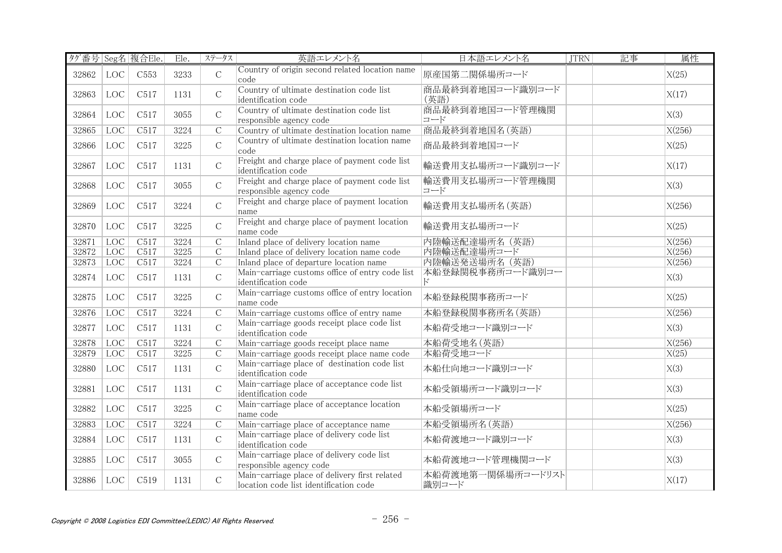| タグ番号 Seg名 複合Ele. |                   |                  | Ele. | ステータス          | 英語エレメント名                                                                                | 日本語エレメント名                  | <b>JTRN</b> | 記事 | 属性     |
|------------------|-------------------|------------------|------|----------------|-----------------------------------------------------------------------------------------|----------------------------|-------------|----|--------|
| 32862            | LOC               | C <sub>553</sub> | 3233 | $\mathsf C$    | Country of origin second related location name<br>code                                  | 原産国第二関係場所コード               |             |    | X(25)  |
| 32863            | LOC               | C517             | 1131 | $\mathsf C$    | Country of ultimate destination code list<br>identification code                        | 商品最終到着地国コード識別コード<br>(英語)   |             |    | X(17)  |
| 32864            | LOC               | C517             | 3055 | $\mathsf{C}$   | Country of ultimate destination code list<br>responsible agency code                    | 商品最終到着地国コード管理機関<br>コード     |             |    | X(3)   |
| 32865            | <b>LOC</b>        | C517             | 3224 | $\overline{C}$ | Country of ultimate destination location name                                           | 商品最終到着地国名(英語)              |             |    | X(256) |
| 32866            | LOC               | C517             | 3225 | $\mathsf{C}$   | Country of ultimate destination location name<br>code                                   | 商品最終到着地国コード                |             |    | X(25)  |
| 32867            | $_{\mathrm{LOC}}$ | C517             | 1131 | $\mathcal{C}$  | Freight and charge place of payment code list<br>identification code                    | 輸送費用支払場所コード識別コード           |             |    | X(17)  |
| 32868            | LOC               | C517             | 3055 | $\mathcal{C}$  | Freight and charge place of payment code list<br>responsible agency code                | 輸送費用支払場所コード管理機関<br>コード     |             |    | X(3)   |
| 32869            | LOC               | C517             | 3224 | $\mathsf{C}$   | Freight and charge place of payment location<br>name                                    | 輸送費用支払場所名(英語)              |             |    | X(256) |
| 32870            | LOC               | C517             | 3225 | $\mathsf{C}$   | Freight and charge place of payment location<br>name code                               | 輸送費用支払場所コード                |             |    | X(25)  |
| 32871            | <b>LOC</b>        | C517             | 3224 | $\overline{C}$ | Inland place of delivery location name                                                  | 内陸輸送配達場所名 (英語)             |             |    | X(256) |
| 32872            | <b>LOC</b>        | C517             | 3225 | $\overline{C}$ | Inland place of delivery location name code                                             | 内陸輸送配達場所コード                |             |    | X(256) |
| 32873            | <b>LOC</b>        | C517             | 3224 | $\overline{C}$ | Inland place of departure location name                                                 | 内陸輸送発送場所名 (英語)             |             |    | X(256) |
| 32874            | LOC               | C517             | 1131 | $\mathsf C$    | Main-carriage customs office of entry code list<br>identification code                  | 本船登録関税事務所コード識別コー<br>К      |             |    | X(3)   |
| 32875            | LOC               | C517             | 3225 | $\mathsf{C}$   | Main-carriage customs office of entry location<br>name code                             | 本船登録税関事務所コード               |             |    | X(25)  |
| 32876            | <b>LOC</b>        | C517             | 3224 | $\overline{C}$ | Main-carriage customs office of entry name                                              | 本船登録税関事務所名 (英語)            |             |    | X(256) |
| 32877            | LOC               | C517             | 1131 | $\mathcal{C}$  | Main-carriage goods receipt place code list<br>identification code                      | 本船荷受地コード識別コード              |             |    | X(3)   |
| 32878            | LOC               | C517             | 3224 | $\overline{C}$ | Main-carriage goods receipt place name                                                  | 本船荷受地名(英語)                 |             |    | X(256) |
| 32879            | <b>LOC</b>        | C517             | 3225 | $\mathcal{C}$  | Main-carriage goods receipt place name code                                             | 本船荷受地コード                   |             |    | X(25)  |
| 32880            | LOC               | C517             | 1131 | $\mathsf{C}$   | Main-carriage place of destination code list<br>identification code                     | 本船仕向地コード識別コード              |             |    | X(3)   |
| 32881            | LOC               | C517             | 1131 | $\mathcal{C}$  | Main-carriage place of acceptance code list<br>identification code                      | 本船受領場所コード識別コード             |             |    | X(3)   |
| 32882            | LOC               | C517             | 3225 | $\mathsf{C}$   | Main-carriage place of acceptance location<br>name code                                 | 本船受領場所コード                  |             |    | X(25)  |
| 32883            | LOC               | C517             | 3224 | $\overline{C}$ | Main-carriage place of acceptance name                                                  | 本船受領場所名 (英語)               |             |    | X(256) |
| 32884            | LOC               | C517             | 1131 | $\mathcal{C}$  | Main-carriage place of delivery code list<br>identification code                        | 本船荷渡地コード識別コード              |             |    | X(3)   |
| 32885            | LOC               | C517             | 3055 | $\mathcal{C}$  | Main-carriage place of delivery code list<br>responsible agency code                    | 本船荷渡地コード管理機関コード            |             |    | X(3)   |
| 32886            | $_{\mathrm{LOC}}$ | C519             | 1131 | $\mathsf{C}$   | Main-carriage place of delivery first related<br>location code list identification code | 本船荷渡地第一関係場所コードリスト<br>識別コード |             |    | X(17)  |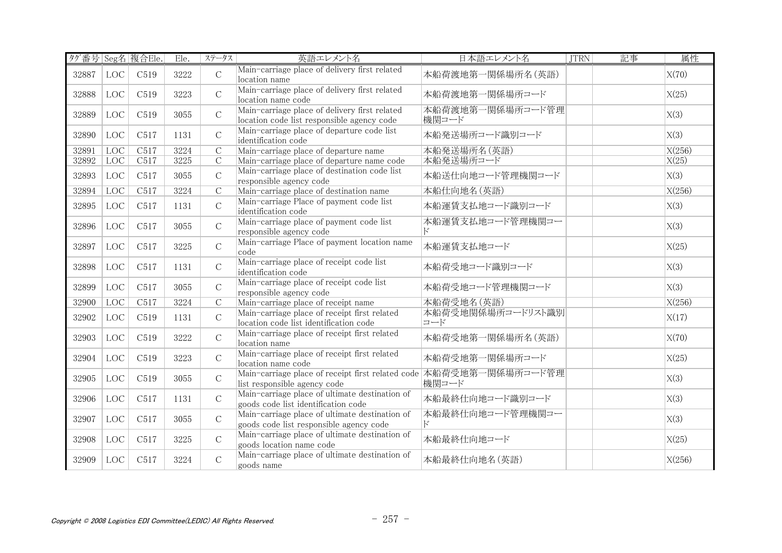| タグ番号 Seg名 複合Ele. |            |                   | Ele. | ステータス          | 英語エレメント名                                                                                           | 日本語エレメント名                 | <b>JTRN</b> | 記事 | 属性     |
|------------------|------------|-------------------|------|----------------|----------------------------------------------------------------------------------------------------|---------------------------|-------------|----|--------|
| 32887            | LOC        | C519              | 3222 | $\mathsf{C}$   | Main-carriage place of delivery first related<br>location name                                     | 本船荷渡地第一関係場所名(英語)          |             |    | X(70)  |
| 32888            | LOC        | C519              | 3223 | $\mathsf{C}$   | Main-carriage place of delivery first related<br>location name code                                | 本船荷渡地第一関係場所コード            |             |    | X(25)  |
| 32889            | LOC        | C519              | 3055 | $\mathsf{C}$   | Main-carriage place of delivery first related<br>location code list responsible agency code        | 本船荷渡地第一関係場所コード管理<br>機関コード |             |    | X(3)   |
| 32890            | LOC        | C517              | 1131 | $\mathsf{C}$   | Main-carriage place of departure code list<br>identification code                                  | 本船発送場所コード識別コード            |             |    | X(3)   |
| 32891            | <b>LOC</b> | C517              | 3224 | $\overline{C}$ | Main-carriage place of departure name                                                              | 本船発送場所名(英語)               |             |    | X(256) |
| 32892            | <b>LOC</b> | C517              | 3225 | $\overline{C}$ | Main-carriage place of departure name code                                                         | 本船発送場所コード                 |             |    | X(25)  |
| 32893            | LOC        | C517              | 3055 | $\mathsf{C}$   | Main-carriage place of destination code list<br>responsible agency code                            | 本船送仕向地コード管理機関コード          |             |    | X(3)   |
| 32894            | LOC        | $\overline{C517}$ | 3224 | $\overline{C}$ | Main-carriage place of destination name                                                            | 本船仕向地名(英語)                |             |    | X(256) |
| 32895            | LOC        | C517              | 1131 | $\mathsf{C}$   | Main-carriage Place of payment code list<br>identification code                                    | 本船運賃支払地コード識別コード           |             |    | X(3)   |
| 32896            | LOC        | C517              | 3055 | $\mathsf{C}$   | Main-carriage place of payment code list<br>responsible agency code                                | 本船運賃支払地コード管理機関コー<br>ド     |             |    | X(3)   |
| 32897            | LOC        | C517              | 3225 | $\mathsf{C}$   | Main-carriage Place of payment location name<br>code                                               | 本船運賃支払地コード                |             |    | X(25)  |
| 32898            | LOC        | C517              | 1131 | $\mathcal{C}$  | Main-carriage place of receipt code list<br>identification code                                    | 本船荷受地コード識別コード             |             |    | X(3)   |
| 32899            | LOC        | C517              | 3055 | $\mathcal{C}$  | Main-carriage place of receipt code list<br>responsible agency code                                | 本船荷受地コード管理機関コード           |             |    | X(3)   |
| 32900            | LOC        | C517              | 3224 | $\mathcal{C}$  | Main-carriage place of receipt name                                                                | 本船荷受地名(英語)                |             |    | X(256) |
| 32902            | LOC        | C519              | 1131 | $\mathsf{C}$   | Main-carriage place of receipt first related<br>location code list identification code             | 本船荷受地関係場所コードリスト識別<br>コード  |             |    | X(17)  |
| 32903            | LOC        | C519              | 3222 | $\mathcal{C}$  | Main-carriage place of receipt first related<br>location name                                      | 本船荷受地第一関係場所名(英語)          |             |    | X(70)  |
| 32904            | LOC        | C519              | 3223 | $\mathcal{C}$  | Main-carriage place of receipt first related<br>location name code                                 | 本船荷受地第一関係場所コード            |             |    | X(25)  |
| 32905            | LOC        | C519              | 3055 | $\mathcal{C}$  | Main-carriage place of receipt first related code 本船荷受地第一関係場所コード管理<br>list responsible agency code | 機関コード                     |             |    | X(3)   |
| 32906            | LOC        | C517              | 1131 | $\mathsf{C}$   | Main-carriage place of ultimate destination of<br>goods code list identification code              | 本船最終仕向地コード識別コード           |             |    | X(3)   |
| 32907            | LOC        | C517              | 3055 | $\mathsf{C}$   | Main-carriage place of ultimate destination of<br>goods code list responsible agency code          | 本船最終仕向地コード管理機関コー<br>k,    |             |    | X(3)   |
| 32908            | LOC        | C517              | 3225 | $\mathcal{C}$  | Main-carriage place of ultimate destination of<br>goods location name code                         | 本船最終仕向地コード                |             |    | X(25)  |
| 32909            | LOC        | C517              | 3224 | $\mathcal{C}$  | Main-carriage place of ultimate destination of<br>goods name                                       | 本船最終仕向地名(英語)              |             |    | X(256) |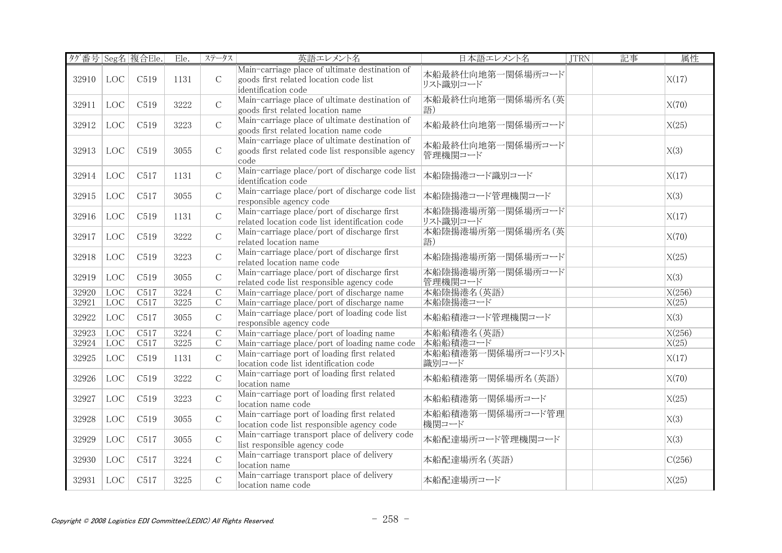|       |            | タグ番号 Seg名 複合Ele. | Ele. | ステータス          | 英語エレメント名                                                                                                        | 日本語エレメント名                    | <b>JTRN</b> | 記事 | 属性     |
|-------|------------|------------------|------|----------------|-----------------------------------------------------------------------------------------------------------------|------------------------------|-------------|----|--------|
| 32910 | LOC        | C519             | 1131 | $\mathsf C$    | Main-carriage place of ultimate destination of<br>goods first related location code list<br>identification code | 本船最終仕向地第一関係場所コード<br>リスト識別コード |             |    | X(17)  |
| 32911 | LOC        | C519             | 3222 | $\mathcal{C}$  | Main-carriage place of ultimate destination of<br>goods first related location name                             | 本船最終仕向地第一関係場所名(英<br>語)       |             |    | X(70)  |
| 32912 | LOC        | C519             | 3223 | $\mathsf C$    | Main-carriage place of ultimate destination of<br>goods first related location name code                        | 本船最終仕向地第一関係場所コード             |             |    | X(25)  |
| 32913 | LOC        | C519             | 3055 | $\mathcal{C}$  | Main-carriage place of ultimate destination of<br>goods first related code list responsible agency<br>code      | 本船最終仕向地第一関係場所コード<br>管理機関コード  |             |    | X(3)   |
| 32914 | LOC        | C517             | 1131 | $\mathcal{C}$  | Main-carriage place/port of discharge code list<br>identification code                                          | 本船陸揚港コード識別コード                |             |    | X(17)  |
| 32915 | LOC        | C517             | 3055 | $\mathcal{C}$  | Main-carriage place/port of discharge code list<br>responsible agency code                                      | 本船陸揚港コード管理機関コード              |             |    | X(3)   |
| 32916 | LOC        | C519             | 1131 | $\mathcal{C}$  | Main-carriage place/port of discharge first<br>related location code list identification code                   | 本船陸揚港場所第一関係場所コード<br>リスト識別コード |             |    | X(17)  |
| 32917 | LOC        | C519             | 3222 | $\mathcal{C}$  | Main-carriage place/port of discharge first<br>related location name                                            | 本船陸揚港場所第一関係場所名(英<br>語)       |             |    | X(70)  |
| 32918 | LOC        | C519             | 3223 | $\mathcal{C}$  | Main-carriage place/port of discharge first<br>related location name code                                       | 本船陸揚港場所第一関係場所コード             |             |    | X(25)  |
| 32919 | LOC        | C519             | 3055 | $\mathcal{C}$  | Main-carriage place/port of discharge first<br>related code list responsible agency code                        | 本船陸揚港場所第一関係場所コード<br>管理機関コード  |             |    | X(3)   |
| 32920 | <b>LOC</b> | C517             | 3224 | $\overline{C}$ | Main-carriage place/port of discharge name                                                                      | 本船陸揚港名(英語)                   |             |    | X(256) |
| 32921 | <b>LOC</b> | C517             | 3225 | $\overline{C}$ | Main-carriage place/port of discharge name                                                                      | 本船陸揚港コード                     |             |    | X(25)  |
| 32922 | LOC        | C517             | 3055 | $\mathcal{C}$  | Main-carriage place/port of loading code list<br>responsible agency code                                        | 本船船積港コード管理機関コード              |             |    | X(3)   |
| 32923 | LOC        | C517             | 3224 | $\overline{C}$ | Main-carriage place/port of loading name                                                                        | 本船船積港名(英語)                   |             |    | X(256) |
| 32924 | LOC        | C517             | 3225 | $\overline{C}$ | Main-carriage place/port of loading name code 本船船積港コード                                                          |                              |             |    | X(25)  |
| 32925 | LOC        | C519             | 1131 | $\mathsf C$    | Main-carriage port of loading first related<br>location code list identification code                           | 本船船積港第一関係場所コードリスト<br>識別コード   |             |    | X(17)  |
| 32926 | LOC        | C519             | 3222 | $\mathsf C$    | Main-carriage port of loading first related<br>location name                                                    | 本船船積港第一関係場所名 (英語)            |             |    | X(70)  |
| 32927 | LOC        | C519             | 3223 | $\mathsf C$    | Main-carriage port of loading first related<br>location name code                                               | 本船船積港第一関係場所コード               |             |    | X(25)  |
| 32928 | LOC        | C519             | 3055 | $\mathcal{C}$  | Main-carriage port of loading first related<br>location code list responsible agency code                       | 本船船積港第一関係場所コード管理<br>機関コード    |             |    | X(3)   |
| 32929 | LOC        | C517             | 3055 | $\mathcal{C}$  | Main-carriage transport place of delivery code<br>list responsible agency code                                  | 本船配達場所コード管理機関コード             |             |    | X(3)   |
| 32930 | LOC        | C517             | 3224 | $\mathcal{C}$  | Main-carriage transport place of delivery<br>location name                                                      | 本船配達場所名(英語)                  |             |    | C(256) |
| 32931 | LOC        | C517             | 3225 | $\mathcal{C}$  | Main-carriage transport place of delivery<br>location name code                                                 | 本船配達場所コード                    |             |    | X(25)  |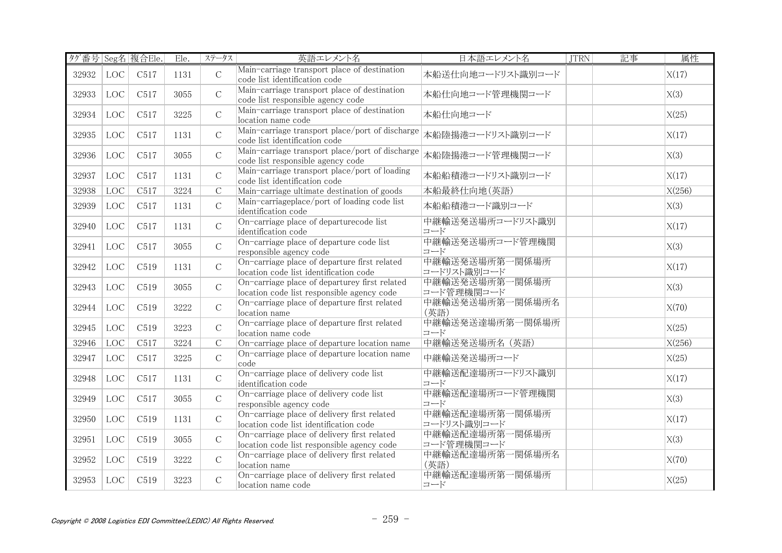| タグ番号 Seg名 複合Ele. |                   |      | Ele. | ステータス          | 英語エレメント名                                                                                    | 日本語エレメント名                     | <b>JTRN</b> | 記事 | 属性     |
|------------------|-------------------|------|------|----------------|---------------------------------------------------------------------------------------------|-------------------------------|-------------|----|--------|
| 32932            | $_{\mathrm{LOC}}$ | C517 | 1131 | $\mathcal{C}$  | Main-carriage transport place of destination<br>code list identification code               | 本船送仕向地コードリスト識別コード             |             |    | X(17)  |
| 32933            | LOC               | C517 | 3055 | $\mathsf C$    | Main-carriage transport place of destination<br>code list responsible agency code           | 本船仕向地コード管理機関コード               |             |    | X(3)   |
| 32934            | LOC               | C517 | 3225 | $\mathsf C$    | Main-carriage transport place of destination<br>location name code                          | 本船仕向地コード                      |             |    | X(25)  |
| 32935            | LOC               | C517 | 1131 | $\mathcal{C}$  | Main-carriage transport place/port of discharge<br>code list identification code            | 本船陸揚港コードリスト識別コード              |             |    | X(17)  |
| 32936            | LOC               | C517 | 3055 | $\mathsf C$    | Main-carriage transport place/port of discharge<br>code list responsible agency code        | 本船陸揚港コード管理機関コード               |             |    | X(3)   |
| 32937            | LOC               | C517 | 1131 | $\mathcal{C}$  | Main-carriage transport place/port of loading<br>code list identification code              | 本船船積港コードリスト識別コード              |             |    | X(17)  |
| 32938            | LOC               | C517 | 3224 | $\overline{C}$ | Main-carriage ultimate destination of goods                                                 | 本船最終仕向地(英語)                   |             |    | X(256) |
| 32939            | LOC               | C517 | 1131 | $\mathsf C$    | Main-carriageplace/port of loading code list<br>identification code                         | 本船船積港コード識別コード                 |             |    | X(3)   |
| 32940            | LOC               | C517 | 1131 | $\mathsf{C}$   | On-carriage place of departurecode list<br>identification code                              | 中継輸送発送場所コードリスト識別<br>コード       |             |    | X(17)  |
| 32941            | LOC               | C517 | 3055 | $\mathsf C$    | On-carriage place of departure code list<br>responsible agency code                         | 中継輸送発送場所コード管理機関<br>コード        |             |    | X(3)   |
| 32942            | LOC               | C519 | 1131 | $\mathsf C$    | On-carriage place of departure first related<br>location code list identification code      | 中継輸送発送場所第一関係場所<br>コードリスト識別コード |             |    | X(17)  |
| 32943            | LOC               | C519 | 3055 | $\mathcal{C}$  | On-carriage place of departurey first related<br>location code list responsible agency code | 中継輸送発送場所第一関係場所<br>コード管理機関コード  |             |    | X(3)   |
| 32944            | LOC               | C519 | 3222 | $\mathsf C$    | On-carriage place of departure first related<br>location name                               | 中継輸送発送場所第一関係場所名<br>(英語)       |             |    | X(70)  |
| 32945            | LOC               | C519 | 3223 | $\mathsf C$    | On-carriage place of departure first related<br>location name code                          | 中継輸送発送達場所第一関係場所<br>コード        |             |    | X(25)  |
| 32946            | LOC               | C517 | 3224 | $\overline{C}$ | On-carriage place of departure location name                                                | 中継輸送発送場所名 (英語)                |             |    | X(256) |
| 32947            | LOC               | C517 | 3225 | $\mathsf C$    | On-carriage place of departure location name<br>code                                        | 中継輸送発送場所コード                   |             |    | X(25)  |
| 32948            | LOC               | C517 | 1131 | $\mathsf C$    | On-carriage place of delivery code list<br>identification code                              | 中継輸送配達場所コードリスト識別<br>コード       |             |    | X(17)  |
| 32949            | LOC               | C517 | 3055 | $\mathsf C$    | On-carriage place of delivery code list<br>responsible agency code                          | 中継輸送配達場所コード管理機関<br>コード        |             |    | X(3)   |
| 32950            | LOC               | C519 | 1131 | $\mathsf C$    | On-carriage place of delivery first related<br>location code list identification code       | 中継輸送配達場所第一関係場所<br>コードリスト識別コード |             |    | X(17)  |
| 32951            | LOC               | C519 | 3055 | $\mathcal{C}$  | On-carriage place of delivery first related<br>location code list responsible agency code   | 中継輸送配達場所第一関係場所<br>コード管理機関コード  |             |    | X(3)   |
| 32952            | LOC               | C519 | 3222 | $\mathsf C$    | On-carriage place of delivery first related<br>location name                                | 中継輸送配達場所第一関係場所名<br>(英語)       |             |    | X(70)  |
| 32953            | LOC               | C519 | 3223 | $\mathsf C$    | On-carriage place of delivery first related<br>location name code                           | 中継輸送配達場所第一関係場所<br>コード         |             |    | X(25)  |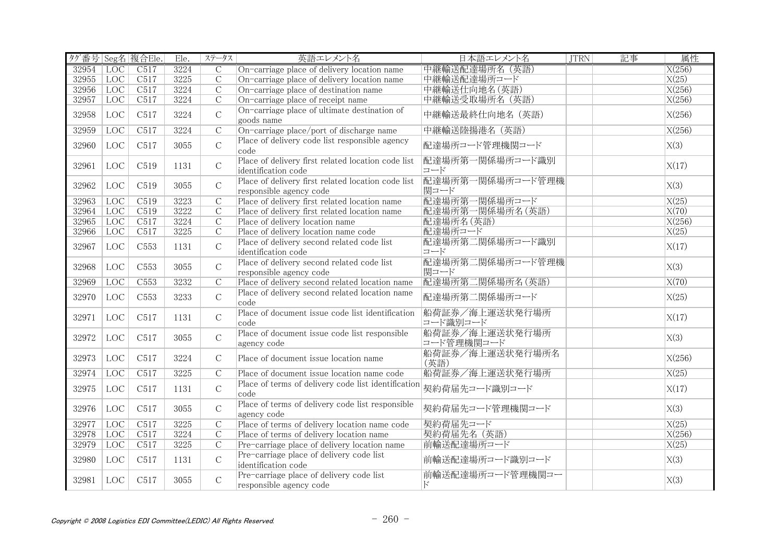| タグ番号 Seg名 複合Ele. |            |                  | Ele. | ステータス          | 英語エレメント名                                                                      | 日本語エレメント名                    | <b>JTRN</b> | 記事 | 属性                 |
|------------------|------------|------------------|------|----------------|-------------------------------------------------------------------------------|------------------------------|-------------|----|--------------------|
| 32954            | <b>LOC</b> | C517             | 3224 | $\overline{C}$ | On-carriage place of delivery location name                                   | 中継輸送配達場所名 (英語)               |             |    | X(256)             |
| 32955            | LOC        | C517             | 3225 | $\overline{C}$ | On-carriage place of delivery location name                                   | 中継輸送配達場所コード                  |             |    | X(25)              |
| 32956            | LOC        | C517             | 3224 | $\overline{C}$ | On-carriage place of destination name                                         | 中継輸送仕向地名(英語)                 |             |    | X(256)             |
| 32957            | <b>LOC</b> | C517             | 3224 | $\overline{C}$ | On-carriage place of receipt name                                             | 中継輸送受取場所名 (英語)               |             |    | X(256)             |
| 32958            | LOC        | C517             | 3224 | $\mathsf C$    | On-carriage place of ultimate destination of<br>goods name                    | 中継輸送最終仕向地名 (英語)              |             |    | X(256)             |
| 32959            | <b>LOC</b> | C517             | 3224 | $\overline{C}$ | On-carriage place/port of discharge name                                      | 中継輸送陸揚港名 (英語)                |             |    | X(256)             |
| 32960            | LOC        | C517             | 3055 | $\mathcal{C}$  | Place of delivery code list responsible agency<br>code                        | 配達場所コード管理機関コード               |             |    | X(3)               |
| 32961            | LOC        | C519             | 1131 | $\mathcal{C}$  | Place of delivery first related location code list<br>identification code     | 配達場所第一関係場所コード識別<br>コード       |             |    | X(17)              |
| 32962            | LOC        | C519             | 3055 | $\mathcal{C}$  | Place of delivery first related location code list<br>responsible agency code | 配達場所第一関係場所コード管理機<br>関コード     |             |    | X(3)               |
| 32963            | <b>LOC</b> | C <sub>519</sub> | 3223 | $\overline{C}$ | Place of delivery first related location name                                 | 配達場所第一関係場所コード                |             |    | X(25)              |
| 32964            | <b>LOC</b> | C <sub>519</sub> | 3222 | $\overline{C}$ | Place of delivery first related location name                                 | 配達場所第一関係場所名 (英語)             |             |    | X(70)              |
| 32965            | <b>LOC</b> | C517             | 3224 | $\overline{C}$ | Place of delivery location name                                               | 配達場所名 (英語)                   |             |    | X(256)             |
| 32966            | LOC        | C517             | 3225 | $\mathcal{C}$  | Place of delivery location name code                                          | 配達場所コード                      |             |    | X(25)              |
| 32967            | LOC        | C <sub>553</sub> | 1131 | $\mathcal{C}$  | Place of delivery second related code list<br>identification code             | 配達場所第二関係場所コード識別<br>コード       |             |    | X(17)              |
| 32968            | LOC        | C <sub>553</sub> | 3055 | $\mathsf C$    | Place of delivery second related code list<br>responsible agency code         | 配達場所第二関係場所コード管理機<br>関コード     |             |    | X(3)               |
| 32969            | <b>LOC</b> | C <sub>553</sub> | 3232 | $\mathcal{C}$  | Place of delivery second related location name                                | 配達場所第二関係場所名 (英語)             |             |    | $\overline{X(70)}$ |
| 32970            | LOC        | C <sub>553</sub> | 3233 | $\mathcal{C}$  | Place of delivery second related location name<br>code                        | 配達場所第二関係場所コード                |             |    | X(25)              |
| 32971            | LOC        | C517             | 1131 | $\mathcal{C}$  | Place of document issue code list identification<br>code                      | 船荷証券/海上運送状発行場所<br>コード識別コード   |             |    | X(17)              |
| 32972            | LOC        | C517             | 3055 | $\mathsf C$    | Place of document issue code list responsible<br>agency code                  | 船荷証券/海上運送状発行場所<br>コード管理機関コード |             |    | X(3)               |
| 32973            | LOC        | C517             | 3224 | $\mathsf C$    | Place of document issue location name                                         | 船荷証券/海上運送状発行場所名<br>(英語)      |             |    | X(256)             |
| 32974            | <b>LOC</b> | C517             | 3225 | $\mathcal{C}$  | Place of document issue location name code                                    | 船荷証券/海上運送状発行場所               |             |    | X(25)              |
| 32975            | LOC        | C517             | 1131 | $\mathcal{C}$  | Race of terms of delivery code list identification  契約荷届先コード識別コード<br>code     |                              |             |    | X(17)              |
| 32976            | LOC        | C517             | 3055 | $\mathcal{C}$  | Place of terms of delivery code list responsible<br>agency code               | 契約荷届先コード管理機関コード              |             |    | X(3)               |
| 32977            | LOC        | C517             | 3225 | $\overline{C}$ | Place of terms of delivery location name code                                 | 契約荷届先コード                     |             |    | X(25)              |
| 32978            | <b>LOC</b> | C517             | 3224 | $\mathcal{C}$  | Place of terms of delivery location name                                      | 契約荷届先名 (英語)                  |             |    | X(256)             |
| 32979            | <b>LOC</b> | C517             | 3225 | $\overline{C}$ | Pre-carriage place of delivery location name                                  | 前輸送配達場所コード                   |             |    | X(25)              |
| 32980            | LOC        | C517             | 1131 | $\mathcal{C}$  | Pre-carriage place of delivery code list<br>identification code               | 前輸送配達場所コード識別コード              |             |    | X(3)               |
| 32981            | LOC        | C517             | 3055 | $\mathcal{C}$  | Pre-carriage place of delivery code list<br>responsible agency code           | 前輸送配達場所コード管理機関コー<br>Е        |             |    | X(3)               |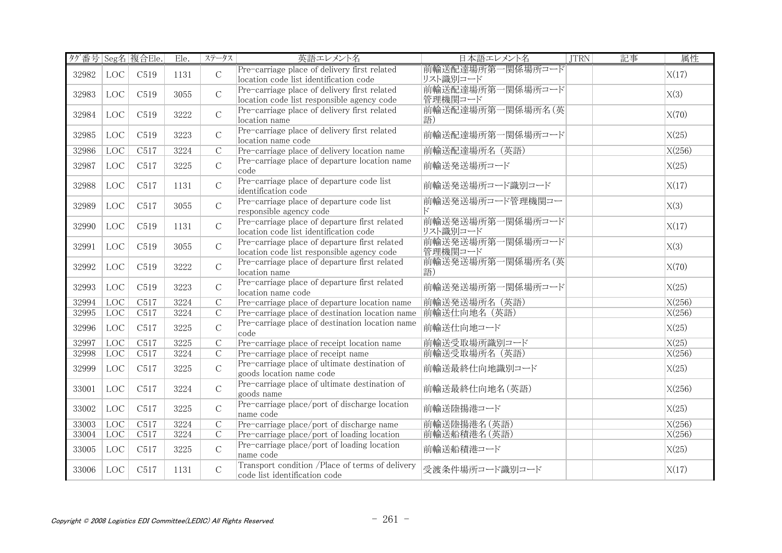| タグ番号 Seg名 複合Ele. |                   |      | Ele. | ステータス          | 英語エレメント名                                                                                    | 日本語エレメント名                    | 記事<br><b>JTRN</b> | 属性     |
|------------------|-------------------|------|------|----------------|---------------------------------------------------------------------------------------------|------------------------------|-------------------|--------|
| 32982            | LOC               | C519 | 1131 | $\mathcal{C}$  | Pre-carriage place of delivery first related<br>location code list identification code      | 前輸送配達場所第一関係場所コード<br>リスト識別コード |                   | X(17)  |
| 32983            | LOC               | C519 | 3055 | $\mathcal{C}$  | Pre-carriage place of delivery first related<br>location code list responsible agency code  | 前輸送配達場所第一関係場所コード<br>管理機関コード  |                   | X(3)   |
| 32984            | $_{\mathrm{LOC}}$ | C519 | 3222 | $\mathcal{C}$  | Pre-carriage place of delivery first related<br>location name                               | 前輸送配達場所第一関係場所名 (英<br>語)      |                   | X(70)  |
| 32985            | LOC               | C519 | 3223 | $\mathcal{C}$  | Pre-carriage place of delivery first related<br>location name code                          | 前輸送配達場所第一関係場所コード             |                   | X(25)  |
| 32986            | <b>LOC</b>        | C517 | 3224 | $\mathcal{C}$  | Pre-carriage place of delivery location name                                                | 前輸送配達場所名 (英語)                |                   | X(256) |
| 32987            | LOC               | C517 | 3225 | $\mathsf{C}$   | Pre-carriage place of departure location name<br>code                                       | 前輸送発送場所コード                   |                   | X(25)  |
| 32988            | LOC               | C517 | 1131 | $\mathsf C$    | Pre-carriage place of departure code list<br>identification code                            | 前輸送発送場所コード識別コード              |                   | X(17)  |
| 32989            | LOC               | C517 | 3055 | $\mathcal{C}$  | Pre-carriage place of departure code list<br>responsible agency code                        | 前輸送発送場所コード管理機関コー<br>ド        |                   | X(3)   |
| 32990            | LOC               | C519 | 1131 | $\mathcal{C}$  | Pre-carriage place of departure first related<br>location code list identification code     | 前輸送発送場所第一関係場所コード<br>リスト識別コード |                   | X(17)  |
| 32991            | LOC               | C519 | 3055 | $\mathcal{C}$  | Pre-carriage place of departure first related<br>location code list responsible agency code | 前輸送発送場所第一関係場所コード<br>管理機関コード  |                   | X(3)   |
| 32992            | LOC               | C519 | 3222 | $\mathsf C$    | Pre-carriage place of departure first related<br>location name                              | 前輸送発送場所第一関係場所名(英<br>語)       |                   | X(70)  |
| 32993            | LOC               | C519 | 3223 | $\mathcal{C}$  | Pre-carriage place of departure first related<br>location name code                         | 前輸送発送場所第一関係場所コード             |                   | X(25)  |
| 32994            | <b>LOC</b>        | C517 | 3224 | $\overline{C}$ | Pre-carriage place of departure location name                                               | 前輸送発送場所名 (英語)                |                   | X(256) |
| 32995            | LOC               | C517 | 3224 | $\mathcal{C}$  | Pre-carriage place of destination location name                                             | 前輸送仕向地名 (英語)                 |                   | X(256) |
| 32996            | LOC               | C517 | 3225 | $\mathcal{C}$  | Pre-carriage place of destination location name<br>code                                     | 前輸送仕向地コード                    |                   | X(25)  |
| 32997            | LOC               | C517 | 3225 | $\overline{C}$ | Pre-carriage place of receipt location name                                                 | 前輸送受取場所識別コード                 |                   | X(25)  |
| 32998            | LOC               | C517 | 3224 | $\overline{C}$ | Pre-carriage place of receipt name                                                          | 前輸送受取場所名 (英語)                |                   | X(256) |
| 32999            | LOC               | C517 | 3225 | $\mathsf{C}$   | Pre-carriage place of ultimate destination of<br>goods location name code                   | 前輸送最終仕向地識別コード                |                   | X(25)  |
| 33001            | LOC               | C517 | 3224 | $\mathsf C$    | Pre-carriage place of ultimate destination of<br>goods name                                 | 前輸送最終仕向地名(英語)                |                   | X(256) |
| 33002            | LOC               | C517 | 3225 | $\mathcal{C}$  | Pre-carriage place/port of discharge location<br>name code                                  | 前輸送陸揚港コード                    |                   | X(25)  |
| 33003            | <b>LOC</b>        | C517 | 3224 | $\overline{C}$ | Pre-carriage place/port of discharge name                                                   | 前輸送陸揚港名(英語)                  |                   | X(256) |
| 33004            | <b>LOC</b>        | C517 | 3224 | $\mathcal{C}$  | Pre-carriage place/port of loading location                                                 | 前輸送船積港名(英語)                  |                   | X(256) |
| 33005            | LOC               | C517 | 3225 | $\mathcal{C}$  | Pre-carriage place/port of loading location<br>name code                                    | 前輸送船積港コード                    |                   | X(25)  |
| 33006            | LOC               | C517 | 1131 | $\mathcal{C}$  | Transport condition /Place of terms of delivery<br>code list identification code            | 受渡条件場所コード識別コード               |                   | X(17)  |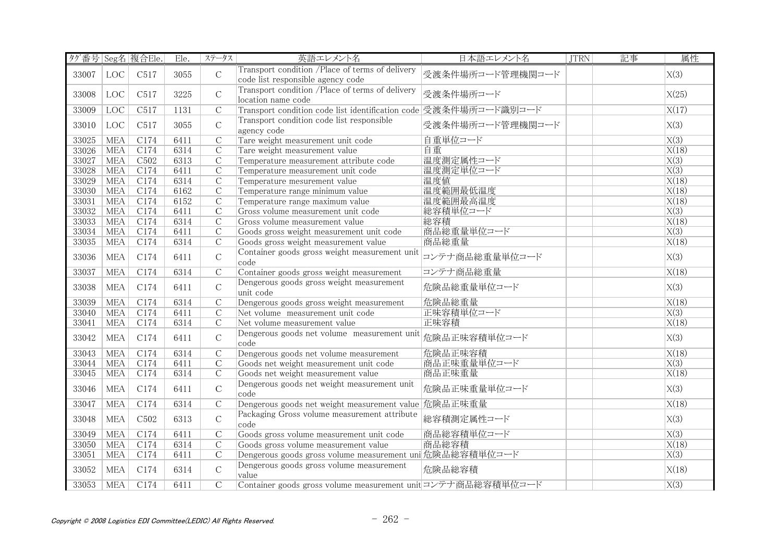| タグ番号 Seg名 複合Ele. |            |                  | Ele. | ステータス          | 英語エレメント名                                                                             | 日本語エレメント名        | <b>JTRN</b> | 記事 | 属性                |
|------------------|------------|------------------|------|----------------|--------------------------------------------------------------------------------------|------------------|-------------|----|-------------------|
| 33007            | <b>LOC</b> | C517             | 3055 | $\mathcal{C}$  | Transport condition /Place of terms of delivery<br>code list responsible agency code | 受渡条件場所コード管理機関コード |             |    | X(3)              |
| 33008            | LOC        | C517             | 3225 | $\mathcal{C}$  | Transport condition /Place of terms of delivery<br>location name code                | 受渡条件場所コード        |             |    | X(25)             |
| 33009            | LOC        | C517             | 1131 | $\overline{C}$ | Transport condition code list identification code 受渡条件場所コード識別コード                     |                  |             |    | X(17)             |
| 33010            | LOC        | C517             | 3055 | $\mathsf{C}$   | Transport condition code list responsible<br>agency code                             | 受渡条件場所コード管理機関コード |             |    | X(3)              |
| 33025            | <b>MEA</b> | C174             | 6411 | $\overline{C}$ | Tare weight measurement unit code                                                    | 自重単位コード          |             |    | X(3)              |
| 33026            | <b>MEA</b> | C174             | 6314 | $\overline{C}$ | Tare weight measurement value                                                        | 自重               |             |    | X(18)             |
| 33027            | <b>MEA</b> | C <sub>502</sub> | 6313 | $\overline{C}$ | Temperature measurement attribute code                                               | 温度測定属性コード        |             |    | $\overline{X(3)}$ |
| 33028            | <b>MEA</b> | C174             | 6411 | $\mathcal{C}$  | Temperature measurement unit code                                                    | 温度測定単位コード        |             |    | X(3)              |
| 33029            | <b>MEA</b> | C174             | 6314 | $\overline{C}$ | Temperature mesurement value                                                         | 温度值              |             |    | X(18)             |
| 33030            | <b>MEA</b> | C174             | 6162 | $\overline{C}$ | Temperature range minimum value                                                      | 温度範囲最低温度         |             |    | X(18)             |
| 33031            | <b>MEA</b> | C174             | 6152 | $\overline{C}$ | Temperature range maximum value                                                      | 温度範囲最高温度         |             |    | X(18)             |
| 33032            | <b>MEA</b> | C174             | 6411 | $\overline{C}$ | Gross volume measurement unit code                                                   | 総容積単位コード         |             |    | $\overline{X(3)}$ |
| 33033            | <b>MEA</b> | C174             | 6314 | $\overline{C}$ | Gross volume measurement value                                                       | 総容積              |             |    | X(18)             |
| 33034            | <b>MEA</b> | C174             | 6411 | $\overline{C}$ | Goods gross weight measurement unit code                                             | 商品総重量単位コード       |             |    | $\overline{X(3)}$ |
| 33035            | <b>MEA</b> | C174             | 6314 | $\overline{C}$ | Goods gross weight measurement value                                                 | 商品総重量            |             |    | X(18)             |
| 33036            | <b>MEA</b> | C174             | 6411 | $\mathcal{C}$  | Container goods gross weight measurement unit<br>code                                | コンテナ商品総重量単位コード   |             |    | X(3)              |
| 33037            | <b>MEA</b> | C174             | 6314 | $\overline{C}$ | Container goods gross weight measurement                                             | コンテナ商品総重量        |             |    | X(18)             |
| 33038            | <b>MEA</b> | C174             | 6411 | $\mathsf{C}$   | Dengerous goods gross weight measurement<br>unit code                                | 危険品総重量単位コード      |             |    | X(3)              |
| 33039            | <b>MEA</b> | C174             | 6314 | $\overline{C}$ | Dengerous goods gross weight measurement                                             | 危険品総重量           |             |    | X(18)             |
| 33040            | <b>MEA</b> | C174             | 6411 | $\overline{C}$ | Net volume measurement unit code                                                     | 正味容積単位コード        |             |    | $\overline{X(3)}$ |
| 33041            | <b>MEA</b> | C174             | 6314 | $\mathcal{C}$  | Net volume measurement value                                                         | 正味容積             |             |    | X(18)             |
| 33042            | <b>MEA</b> | C174             | 6411 | $\mathsf{C}$   | Dengerous goods net volume measurement unit<br>code                                  | 危険品正味容積単位コード     |             |    | X(3)              |
| 33043            | <b>MEA</b> | C174             | 6314 | $\overline{C}$ | Dengerous goods net volume measurement                                               | 危険品正味容積          |             |    | X(18)             |
| 33044            | <b>MEA</b> | C174             | 6411 | $\mathcal{C}$  | Goods net weight measurement unit code                                               | 商品正味重量単位コード      |             |    | $\overline{X(3)}$ |
| 33045            | <b>MEA</b> | C174             | 6314 | $\mathcal{C}$  | Goods net weight measurement value                                                   | 商品正味重量           |             |    | X(18)             |
| 33046            | <b>MEA</b> | C174             | 6411 | $\mathbf C$    | Dengerous goods net weight measurement unit<br>code                                  | 危険品正味重量単位コード     |             |    | X(3)              |
| 33047            | <b>MEA</b> | C174             | 6314 | $\mathsf{C}$   | Dengerous goods net weight measurement value 危険品正味重量                                 |                  |             |    | X(18)             |
| 33048            | <b>MEA</b> | C <sub>502</sub> | 6313 | $\mathsf C$    | Packaging Gross volume measurement attribute<br>code                                 | 総容積測定属性コード       |             |    | X(3)              |
| 33049            | <b>MEA</b> | C174             | 6411 | $\overline{C}$ | Goods gross volume measurement unit code                                             | 商品総容積単位コード       |             |    | X(3)              |
| 33050            | <b>MEA</b> | C174             | 6314 | $\mathcal{C}$  | Goods gross volume measurement value                                                 | 商品総容積            |             |    | X(18)             |
| 33051            | <b>MEA</b> | C174             | 6411 | $\mathcal{C}$  | Dengerous goods gross volume measurement uni危険品総容積単位コード                              |                  |             |    | $\overline{X(3)}$ |
| 33052            | <b>MEA</b> | C174             | 6314 | $\mathsf{C}$   | Dengerous goods gross volume measurement<br>value                                    | 危険品総容積           |             |    | X(18)             |
| 33053            | <b>MEA</b> | C174             | 6411 | $\overline{C}$ | Container goods gross volume measurement unit コンテナ商品総容積単位コード                         |                  |             |    | X(3)              |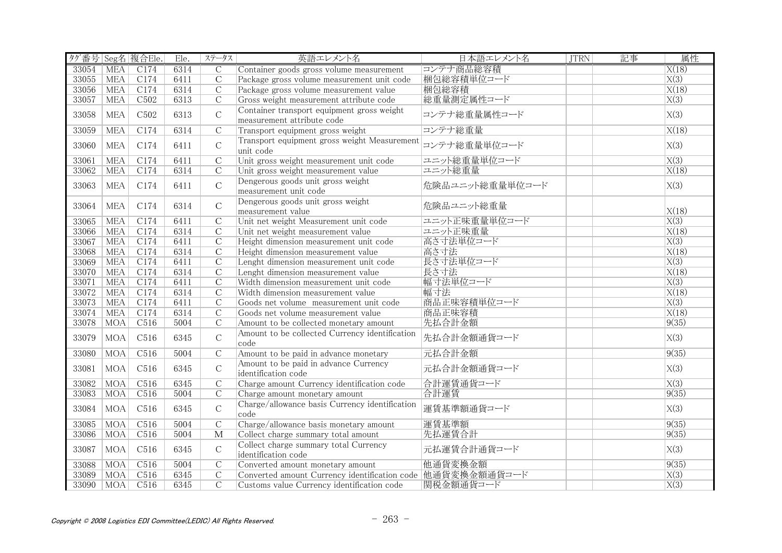| タグ番号 Seg名 複合Ele. |            |                  | Ele. | ステータス          | 英語エレメント名                                                                 | 日本語エレメント名       | <b>JTRN</b> | 記事 | 属性                |
|------------------|------------|------------------|------|----------------|--------------------------------------------------------------------------|-----------------|-------------|----|-------------------|
| 33054            | <b>MEA</b> | C174             | 6314 | $\overline{C}$ | Container goods gross volume measurement                                 | コンテナ商品総容積       |             |    | X(18)             |
| 33055            | MEA        | C174             | 6411 | $\overline{C}$ | Package gross volume measurement unit code                               | 梱包総容積単位コード      |             |    | X(3)              |
| 33056            | <b>MEA</b> | C174             | 6314 | $\overline{C}$ | Package gross volume measurement value                                   | 梱包総容積           |             |    | X(18)             |
| 33057            | <b>MEA</b> | C502             | 6313 | $\mathcal{C}$  | Gross weight measurement attribute code                                  | 総重量測定属性コード      |             |    | X(3)              |
| 33058            | <b>MEA</b> | C <sub>502</sub> | 6313 | $\mathsf{C}$   | Container transport equipment gross weight<br>measurement attribute code | コンテナ総重量属性コード    |             |    | X(3)              |
| 33059            | <b>MEA</b> | C174             | 6314 | $\mathcal{C}$  | Transport equipment gross weight                                         | コンテナ総重量         |             |    | X(18)             |
| 33060            | <b>MEA</b> | C174             | 6411 | $\mathcal{C}$  | Transport equipment gross weight Measurement<br>unit code                | コンテナ総重量単位コード    |             |    | X(3)              |
| 33061            | <b>MEA</b> | C174             | 6411 | $\overline{C}$ | Unit gross weight measurement unit code                                  | ユニット総重量単位コード    |             |    | $\overline{X(3)}$ |
| 33062            | <b>MEA</b> | C174             | 6314 | $\mathcal{C}$  | Unit gross weight measurement value                                      | ユニット総重量         |             |    | X(18)             |
| 33063            | <b>MEA</b> | C174             | 6411 | $\mathcal{C}$  | Dengerous goods unit gross weight<br>measurement unit code               | 危険品ユニット総重量単位コード |             |    | X(3)              |
| 33064            | <b>MEA</b> | C174             | 6314 | $\mathsf{C}$   | Dengerous goods unit gross weight<br>measurement value                   | 危険品ユニット総重量      |             |    | X(18)             |
| 33065            | <b>MEA</b> | C174             | 6411 | $\overline{C}$ | Unit net weight Measurement unit code                                    | ユニット正味重量単位コード   |             |    | $\overline{X(3)}$ |
| 33066            | <b>MEA</b> | C174             | 6314 | $\overline{C}$ | Unit net weight measurement value                                        | ユニット正味重量        |             |    | X(18)             |
| 33067            | <b>MEA</b> | C174             | 6411 | $\overline{C}$ | Height dimension measurement unit code                                   | 高さ寸法単位コード       |             |    | $\overline{X(3)}$ |
| 33068            | <b>MEA</b> | C174             | 6314 | $\mathcal{C}$  | Height dimension measurement value                                       | 高さ寸法            |             |    | X(18)             |
| 33069            | <b>MEA</b> | C174             | 6411 | $\overline{C}$ | Lenght dimension measurement unit code                                   | 長さ寸法単位コード       |             |    | X(3)              |
| 33070            | <b>MEA</b> | C174             | 6314 | $\overline{C}$ | Lenght dimension measurement value                                       | 長さ寸法            |             |    | X(18)             |
| 33071            | <b>MEA</b> | C174             | 6411 | $\overline{C}$ | Width dimension measurement unit code                                    | 幅寸法単位コード        |             |    | X(3)              |
| 33072            | <b>MEA</b> | C174             | 6314 | $\overline{C}$ | Width dimension measurement value                                        | 幅寸法             |             |    | X(18)             |
| 33073            | <b>MEA</b> | C174             | 6411 | $\overline{C}$ | Goods net volume measurement unit code                                   | 商品正味容積単位コード     |             |    | $\overline{X(3)}$ |
| 33074            | <b>MEA</b> | C174             | 6314 | $\overline{C}$ | Goods net volume measurement value                                       | 商品正味容積          |             |    | X(18)             |
| 33078            | <b>MOA</b> | C516             | 5004 | $\mathcal{C}$  | Amount to be collected monetary amount                                   | 先払合計金額          |             |    | 9(35)             |
| 33079            | <b>MOA</b> | C516             | 6345 | $\mathsf C$    | Amount to be collected Currency identification<br>code                   | 先払合計金額通貨コード     |             |    | X(3)              |
| 33080            | <b>MOA</b> | C516             | 5004 | $\overline{C}$ | Amount to be paid in advance monetary                                    | 元払合計金額          |             |    | 9(35)             |
| 33081            | <b>MOA</b> | C516             | 6345 | $\mathcal{C}$  | Amount to be paid in advance Currency<br>identification code             | 元払合計金額通貨コード     |             |    | X(3)              |
| 33082            | <b>MOA</b> | C <sub>516</sub> | 6345 | $\overline{C}$ | Charge amount Currency identification code                               | 合計運賃通貨コード       |             |    | $\overline{X(3)}$ |
| 33083            | MOA        | C516             | 5004 | $\mathcal{C}$  | Charge amount monetary amount                                            | 合計運賃            |             |    | 9(35)             |
| 33084            | <b>MOA</b> | C516             | 6345 | $\mathsf{C}$   | Charge/allowance basis Currency identification<br>code                   | 運賃基準額通貨コード      |             |    | X(3)              |
| 33085            | <b>MOA</b> | C516             | 5004 | $\overline{C}$ | Charge/allowance basis monetary amount                                   | 運賃基準額           |             |    | 9(35)             |
| 33086            | <b>MOA</b> | C <sub>516</sub> | 5004 | $\mathbf{M}$   | Collect charge summary total amount                                      | 先払運賃合計          |             |    | 9(35)             |
| 33087            | <b>MOA</b> | C516             | 6345 | $\mathcal{C}$  | Collect charge summary total Currency<br>identification code             | 元払運賃合計通貨コード     |             |    | X(3)              |
| 33088            | <b>MOA</b> | C <sub>516</sub> | 5004 | $\overline{C}$ | Converted amount monetary amount                                         | 他通貨変換金額         |             |    | 9(35)             |
| 33089            | <b>MOA</b> | C516             | 6345 | $\mathcal{C}$  | Converted amount Currency identification code 他通貨変換金額通貨コード               |                 |             |    | X(3)              |
| 33090            | <b>MOA</b> | C516             | 6345 | $\overline{C}$ | Customs value Currency identification code                               | 関税金額通貨コード       |             |    | X(3)              |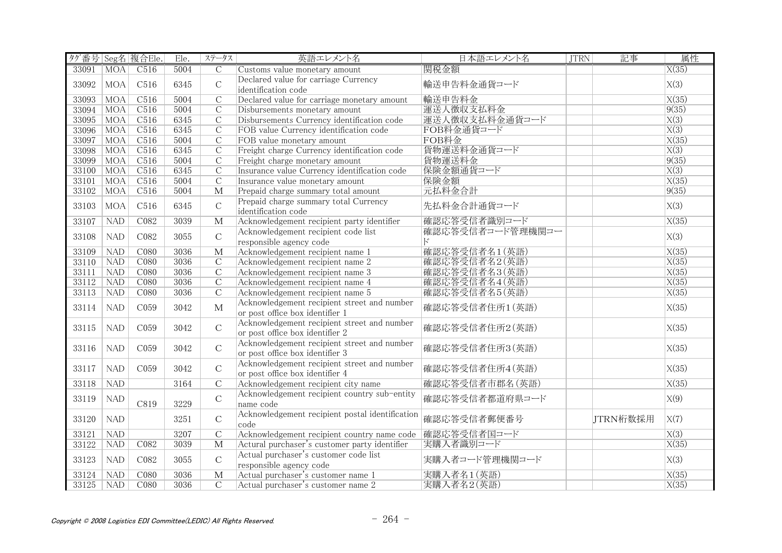| タグ番号 Seg名 複合Ele. |                 |                  | Ele. | ステータス                   | 英語エレメント名                                                                       | 日本語エレメント名        | <b>JTRN</b> | 記事       | 属性                |
|------------------|-----------------|------------------|------|-------------------------|--------------------------------------------------------------------------------|------------------|-------------|----------|-------------------|
| 33091            | MOA <sup></sup> | C516             | 5004 | $\overline{C}$          | Customs value monetary amount                                                  | 関税金額             |             |          | X(35)             |
| 33092            | <b>MOA</b>      | C516             | 6345 | $\mathcal{C}$           | Declared value for carriage Currency<br>identification code                    | 輸送申告料金通貨コード      |             |          | X(3)              |
| 33093            | <b>MOA</b>      | C <sub>516</sub> | 5004 | $\overline{C}$          | Declared value for carriage monetary amount                                    | 輸送申告料金           |             |          | X(35)             |
| 33094            | <b>MOA</b>      | C516             | 5004 | $\overline{C}$          | Disbursements monetary amount                                                  | 運送人徵収支払料金        |             |          | 9(35)             |
| 33095            | <b>MOA</b>      | C516             | 6345 | $\overline{C}$          | Disbursements Currency identification code                                     | 運送人徴収支払料金通貨コード   |             |          | $\overline{X(3)}$ |
| 33096            | MOA             | C <sub>516</sub> | 6345 | $\mathcal{C}$           | FOB value Currency identification code                                         | FOB料金通貨コード       |             |          | X(3)              |
| 33097            | <b>MOA</b>      | C516             | 5004 | $\overline{C}$          | FOB value monetary amount                                                      | FOB料金            |             |          | X(35)             |
| 33098            | MOA             | C <sub>516</sub> | 6345 | $\overline{C}$          | Freight charge Currency identification code                                    | 貨物運送料金通貨コード      |             |          | $\overline{X(3)}$ |
| 33099            | <b>MOA</b>      | C <sub>516</sub> | 5004 | $\mathsf{C}$            | Freight charge monetary amount                                                 | 貨物運送料金           |             |          | 9(35)             |
| 33100            | MOA             | C516             | 6345 | $\mathcal{C}$           | Insurance value Currency identification code                                   | 保険金額通貨コード        |             |          | $\overline{X(3)}$ |
| 33101            | <b>MOA</b>      | C516             | 5004 | $\overline{C}$          | Insurance value monetary amount                                                | 保険金額             |             |          | X(35)             |
| 33102            | <b>MOA</b>      | C516             | 5004 | $\overline{\mathbf{M}}$ | Prepaid charge summary total amount                                            | 元払料金合計           |             |          | 9(35)             |
| 33103            | <b>MOA</b>      | C516             | 6345 | $\mathcal{C}$           | Prepaid charge summary total Currency<br>identification code                   | 先払料金合計通貨コード      |             |          | X(3)              |
| 33107            | <b>NAD</b>      | C <sub>082</sub> | 3039 | M                       | Acknowledgement recipient party identifier                                     | 確認応答受信者識別コード     |             |          | X(35)             |
| 33108            | <b>NAD</b>      | C082             | 3055 | $\mathcal{C}$           | Acknowledgement recipient code list                                            | 確認応答受信者コード管理機関コー |             |          | X(3)              |
|                  |                 |                  |      |                         | responsible agency code                                                        | Е                |             |          |                   |
| 33109            | <b>NAD</b>      | C080             | 3036 | M                       | Acknowledgement recipient name 1                                               | 確認応答受信者名1(英語)    |             |          | X(35)             |
| 33110            | NAD             | CO80             | 3036 | $\overline{C}$          | Acknowledgement recipient name 2                                               | 確認応答受信者名2(英語)    |             |          | X(35)             |
| 33111            | <b>NAD</b>      | C080             | 3036 | $\overline{C}$          | Acknowledgement recipient name 3                                               | 確認応答受信者名3(英語)    |             |          | X(35)             |
| 33112            | NAD             | C080             | 3036 | $\mathcal{C}$           | Acknowledgement recipient name 4                                               | 確認応答受信者名4(英語)    |             |          | X(35)             |
| 33113            | NAD             | CO80             | 3036 | $\overline{C}$          | Acknowledgement recipient name 5                                               | 確認応答受信者名5(英語)    |             |          | X(35)             |
| 33114            | <b>NAD</b>      | C <sub>059</sub> | 3042 | $\mathbf{M}$            | Acknowledgement recipient street and number<br>or post office box identifier 1 | 確認応答受信者住所1(英語)   |             |          | X(35)             |
| 33115            | <b>NAD</b>      | C059             | 3042 | $\mathcal{C}$           | Acknowledgement recipient street and number<br>or post office box identifier 2 | 確認応答受信者住所2(英語)   |             |          | X(35)             |
| 33116            | <b>NAD</b>      | C <sub>059</sub> | 3042 | $\mathbf C$             | Acknowledgement recipient street and number<br>or post office box identifier 3 | 確認応答受信者住所3(英語)   |             |          | X(35)             |
| 33117            | <b>NAD</b>      | C <sub>059</sub> | 3042 | $\mathcal{C}$           | Acknowledgement recipient street and number<br>or post office box identifier 4 | 確認応答受信者住所4(英語)   |             |          | X(35)             |
| 33118            | <b>NAD</b>      |                  | 3164 | $\mathcal{C}$           | Acknowledgement recipient city name                                            | 確認応答受信者市郡名 (英語)  |             |          | X(35)             |
| 33119            | <b>NAD</b>      | C819             | 3229 | $\mathcal{C}$           | Acknowledgement recipient country sub-entity<br>name code                      | 確認応答受信者都道府県コード   |             |          | X(9)              |
| 33120            | <b>NAD</b>      |                  | 3251 | $\mathbf C$             | Acknowledgement recipient postal identification<br>code                        | 確認応答受信者郵便番号      |             | JTRN桁数採用 | X(7)              |
| 33121            | <b>NAD</b>      |                  | 3207 | $\mathcal{C}$           | Acknowledgement recipient country name code                                    | 確認応答受信者国コード      |             |          | $\overline{X(3)}$ |
| 33122            | <b>NAD</b>      | C082             | 3039 | $\overline{\mathbf{M}}$ | Actural purchaser's customer party identifier                                  | 実購入者識別コード        |             |          | X(35)             |
| 33123            | <b>NAD</b>      | C082             | 3055 | $\mathcal{C}$           | Actual purchaser's customer code list<br>responsible agency code               | 実購入者コード管理機関コード   |             |          | X(3)              |
| 33124            | <b>NAD</b>      | C080             | 3036 | $\mathbf{M}$            | Actual purchaser's customer name 1                                             | 実購入者名1(英語)       |             |          | X(35)             |
| 33125            | <b>NAD</b>      | CO80             | 3036 | $\overline{C}$          | Actual purchaser's customer name 2                                             | 実購入者名2(英語)       |             |          | X(35)             |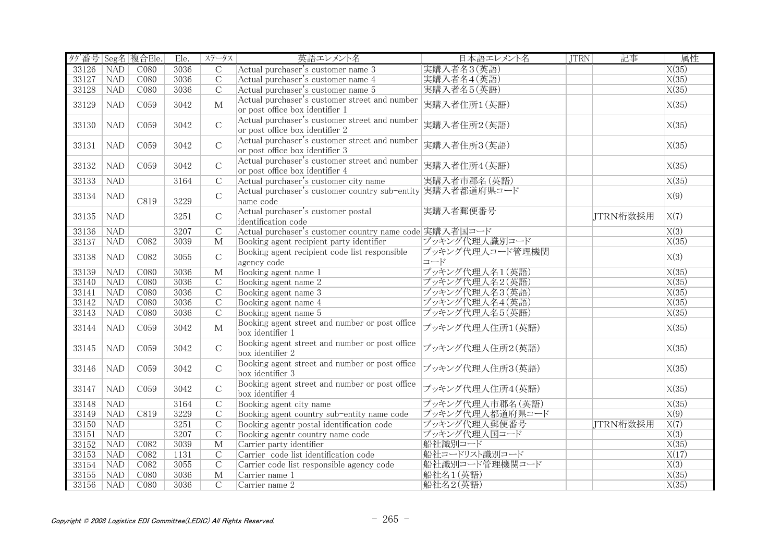| タグ番号 Seg名 複合Ele. |            |                  | Ele. | ステータス                   | 英語エレメント名                                                   | 日本語エレメント名       | <b>JTRN</b> | 記事       | 属性                 |
|------------------|------------|------------------|------|-------------------------|------------------------------------------------------------|-----------------|-------------|----------|--------------------|
| 33126            | <b>NAD</b> | CO80             | 3036 | C                       | Actual purchaser's customer name 3                         | 実購入者名3(英語)      |             |          | $\overline{X(35)}$ |
| 33127            | <b>NAD</b> | C <sub>080</sub> | 3036 | $\overline{C}$          | Actual purchaser's customer name 4                         | 実購入者名4(英語)      |             |          | X(35)              |
| 33128            | <b>NAD</b> | C080             | 3036 | $\overline{C}$          | Actual purchaser's customer name 5                         | 実購入者名5(英語)      |             |          | X(35)              |
|                  |            |                  |      |                         | Actual purchaser's customer street and number              |                 |             |          |                    |
| 33129            | <b>NAD</b> | C059             | 3042 | $\mathbf{M}$            | or post office box identifier 1                            | 実購入者住所1(英語)     |             |          | X(35)              |
|                  |            |                  |      |                         | Actual purchaser's customer street and number              |                 |             |          |                    |
| 33130            | <b>NAD</b> | C <sub>059</sub> | 3042 | $\mathcal{C}$           | or post office box identifier 2                            | 実購入者住所2(英語)     |             |          | X(35)              |
|                  |            |                  |      |                         | Actual purchaser's customer street and number              |                 |             |          |                    |
| 33131            | <b>NAD</b> | C <sub>059</sub> | 3042 | $\mathcal{C}$           | or post office box identifier 3                            | 実購入者住所3(英語)     |             |          | X(35)              |
|                  |            |                  |      |                         | Actual purchaser's customer street and number              |                 |             |          |                    |
| 33132            | <b>NAD</b> | C <sub>059</sub> | 3042 | $\mathcal{C}$           | or post office box identifier 4                            | 実購入者住所4(英語)     |             |          | X(35)              |
| 33133            | NAD        |                  | 3164 | $\overline{C}$          | Actual purchaser's customer city name                      | 実購入者市郡名 (英語)    |             |          | X(35)              |
|                  |            |                  |      |                         | Actual purchaser's customer country sub-entity 実購入者都道府県コード |                 |             |          |                    |
| 33134            | <b>NAD</b> | C819             | 3229 | $\mathsf{C}$            | name code                                                  |                 |             |          | X(9)               |
|                  |            |                  |      |                         | Actual purchaser's customer postal                         | 実購入者郵便番号        |             |          |                    |
| 33135            | <b>NAD</b> |                  | 3251 | $\mathcal{C}$           | identification code                                        |                 |             | JTRN桁数採用 | X(7)               |
| 33136            | <b>NAD</b> |                  | 3207 | $\overline{C}$          | Actual purchaser's customer country name code 実購入者国コード     |                 |             |          | $\overline{X(3)}$  |
| 33137            | <b>NAD</b> | C082             | 3039 | М                       | Booking agent recipient party identifier                   | ブッキング代理人識別コード   |             |          | X(35)              |
|                  |            |                  |      |                         | Booking agent recipient code list responsible              | ブッキング代理人コード管理機関 |             |          |                    |
| 33138            | <b>NAD</b> | C082             | 3055 | $\mathsf C$             | agency code                                                | コード             |             |          | X(3)               |
| 33139            | <b>NAD</b> | CO80             | 3036 | $\overline{\mathbf{M}}$ | Booking agent name 1                                       | ブッキング代理人名1(英語)  |             |          | X(35)              |
| 33140            | NAD        | CO80             | 3036 | $\overline{C}$          | Booking agent name 2                                       | ブッキング代理人名2(英語)  |             |          | $\overline{X(35)}$ |
|                  | NAD        | C080             | 3036 | $\overline{C}$          |                                                            | ブッキング代理人名3(英語)  |             |          | X(35)              |
| 33141            |            | CO80             | 3036 | $\overline{C}$          | Booking agent name 3                                       |                 |             |          |                    |
| 33142            | <b>NAD</b> |                  |      |                         | Booking agent name 4                                       | ブッキング代理人名4(英語)  |             |          | X(35)              |
| 33143            | <b>NAD</b> | C080             | 3036 | $\overline{C}$          | Booking agent name 5                                       | ブッキング代理人名5(英語)  |             |          | X(35)              |
| 33144            | <b>NAD</b> | C059             | 3042 | $\mathbf{M}$            | Booking agent street and number or post office             | ブッキング代理人住所1(英語) |             |          | X(35)              |
|                  |            |                  |      |                         | box identifier 1                                           |                 |             |          |                    |
| 33145            | <b>NAD</b> | C059             | 3042 | $\mathsf C$             | Booking agent street and number or post office             | ブッキング代理人住所2(英語) |             |          | X(35)              |
|                  |            |                  |      |                         | box identifier 2                                           |                 |             |          |                    |
| 33146            | <b>NAD</b> | C059             | 3042 | $\mathbf C$             | Booking agent street and number or post office             | ブッキング代理人住所3(英語) |             |          | X(35)              |
|                  |            |                  |      |                         | box identifier 3                                           |                 |             |          |                    |
| 33147            | <b>NAD</b> | C <sub>059</sub> | 3042 | $\mathsf C$             | Booking agent street and number or post office             | ブッキング代理人住所4(英語) |             |          | X(35)              |
|                  |            |                  |      |                         | box identifier 4                                           |                 |             |          |                    |
| 33148            | <b>NAD</b> |                  | 3164 | $\mathbf C$             | Booking agent city name                                    | ブッキング代理人市郡名(英語) |             |          | X(35)              |
| 33149            | NAD        | C819             | 3229 | $\overline{C}$          | Booking agent country sub-entity name code                 | ブッキング代理人都道府県コード |             |          | X(9)               |
| 33150            | NAD        |                  | 3251 | $\overline{C}$          | Booking agentr postal identification code                  | ブッキング代理人郵便番号    |             | JTRN桁数採用 | $\overline{X(7)}$  |
| 33151            | <b>NAD</b> |                  | 3207 | $\overline{C}$          | Booking agentr country name code                           | ブッキング代理人国コード    |             |          | $\overline{X(3)}$  |
| 33152            | <b>NAD</b> | C082             | 3039 | $\overline{\mathbf{M}}$ | Carrier party identifier                                   | 船社識別コード         |             |          | $\overline{X(35)}$ |
| 33153            | NAD        | CO82             | 1131 | $\overline{C}$          | Carrier code list identification code                      | 船社コードリスト識別コード   |             |          | $\overline{X(17)}$ |
| 33154            | <b>NAD</b> | C082             | 3055 | $\overline{C}$          | Carrier code list responsible agency code                  | 船社識別コード管理機関コード  |             |          | $\overline{X(3)}$  |
| 33155            | <b>NAD</b> | C080             | 3036 | $\overline{\mathbf{M}}$ | Carrier name 1                                             | 船社名1(英語)        |             |          | X(35)              |
| 33156            | NAD        | CO80             | 3036 | $\overline{C}$          | Carrier name 2                                             | 船社名2(英語)        |             |          | X(35)              |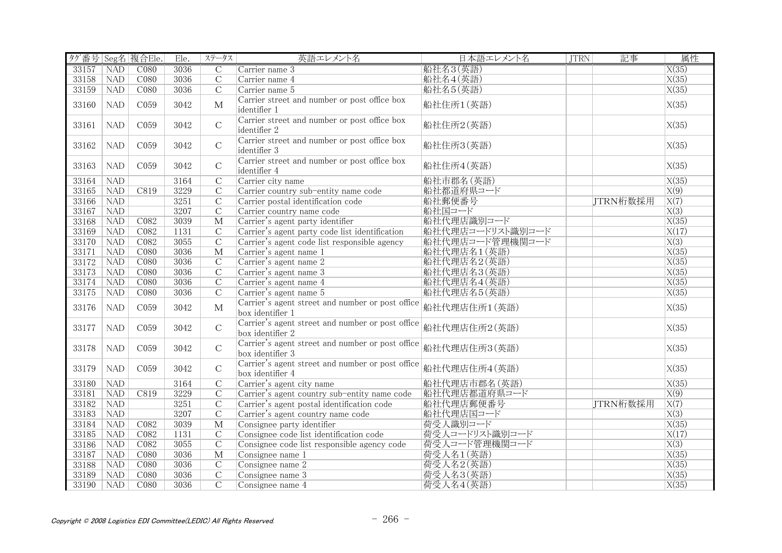| タグ番号 Seg名 複合Ele. |            |                  | Ele. | ステータス                   | 英語エレメント名                                                             | 日本語エレメント名        | <b>JTRN</b> | 記事       | 属性                 |
|------------------|------------|------------------|------|-------------------------|----------------------------------------------------------------------|------------------|-------------|----------|--------------------|
| 33157            | <b>NAD</b> | CO80             | 3036 | $\overline{C}$          | Carrier name 3                                                       | 船社名3(英語)         |             |          | X(35)              |
| 33158            | <b>NAD</b> | C080             | 3036 | $\overline{C}$          | Carrier name 4                                                       | 船社名4(英語)         |             |          | X(35)              |
| 33159            | <b>NAD</b> | C080             | 3036 | $\overline{C}$          | Carrier name 5                                                       | 船社名5(英語)         |             |          | X(35)              |
| 33160            | <b>NAD</b> | C059             | 3042 | $\mathbf{M}$            | Carrier street and number or post office box<br>identifier 1         | 船社住所1(英語)        |             |          | X(35)              |
| 33161            | <b>NAD</b> | C059             | 3042 | $\mathcal{C}$           | Carrier street and number or post office box<br>identifier 2         | 船社住所2(英語)        |             |          | X(35)              |
| 33162            | <b>NAD</b> | C <sub>059</sub> | 3042 | $\mathcal{C}$           | Carrier street and number or post office box<br>identifier 3         | 船社住所3(英語)        |             |          | X(35)              |
| 33163            | <b>NAD</b> | CO <sub>59</sub> | 3042 | $\mathsf C$             | Carrier street and number or post office box<br>identifier 4         | 船社住所4(英語)        |             |          | X(35)              |
| 33164            | NAD        |                  | 3164 | $\overline{C}$          | Carrier city name                                                    | 船社市郡名(英語)        |             |          | X(35)              |
| 33165            | NAD        | C819             | 3229 | $\overline{C}$          | Carrier country sub-entity name code                                 | 船社都道府県コード        |             |          | X(9)               |
| 33166            | <b>NAD</b> |                  | 3251 | $\overline{C}$          | Carrier postal identification code                                   | 船社郵便番号           |             | JTRN桁数採用 | $\overline{X(7)}$  |
| 33167            | NAD        |                  | 3207 | $\overline{C}$          | Carrier country name code                                            | 船社国コード           |             |          | $\overline{X(3)}$  |
| 33168            | NAD        | CO82             | 3039 | $\overline{\mathbf{M}}$ | Carrier's agent party identifier                                     | 船社代理店識別コード       |             |          | X(35)              |
| 33169            | <b>NAD</b> | C082             | 1131 | $\overline{C}$          | Carrier's agent party code list identification                       | 船社代理店コードリスト識別コード |             |          | X(17)              |
| 33170            | <b>NAD</b> | C082             | 3055 | $\overline{C}$          | Carrier's agent code list responsible agency                         | 船社代理店コード管理機関コード  |             |          | $\overline{X(3)}$  |
| 33171            | <b>NAD</b> | C080             | 3036 | $\mathbf M$             | Carrier's agent name 1                                               | 船社代理店名1(英語)      |             |          | X(35)              |
| 33172            | NAD        | C <sub>080</sub> | 3036 | $\overline{C}$          | Carrier's agent name 2                                               | 船社代理店名2(英語)      |             |          | X(35)              |
| 33173            | NAD        | C <sub>080</sub> | 3036 | $\overline{C}$          | Carrier's agent name 3                                               | 船社代理店名3(英語)      |             |          | X(35)              |
| 33174            | <b>NAD</b> | CO80             | 3036 | $\overline{C}$          | Carrier's agent name 4                                               | 船社代理店名4(英語)      |             |          | X(35)              |
| 33175            | NAD        | CO80             | 3036 | $\overline{C}$          | Carrier's agent name 5                                               | 船社代理店名5(英語)      |             |          | $\overline{X(35)}$ |
| 33176            | <b>NAD</b> | C059             | 3042 | $\mathbf{M}$            | Carrier's agent street and number or post office<br>box identifier 1 | 船社代理店住所1(英語)     |             |          | X(35)              |
| 33177            | <b>NAD</b> | C059             | 3042 | $\mathsf C$             | Carrier's agent street and number or post office<br>box identifier 2 | 船社代理店住所2(英語)     |             |          | X(35)              |
| 33178            | <b>NAD</b> | C059             | 3042 | $\mathsf C$             | Carrier's agent street and number or post office<br>box identifier 3 | 船社代理店住所3(英語)     |             |          | X(35)              |
| 33179            | <b>NAD</b> | C059             | 3042 | $\mathsf C$             | Carrier's agent street and number or post office<br>box identifier 4 | 船社代理店住所4(英語)     |             |          | X(35)              |
| 33180            | <b>NAD</b> |                  | 3164 | $\overline{C}$          | Carrier's agent city name                                            | 船社代理店市郡名(英語)     |             |          | X(35)              |
| 33181            | <b>NAD</b> | C819             | 3229 | $\overline{C}$          | Carrier's agent country sub-entity name code                         | 船社代理店都道府県コード     |             |          | $\overline{X(9)}$  |
| 33182            | <b>NAD</b> |                  | 3251 | $\mathcal{C}$           | Carrier's agent postal identification code                           | 船社代理店郵便番号        |             | JTRN桁数採用 | X(7)               |
| 33183            | NAD        |                  | 3207 | $\overline{C}$          | Carrier's agent country name code                                    | 船社代理店国コード        |             |          | $\overline{X(3)}$  |
| 33184            | NAD        | CO82             | 3039 | $\overline{\mathbf{M}}$ | Consignee party identifier                                           | 荷受人識別コード         |             |          | X(35)              |
| 33185            | <b>NAD</b> | CO82             | 1131 | $\overline{C}$          | Consignee code list identification code                              | 荷受人コードリスト識別コード   |             |          | X(17)              |
| 33186            | <b>NAD</b> | CO82             | 3055 | $\overline{C}$          | Consignee code list responsible agency code                          | 荷受人コード管理機関コード    |             |          | X(3)               |
| 33187            | <b>NAD</b> | C080             | 3036 | $\overline{\mathbf{M}}$ | Consignee name 1                                                     | 荷受人名1(英語)        |             |          | X(35)              |
| 33188            | <b>NAD</b> | C080             | 3036 | $\mathbf C$             | Consignee name 2                                                     | 荷受人名2(英語)        |             |          | X(35)              |
| 33189            | <b>NAD</b> | C080             | 3036 | $\overline{C}$          | Consignee name 3                                                     | 荷受人名3(英語)        |             |          | X(35)              |
| 33190            | NAD        | C <sub>080</sub> | 3036 | $\overline{C}$          | Consignee name 4                                                     | 荷受人名4(英語)        |             |          | X(35)              |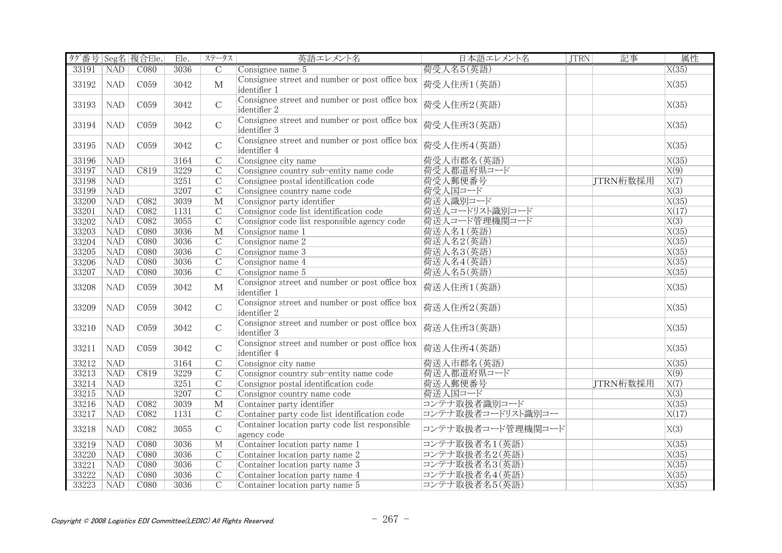| タグ番号 Seg名 複合Ele. |            |                  | Ele. | ステータス                   | 英語エレメント名                                                       | 日本語エレメント名         | <b>JTRN</b> | 記事       | 属性                 |
|------------------|------------|------------------|------|-------------------------|----------------------------------------------------------------|-------------------|-------------|----------|--------------------|
| 33191            | <b>NAD</b> | CO80             | 3036 | $\overline{C}$          | Consignee name 5                                               | 荷受人名5(英語)         |             |          | X(35)              |
| 33192            | NAD        | C <sub>059</sub> | 3042 | $\mathbf{M}$            | Consignee street and number or post office box<br>identifier 1 | 荷受人住所1(英語)        |             |          | X(35)              |
| 33193            | NAD        | C <sub>059</sub> | 3042 | $\mathcal{C}$           | Consignee street and number or post office box<br>identifier 2 | 荷受人住所2(英語)        |             |          | X(35)              |
| 33194            | <b>NAD</b> | C <sub>059</sub> | 3042 | $\mathcal{C}$           | Consignee street and number or post office box<br>identifier 3 | 荷受人住所3(英語)        |             |          | X(35)              |
| 33195            | <b>NAD</b> | C059             | 3042 | $\mathbf C$             | Consignee street and number or post office box<br>identifier 4 | 荷受人住所4(英語)        |             |          | X(35)              |
| 33196            | <b>NAD</b> |                  | 3164 | $\overline{C}$          | Consignee city name                                            | 荷受人市郡名(英語)        |             |          | X(35)              |
| 33197            | <b>NAD</b> | C819             | 3229 | $\overline{C}$          | Consignee country sub-entity name code                         | 荷受人都道府県コード        |             |          | $\overline{X(9)}$  |
| 33198            | NAD        |                  | 3251 | $\overline{C}$          | Consignee postal identification code                           | 荷受人郵便番号           |             | JTRN桁数採用 | $\overline{X(7)}$  |
| 33199            | NAD        |                  | 3207 | $\overline{C}$          | Consignee country name code                                    | 荷受人国コード           |             |          | X(3)               |
| 33200            | NAD        | C082             | 3039 | $\overline{\mathbf{M}}$ | Consignor party identifier                                     | 荷送人識別コード          |             |          | $\overline{X(35)}$ |
| 33201            | NAD        | CO82             | 1131 | $\overline{C}$          | Consignor code list identification code                        | 荷送人コードリスト識別コード    |             |          | X(17)              |
| 33202            | NAD        | CO82             | 3055 | $\overline{C}$          | Consignor code list responsible agency code                    | 荷送人コード管理機関コード     |             |          | $\overline{X(3)}$  |
| 33203            | <b>NAD</b> | C080             | 3036 | $\mathbf{M}$            | Consignor name 1                                               | 荷送人名1(英語)         |             |          | X(35)              |
| 33204            | <b>NAD</b> | C <sub>080</sub> | 3036 | $\overline{C}$          | Consignor name 2                                               | 荷送人名2(英語)         |             |          | X(35)              |
| 33205            | <b>NAD</b> | C <sub>080</sub> | 3036 | $\overline{C}$          | Consignor name 3                                               | 荷送人名3(英語)         |             |          | X(35)              |
| 33206            | NAD        | CO80             | 3036 | $\overline{C}$          | Consignor name 4                                               | 荷送人名4(英語)         |             |          | X(35)              |
| 33207            | NAD        | C080             | 3036 | $\overline{C}$          | Consignor name 5                                               | 荷送人名5(英語)         |             |          | X(35)              |
| 33208            | <b>NAD</b> | C059             | 3042 | $\mathbf{M}$            | Consignor street and number or post office box<br>identifier 1 | 荷送人住所1(英語)        |             |          | X(35)              |
| 33209            | <b>NAD</b> | C059             | 3042 | $\mathbf C$             | Consignor street and number or post office box<br>identifier 2 | 荷送人住所2(英語)        |             |          | X(35)              |
| 33210            | <b>NAD</b> | C059             | 3042 | $\mathbf C$             | Consignor street and number or post office box<br>identifier 3 | 荷送人住所3(英語)        |             |          | X(35)              |
| 33211            | <b>NAD</b> | C059             | 3042 | $\mathbf C$             | Consignor street and number or post office box<br>identifier 4 | 荷送人住所4(英語)        |             |          | X(35)              |
| 33212            | NAD        |                  | 3164 | $\mathcal{C}$           | Consignor city name                                            | 荷送人市郡名(英語)        |             |          | X(35)              |
| 33213            | <b>NAD</b> | C819             | 3229 | $\overline{C}$          | Consignor country sub-entity name code                         | 荷送人都道府県コード        |             |          | $\overline{X(9)}$  |
| 33214            | NAD        |                  | 3251 | $\overline{C}$          | Consignor postal identification code                           | 荷送人郵便番号           |             | JTRN桁数採用 | $\overline{X(7)}$  |
| 33215            | <b>NAD</b> |                  | 3207 | $\overline{C}$          | Consignor country name code                                    | 荷送人国コード           |             |          | X(3)               |
| 33216            | <b>NAD</b> | C082             | 3039 | $\overline{\mathbf{M}}$ | Container party identifier                                     | コンテナ取扱者識別コード      |             |          | X(35)              |
| 33217            | <b>NAD</b> | C082             | 1131 | $\overline{C}$          | Container party code list identification code                  | コンテナ取扱者コードリスト識別コー |             |          | X(17)              |
| 33218            | <b>NAD</b> | C082             | 3055 | $\mathbf C$             | Container location party code list responsible<br>agency code  | コンテナ取扱者コード管理機関コード |             |          | X(3)               |
| 33219            | <b>NAD</b> | C080             | 3036 | $\mathbf{M}$            | Container location party name 1                                | コンテナ取扱者名1(英語)     |             |          | X(35)              |
| 33220            | <b>NAD</b> | C080             | 3036 | $\overline{C}$          | Container location party name 2                                | コンテナ取扱者名2(英語)     |             |          | X(35)              |
| 33221            | <b>NAD</b> | C080             | 3036 | $\mathcal{C}$           | Container location party name 3                                | コンテナ取扱者名3(英語)     |             |          | X(35)              |
| 33222            | <b>NAD</b> | CO80             | 3036 | $\mathcal{C}$           | Container location party name 4                                | コンテナ取扱者名4(英語)     |             |          | X(35)              |
| 33223            | NAD        | CO80             | 3036 | $\overline{C}$          | Container location party name 5                                | コンテナ取扱者名5(英語)     |             |          | X(35)              |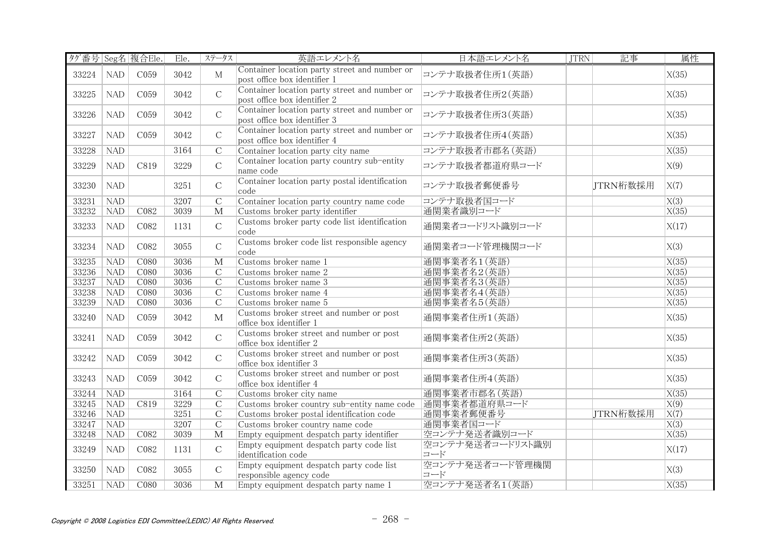| タグ番号 Seg名 複合Ele. |            |                  | Ele. | ステータス                   | 英語エレメント名                                                                      | 日本語エレメント名               | <b>JTRN</b> | 記事       | 属性                 |
|------------------|------------|------------------|------|-------------------------|-------------------------------------------------------------------------------|-------------------------|-------------|----------|--------------------|
| 33224            | <b>NAD</b> | C059             | 3042 | $\mathbf{M}$            | Container location party street and number or<br>post office box identifier 1 | コンテナ取扱者住所1(英語)          |             |          | X(35)              |
| 33225            | <b>NAD</b> | C059             | 3042 | $\mathcal{C}$           | Container location party street and number or<br>post office box identifier 2 | コンテナ取扱者住所2(英語)          |             |          | X(35)              |
| 33226            | <b>NAD</b> | C059             | 3042 | $\mathsf C$             | Container location party street and number or<br>post office box identifier 3 | コンテナ取扱者住所3(英語)          |             |          | X(35)              |
| 33227            | <b>NAD</b> | C059             | 3042 | $\mathcal{C}$           | Container location party street and number or<br>post office box identifier 4 | コンテナ取扱者住所4(英語)          |             |          | X(35)              |
| 33228            | <b>NAD</b> |                  | 3164 | $\mathcal{C}$           | Container location party city name                                            | コンテナ取扱者市郡名(英語)          |             |          | X(35)              |
| 33229            | <b>NAD</b> | C819             | 3229 | $\mathcal{C}$           | Container location party country sub-entity<br>name code                      | コンテナ取扱者都道府県コード          |             |          | X(9)               |
| 33230            | <b>NAD</b> |                  | 3251 | $\mathsf C$             | Container location party postal identification<br>code                        | コンテナ取扱者郵便番号             |             | JTRN桁数採用 | X(7)               |
| 33231            | NAD        |                  | 3207 | $\overline{C}$          | Container location party country name code                                    | コンテナ取扱者国コード             |             |          | $\overline{X(3)}$  |
| 33232            | <b>NAD</b> | C082             | 3039 | $\mathbf{M}$            | Customs broker party identifier                                               | 通関業者識別コード               |             |          | X(35)              |
| 33233            | <b>NAD</b> | C082             | 1131 | $\mathbf C$             | Customs broker party code list identification<br>code                         | 通関業者コードリスト識別コード         |             |          | X(17)              |
| 33234            | <b>NAD</b> | C082             | 3055 | $\mathsf C$             | Customs broker code list responsible agency<br>code                           | 通関業者コード管理機関コード          |             |          | X(3)               |
| 33235            | NAD        | CO80             | 3036 | $\overline{\mathbf{M}}$ | Customs broker name 1                                                         | 通関事業者名1(英語)             |             |          | X(35)              |
| 33236            | NAD        | C <sub>080</sub> | 3036 | $\overline{C}$          | Customs broker name 2                                                         | 通関事業者名2(英語)             |             |          | X(35)              |
| 33237            | <b>NAD</b> | C080             | 3036 | $\overline{C}$          | Customs broker name 3                                                         | 通関事業者名3(英語)             |             |          | $\overline{X(35)}$ |
| 33238            | NAD        | C080             | 3036 | $\overline{C}$          | Customs broker name 4                                                         | 通関事業者名4(英語)             |             |          | X(35)              |
| 33239            | NAD        | C080             | 3036 | $\overline{C}$          | Customs broker name 5                                                         | 通関事業者名5(英語)             |             |          | X(35)              |
| 33240            | <b>NAD</b> | C <sub>059</sub> | 3042 | $\mathbf{M}$            | Customs broker street and number or post<br>office box identifier 1           | 通関事業者住所1(英語)            |             |          | X(35)              |
| 33241            | <b>NAD</b> | C059             | 3042 | $\mathbf C$             | Customs broker street and number or post<br>office box identifier 2           | 通関事業者住所2(英語)            |             |          | X(35)              |
| 33242            | <b>NAD</b> | C <sub>059</sub> | 3042 | $\mathsf C$             | Customs broker street and number or post<br>office box identifier 3           | 通関事業者住所3(英語)            |             |          | X(35)              |
| 33243            | <b>NAD</b> | C059             | 3042 | $\mathsf C$             | Customs broker street and number or post<br>office box identifier 4           | 通関事業者住所4(英語)            |             |          | X(35)              |
| 33244            | <b>NAD</b> |                  | 3164 | $\overline{C}$          | Customs broker city name                                                      | 通関事業者市郡名(英語)            |             |          | X(35)              |
| 33245            | <b>NAD</b> | C819             | 3229 | $\overline{C}$          | Customs broker country sub-entity name code                                   | 通関事業者都道府県コード            |             |          | X(9)               |
| 33246            | NAD        |                  | 3251 | $\overline{C}$          | Customs broker postal identification code                                     | 通関事業者郵便番号               |             | JTRN桁数採用 | $\overline{X(7)}$  |
| 33247            | NAD        |                  | 3207 | $\overline{C}$          | Customs broker country name code                                              | 通関事業者国コード               |             |          | $\overline{X(3)}$  |
| 33248            | NAD        | C <sub>082</sub> | 3039 | $\overline{\mathbf{M}}$ | Empty equipment despatch party identifier                                     | 空コンテナ発送者識別コード           |             |          | X(35)              |
| 33249            | <b>NAD</b> | C082             | 1131 | $\mathcal{C}$           | Empty equipment despatch party code list<br>identification code               | 空コンテナ発送者コードリスト識別<br>コード |             |          | X(17)              |
| 33250            | <b>NAD</b> | C082             | 3055 | $\mathsf{C}$            | Empty equipment despatch party code list<br>responsible agency code           | 空コンテナ発送者コード管理機関<br>コード  |             |          | X(3)               |
| 33251            | NAD        | CO80             | 3036 | $\overline{\mathbf{M}}$ | Empty equipment despatch party name 1                                         | 空コンテナ発送者名1(英語)          |             |          | $\overline{X(35)}$ |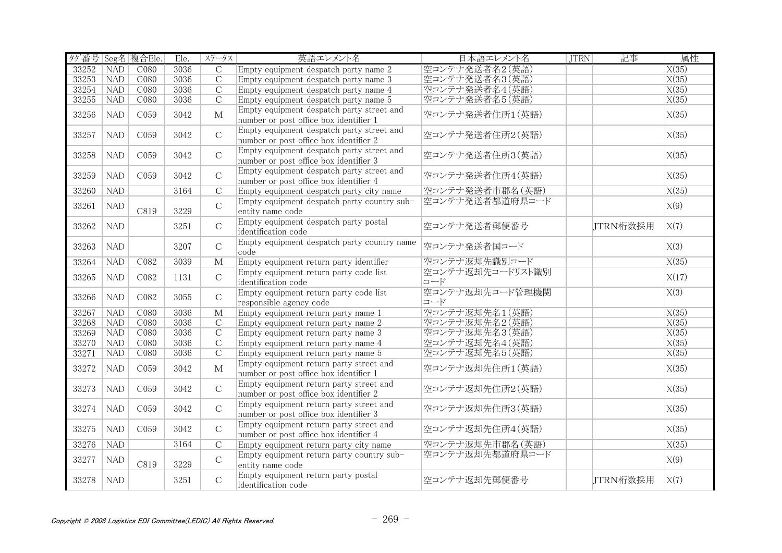| タグ番号 Seg名 複合Ele. |            |                  | Ele. | ステータス                   | 英語エレメント名                                                                            | 日本語エレメント名               | <b>JTRN</b> | 記事       | 属性                 |
|------------------|------------|------------------|------|-------------------------|-------------------------------------------------------------------------------------|-------------------------|-------------|----------|--------------------|
| 33252            | <b>NAD</b> | C <sub>080</sub> | 3036 | $\mathcal{C}$           | Empty equipment despatch party name 2                                               | 空コンテナ発送者名2(英語)          |             |          | X(35)              |
| 33253            | <b>NAD</b> | C <sub>080</sub> | 3036 | $\overline{C}$          | Empty equipment despatch party name 3                                               | 空コンテナ発送者名3(英語)          |             |          | X(35)              |
| 33254            | <b>NAD</b> | C <sub>080</sub> | 3036 | $\overline{C}$          | Empty equipment despatch party name 4                                               | 空コンテナ発送者名4(英語)          |             |          | X(35)              |
| 33255            | <b>NAD</b> | C080             | 3036 | $\overline{C}$          | Empty equipment despatch party name 5                                               | 空コンテナ発送者名5(英語)          |             |          | X(35)              |
| 33256            | <b>NAD</b> | C059             | 3042 | $\mathbf{M}$            | Empty equipment despatch party street and<br>number or post office box identifier 1 | 空コンテナ発送者住所1(英語)         |             |          | X(35)              |
| 33257            | <b>NAD</b> | C <sub>059</sub> | 3042 | $\mathcal{C}$           | Empty equipment despatch party street and<br>number or post office box identifier 2 | 空コンテナ発送者住所2(英語)         |             |          | X(35)              |
| 33258            | <b>NAD</b> | C <sub>059</sub> | 3042 | $\mathcal{C}$           | Empty equipment despatch party street and<br>number or post office box identifier 3 | 空コンテナ発送者住所3(英語)         |             |          | X(35)              |
| 33259            | <b>NAD</b> | C059             | 3042 | $\mathcal{C}$           | Empty equipment despatch party street and<br>number or post office box identifier 4 | 空コンテナ発送者住所4(英語)         |             |          | X(35)              |
| 33260            | NAD        |                  | 3164 | $\overline{C}$          | Empty equipment despatch party city name                                            | 空コンテナ発送者市郡名 (英語)        |             |          | $\overline{X(35)}$ |
| 33261            | <b>NAD</b> | C819             | 3229 | $\mathsf C$             | Empty equipment despatch party country sub-<br>entity name code                     | 空コンテナ発送者都道府県コード         |             |          | X(9)               |
| 33262            | <b>NAD</b> |                  | 3251 | $\mathcal{C}$           | Empty equipment despatch party postal<br>identification code                        | 空コンテナ発送者郵便番号            |             | JTRN桁数採用 | X(7)               |
| 33263            | <b>NAD</b> |                  | 3207 | $\mathcal{C}$           | Empty equipment despatch party country name<br>code                                 | 空コンテナ発送者国コード            |             |          | X(3)               |
| 33264            | <b>NAD</b> | CO82             | 3039 | $\overline{\mathbf{M}}$ | Empty equipment return party identifier                                             | 空コンテナ返却先識別コード           |             |          | X(35)              |
| 33265            | <b>NAD</b> | C082             | 1131 | $\mathcal{C}$           | Empty equipment return party code list<br>identification code                       | 空コンテナ返却先コードリスト識別<br>コード |             |          | X(17)              |
| 33266            | <b>NAD</b> | C082             | 3055 | $\mathcal{C}$           | Empty equipment return party code list<br>responsible agency code                   | 空コンテナ返却先コード管理機関<br>コード  |             |          | X(3)               |
| 33267            | NAD        | CO80             | 3036 | $\overline{\mathbf{M}}$ | Empty equipment return party name 1                                                 | 空コンテナ返却先名1(英語)          |             |          | X(35)              |
| 33268            | <b>NAD</b> | C080             | 3036 | $\mathcal{C}$           | Empty equipment return party name 2                                                 | 空コンテナ返却先名2(英語)          |             |          | X(35)              |
| 33269            | NAD        | C080             | 3036 | $\overline{C}$          | Empty equipment return party name 3                                                 | 空コンテナ返却先名3(英語)          |             |          | X(35)              |
| 33270            | NAD        | CO80             | 3036 | $\overline{C}$          | Empty equipment return party name 4                                                 | 空コンテナ返却先名4(英語)          |             |          | X(35)              |
| 33271            | NAD        | C080             | 3036 | $\overline{C}$          | Empty equipment return party name 5                                                 | 空コンテナ返却先名5(英語)          |             |          | X(35)              |
| 33272            | NAD        | C <sub>059</sub> | 3042 | $\mathbf{M}$            | Empty equipment return party street and<br>number or post office box identifier 1   | 空コンテナ返却先住所1(英語)         |             |          | X(35)              |
| 33273            | <b>NAD</b> | C <sub>059</sub> | 3042 | $\mathcal{C}$           | Empty equipment return party street and<br>number or post office box identifier 2   | 空コンテナ返却先住所2(英語)         |             |          | X(35)              |
| 33274            | <b>NAD</b> | C <sub>059</sub> | 3042 | $\overline{C}$          | Empty equipment return party street and<br>number or post office box identifier 3   | 空コンテナ返却先住所3(英語)         |             |          | X(35)              |
| 33275            | <b>NAD</b> | C <sub>059</sub> | 3042 | $\mathcal{C}$           | Empty equipment return party street and<br>number or post office box identifier 4   | 空コンテナ返却先住所4(英語)         |             |          | X(35)              |
| 33276            | <b>NAD</b> |                  | 3164 | $\overline{C}$          | Empty equipment return party city name                                              | 空コンテナ返却先市郡名 (英語)        |             |          | X(35)              |
| 33277            | <b>NAD</b> | C819             | 3229 | $\mathsf C$             | Empty equipment return party country sub-<br>entity name code                       | 空コンテナ返却先都道府県コード         |             |          | X(9)               |
| 33278            | <b>NAD</b> |                  | 3251 | $\overline{C}$          | Empty equipment return party postal<br>identification code                          | 空コンテナ返却先郵便番号            |             | JTRN桁数採用 | X(7)               |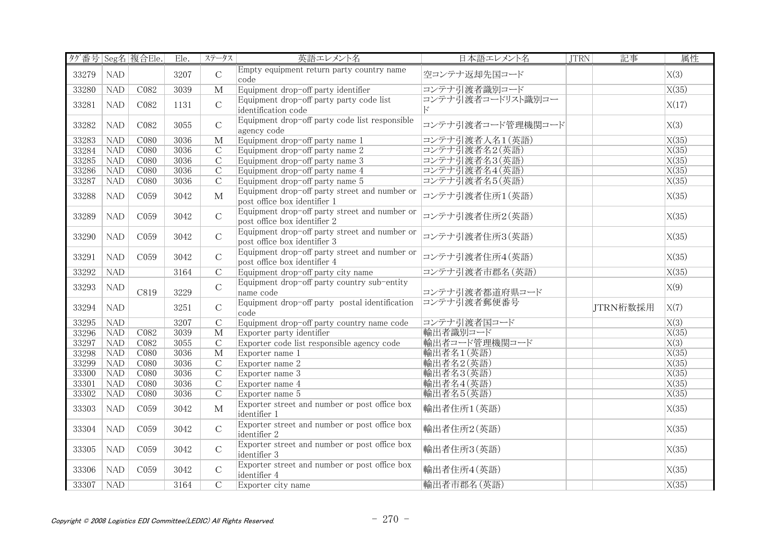| タグ番号 Seg名 複合Ele. |            |                  | Ele. | ステータス                   | 英語エレメント名                                                                      | 日本語エレメント名         | <b>JTRN</b> | 記事       | 属性                 |
|------------------|------------|------------------|------|-------------------------|-------------------------------------------------------------------------------|-------------------|-------------|----------|--------------------|
| 33279            | <b>NAD</b> |                  | 3207 | $\mathcal{C}$           | Empty equipment return party country name<br>code                             | 空コンテナ返却先国コード      |             |          | X(3)               |
| 33280            | <b>NAD</b> | C082             | 3039 | $\mathbf{M}$            | Equipment drop-off party identifier                                           | コンテナ引渡者識別コード      |             |          | X(35)              |
| 33281            | NAD        | C082             | 1131 | $\mathcal{C}$           | Equipment drop-off party party code list<br>identification code               | コンテナ引渡者コードリスト識別コー |             |          | X(17)              |
| 33282            | <b>NAD</b> | C082             | 3055 | $\mathcal{C}$           | Equipment drop-off party code list responsible<br>agency code                 | コンテナ引渡者コード管理機関コード |             |          | X(3)               |
| 33283            | NAD        | C080             | 3036 | $\overline{\mathbf{M}}$ | Equipment drop-off party name 1                                               | コンテナ引渡者人名1(英語)    |             |          | X(35)              |
| 33284            | NAD        | C080             | 3036 | $\overline{C}$          | Equipment drop-off party name 2                                               | コンテナ引渡者名2(英語)     |             |          | X(35)              |
| 33285            | <b>NAD</b> | C <sub>080</sub> | 3036 | $\overline{C}$          | Equipment drop-off party name 3                                               | コンテナ引渡者名3(英語)     |             |          | X(35)              |
| 33286            | <b>NAD</b> | C080             | 3036 | $\mathcal{C}$           | Equipment drop-off party name 4                                               | コンテナ引渡者名4(英語)     |             |          | X(35)              |
| 33287            | <b>NAD</b> | C080             | 3036 | $\overline{C}$          | Equipment drop-off party name 5                                               | コンテナ引渡者名5(英語)     |             |          | X(35)              |
| 33288            | <b>NAD</b> | C <sub>059</sub> | 3042 | $\mathbf{M}$            | Equipment drop-off party street and number or<br>post office box identifier 1 | コンテナ引渡者住所1(英語)    |             |          | X(35)              |
| 33289            | NAD        | C <sub>059</sub> | 3042 | $\overline{C}$          | Equipment drop-off party street and number or<br>post office box identifier 2 | コンテナ引渡者住所2(英語)    |             |          | X(35)              |
| 33290            | NAD        | C059             | 3042 | $\mathcal{C}$           | Equipment drop-off party street and number or<br>post office box identifier 3 | コンテナ引渡者住所3(英語)    |             |          | X(35)              |
| 33291            | <b>NAD</b> | C <sub>059</sub> | 3042 | $\mathcal{C}$           | Equipment drop-off party street and number or<br>post office box identifier 4 | コンテナ引渡者住所4(英語)    |             |          | X(35)              |
| 33292            | <b>NAD</b> |                  | 3164 | $\overline{C}$          | Equipment drop-off party city name                                            | コンテナ引渡者市郡名 (英語)   |             |          | X(35)              |
| 33293            | <b>NAD</b> | C819             | 3229 | $\mathsf C$             | Equipment drop-off party country sub-entity<br>name code                      | コンテナ引渡者都道府県コード    |             |          | X(9)               |
| 33294            | <b>NAD</b> |                  | 3251 | $\mathbf C$             | Equipment drop-off party postal identification<br>code                        | コンテナ引渡者郵便番号       |             | JTRN桁数採用 | X(7)               |
| 33295            | <b>NAD</b> |                  | 3207 | $\overline{C}$          | Equipment drop-off party country name code                                    | コンテナ引渡者国コード       |             |          | X(3)               |
| 33296            | NAD        | CO82             | 3039 | $\overline{\mathbf{M}}$ | Exporter party identifier                                                     | 輸出者識別コード          |             |          | X(35)              |
| 33297            | NAD        | CO82             | 3055 | $\overline{C}$          | Exporter code list responsible agency code                                    | 輸出者コード管理機関コード     |             |          | X(3)               |
| 33298            | NAD        | C080             | 3036 | $\overline{\mathbf{M}}$ | Exporter name 1                                                               | 輸出者名1(英語)         |             |          | $\overline{X(35)}$ |
| 33299            | NAD        | C080             | 3036 | $\overline{C}$          | Exporter name 2                                                               | 輸出者名2(英語)         |             |          | X(35)              |
| 33300            | NAD        | C080             | 3036 | $\overline{C}$          | Exporter name 3                                                               | 輸出者名3(英語)         |             |          | X(35)              |
| 33301            | <b>NAD</b> | C080             | 3036 | $\overline{C}$          | Exporter name 4                                                               | 輸出者名4(英語)         |             |          | X(35)              |
| 33302            | <b>NAD</b> | C080             | 3036 | $\overline{C}$          | Exporter name 5                                                               | 輸出者名5(英語)         |             |          | X(35)              |
| 33303            | <b>NAD</b> | C <sub>059</sub> | 3042 | $\mathbf{M}$            | Exporter street and number or post office box<br>identifier 1                 | 輸出者住所1(英語)        |             |          | X(35)              |
| 33304            | <b>NAD</b> | C059             | 3042 | $\mathbf C$             | Exporter street and number or post office box<br>identifier 2                 | 輸出者住所2(英語)        |             |          | X(35)              |
| 33305            | <b>NAD</b> | C <sub>059</sub> | 3042 | $\mathcal{C}$           | Exporter street and number or post office box<br>identifier 3                 | 輸出者住所3(英語)        |             |          | X(35)              |
| 33306            | <b>NAD</b> | C059             | 3042 | $\mathcal{C}$           | Exporter street and number or post office box<br>identifier 4                 | 輸出者住所4 (英語)       |             |          | X(35)              |
| 33307            | <b>NAD</b> |                  | 3164 | $\overline{C}$          | Exporter city name                                                            | 輸出者市郡名 (英語)       |             |          | $\overline{X(35)}$ |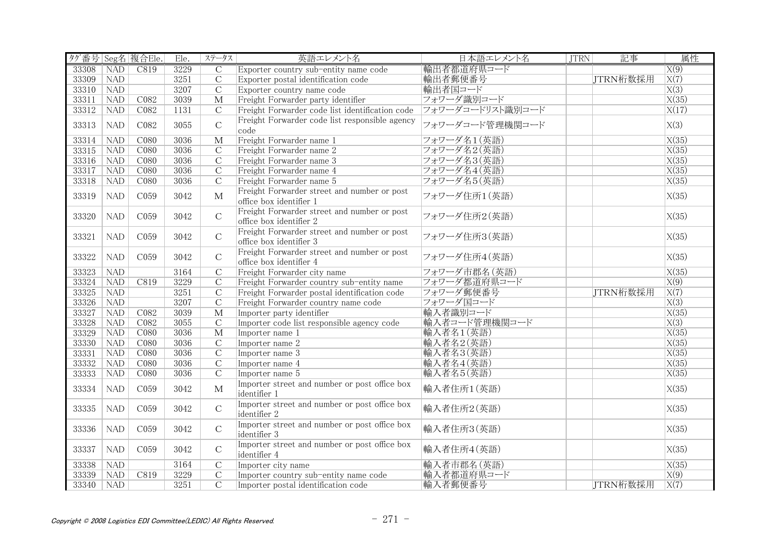| タグ番号 Seg名 複合Ele. |                              |                  | Ele. | ステータス                   | 英語エレメント名                                        | 日本語エレメント名        | <b>JTRN</b> | 記事       | 属性                 |
|------------------|------------------------------|------------------|------|-------------------------|-------------------------------------------------|------------------|-------------|----------|--------------------|
| 33308            | $\overline{\text{NAD}}$      | C819             | 3229 | $\overline{C}$          | Exporter country sub-entity name code           | 輸出者都道府県コード       |             |          | X(9)               |
| 33309            | $\overline{\phantom{a}}$ NAD |                  | 3251 | $\overline{C}$          | Exporter postal identification code             | 輸出者郵便番号          |             | JTRN桁数採用 | X(7)               |
| 33310            | <b>NAD</b>                   |                  | 3207 | $\overline{C}$          | Exporter country name code                      | 輸出者国コード          |             |          | $\overline{X(3)}$  |
| 33311            | NAD                          | C082             | 3039 | $\mathbf{M}$            | Freight Forwarder party identifier              | フォワーダ識別コード       |             |          | X(35)              |
| 33312            | NAD                          | CO82             | 1131 | $\overline{C}$          | Freight Forwarder code list identification code | フォワーダコードリスト識別コード |             |          | $\overline{X(17)}$ |
|                  |                              |                  |      |                         | Freight Forwarder code list responsible agency  |                  |             |          |                    |
| 33313            | <b>NAD</b>                   | C082             | 3055 | $\mathsf C$             | code                                            | フォワーダコード管理機関コード  |             |          | X(3)               |
| 33314            | NAD                          | C080             | 3036 | $\overline{\mathbf{M}}$ | Freight Forwarder name 1                        | フォワーダ名1(英語)      |             |          | X(35)              |
| 33315            | NAD                          | C080             | 3036 | $\overline{C}$          | Freight Forwarder name 2                        | フォワーダ名2(英語)      |             |          | X(35)              |
| 33316            | <b>NAD</b>                   | C <sub>080</sub> | 3036 | $\overline{C}$          | Freight Forwarder name 3                        | フォワーダ名3(英語)      |             |          | X(35)              |
| 33317            | <b>NAD</b>                   | C080             | 3036 | $\mathcal{C}$           | Freight Forwarder name 4                        | フォワーダ名4(英語)      |             |          | X(35)              |
| 33318            | <b>NAD</b>                   | C080             | 3036 | $\overline{C}$          | Freight Forwarder name 5                        | フォワーダ名5(英語)      |             |          | X(35)              |
|                  |                              |                  |      |                         | Freight Forwarder street and number or post     |                  |             |          |                    |
| 33319            | <b>NAD</b>                   | C059             | 3042 | M                       | office box identifier 1                         | フォワーダ住所1(英語)     |             |          | X(35)              |
|                  |                              |                  |      |                         | Freight Forwarder street and number or post     |                  |             |          |                    |
| 33320            | NAD                          | C <sub>059</sub> | 3042 | $\mathcal{C}$           | office box identifier 2                         | フォワーダ住所2(英語)     |             |          | X(35)              |
|                  |                              |                  |      |                         | Freight Forwarder street and number or post     |                  |             |          |                    |
| 33321            | NAD                          | C059             | 3042 | $\mathcal{C}$           | office box identifier 3                         | フォワーダ住所3(英語)     |             |          | X(35)              |
|                  |                              |                  |      |                         | Freight Forwarder street and number or post     |                  |             |          |                    |
| 33322            | <b>NAD</b>                   | C <sub>059</sub> | 3042 | $\mathcal{C}$           | office box identifier 4                         | フォワーダ住所4(英語)     |             |          | X(35)              |
| 33323            | NAD                          |                  | 3164 | $\overline{C}$          | Freight Forwarder city name                     | フォワーダ市郡名 (英語)    |             |          | $\overline{X(35)}$ |
| 33324            | <b>NAD</b>                   | C819             | 3229 | $\overline{C}$          | Freight Forwarder country sub-entity name       | フォワーダ都道府県コード     |             |          | $\overline{X(9)}$  |
| 33325            | NAD                          |                  | 3251 | $\mathcal{C}$           | Freight Forwarder postal identification code    | フォワーダ郵便番号        |             | JTRN桁数採用 | $\overline{X(7)}$  |
| 33326            | <b>NAD</b>                   |                  | 3207 | $\overline{C}$          | Freight Forwarder country name code             | フォワーダ国コード        |             |          | $\overline{X(3)}$  |
| 33327            | <b>NAD</b>                   | C082             | 3039 | $\overline{\text{M}}$   | Importer party identifier                       | 輸入者識別コード         |             |          | X(35)              |
| 33328            | <b>NAD</b>                   | C082             | 3055 | $\mathcal{C}$           | Importer code list responsible agency code      | 輸入者コード管理機関コード    |             |          | X(3)               |
| 33329            | NAD                          | C080             | 3036 | $\overline{\mathbf{M}}$ | Importer name 1                                 | 輸入者名1(英語)        |             |          | X(35)              |
| 33330            | NAD                          | C080             | 3036 | $\overline{C}$          | Importer name 2                                 | 輸入者名2(英語)        |             |          | $\overline{X(35)}$ |
| 33331            | NAD                          | C080             | 3036 | $\overline{C}$          | Importer name 3                                 | 輸入者名3(英語)        |             |          | $\overline{X(35)}$ |
| 33332            | NAD                          | C080             | 3036 | $\overline{C}$          | Importer name 4                                 | 輸入者名4(英語)        |             |          | X(35)              |
| 33333            | NAD                          | C080             | 3036 | $\overline{C}$          | Importer name 5                                 | 輸入者名5(英語)        |             |          | X(35)              |
|                  |                              |                  |      |                         | Importer street and number or post office box   |                  |             |          |                    |
| 33334            | <b>NAD</b>                   | C <sub>059</sub> | 3042 | $\mathbf{M}$            | identifier 1                                    | 輸入者住所1(英語)       |             |          | X(35)              |
|                  |                              |                  |      |                         | Importer street and number or post office box   |                  |             |          |                    |
| 33335            | <b>NAD</b>                   | C <sub>059</sub> | 3042 | $\mathcal{C}$           | identifier 2                                    | 輸入者住所2(英語)       |             |          | X(35)              |
|                  |                              |                  |      |                         | Importer street and number or post office box   |                  |             |          |                    |
| 33336            | <b>NAD</b>                   | C059             | 3042 | $\mathcal{C}$           | identifier 3                                    | 輸入者住所3(英語)       |             |          | X(35)              |
|                  |                              |                  |      |                         | Importer street and number or post office box   |                  |             |          |                    |
| 33337            | <b>NAD</b>                   | C059             | 3042 | $\mathcal{C}$           | identifier 4                                    | 輸入者住所4(英語)       |             |          | X(35)              |
| 33338            | <b>NAD</b>                   |                  | 3164 | $\overline{C}$          | Importer city name                              | 輸入者市郡名 (英語)      |             |          | X(35)              |
| 33339            | <b>NAD</b>                   | C819             | 3229 | $\mathcal{C}$           | Importer country sub-entity name code           | 輸入者都道府県コード       |             |          | X(9)               |
| 33340            | NAD                          |                  | 3251 | $\overline{C}$          | Importer postal identification code             | 輸入者郵便番号          |             | ITRN桁数採用 | $\overline{X(7)}$  |
|                  |                              |                  |      |                         |                                                 |                  |             |          |                    |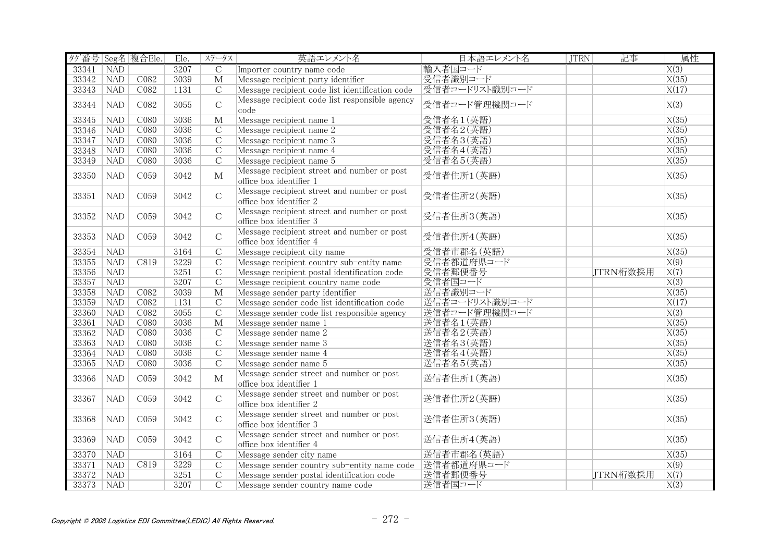| タグ番号 Seg名 複合Ele. |            |                  | Ele. | ステータス                   | 英語エレメント名                                                               | 日本語エレメント名      | <b>JTRN</b> | 記事       | 属性                 |
|------------------|------------|------------------|------|-------------------------|------------------------------------------------------------------------|----------------|-------------|----------|--------------------|
| 33341            | <b>NAD</b> |                  | 3207 | $\overline{C}$          | Importer country name code                                             | 輸入者国コード        |             |          | $\overline{X(3)}$  |
| 33342            | <b>NAD</b> | C082             | 3039 | $\mathbf{M}$            | Message recipient party identifier                                     | 受信者識別コード       |             |          | X(35)              |
| 33343            | <b>NAD</b> | C082             | 1131 | $\overline{C}$          | Message recipient code list identification code                        | 受信者コードリスト識別コード |             |          | X(17)              |
| 33344            | <b>NAD</b> | C082             | 3055 | $\overline{C}$          | Message recipient code list responsible agency<br>code                 | 受信者コード管理機関コード  |             |          | X(3)               |
| 33345            | NAD        | C080             | 3036 | $\overline{\mathbf{M}}$ | Message recipient name 1                                               | 受信者名1(英語)      |             |          | X(35)              |
| 33346            | <b>NAD</b> | C080             | 3036 | $\mathcal{C}$           | Message recipient name 2                                               | 受信者名2(英語)      |             |          | $\overline{X(35)}$ |
| 33347            | NAD        | CO80             | 3036 | $\overline{C}$          | Message recipient name 3                                               | 受信者名3(英語)      |             |          | X(35)              |
| 33348            | NAD        | C080             | 3036 | $\overline{C}$          | Message recipient name 4                                               | 受信者名4(英語)      |             |          | X(35)              |
| 33349            | <b>NAD</b> | C080             | 3036 | $\overline{C}$          | Message recipient name 5                                               | 受信者名5(英語)      |             |          | X(35)              |
| 33350            | <b>NAD</b> | C059             | 3042 | $\mathbf{M}$            | Message recipient street and number or post<br>office box identifier 1 | 受信者住所1(英語)     |             |          | X(35)              |
| 33351            | <b>NAD</b> | C059             | 3042 | $\mathbf C$             | Message recipient street and number or post<br>office box identifier 2 | 受信者住所2(英語)     |             |          | X(35)              |
| 33352            | <b>NAD</b> | C <sub>059</sub> | 3042 | $\mathcal{C}$           | Message recipient street and number or post<br>office box identifier 3 | 受信者住所3(英語)     |             |          | X(35)              |
| 33353            | <b>NAD</b> | C <sub>059</sub> | 3042 | $\mathcal{C}$           | Message recipient street and number or post<br>office box identifier 4 | 受信者住所4(英語)     |             |          | X(35)              |
| 33354            | <b>NAD</b> |                  | 3164 | $\overline{C}$          | Message recipient city name                                            | 受信者市郡名(英語)     |             |          | X(35)              |
| 33355            | NAD        | C819             | 3229 | $\overline{C}$          | Message recipient country sub-entity name                              | 受信者都道府県コード     |             |          | X(9)               |
| 33356            | NAD        |                  | 3251 | $\overline{C}$          | Message recipient postal identification code                           | 受信者郵便番号        |             | JTRN桁数採用 | $\overline{X(7)}$  |
| 33357            | <b>NAD</b> |                  | 3207 | $\mathcal{C}$           | Message recipient country name code                                    | 受信者国コード        |             |          | $\overline{X(3)}$  |
| 33358            | <b>NAD</b> | C082             | 3039 | $\overline{\mathbf{M}}$ | Message sender party identifier                                        | 送信者識別コード       |             |          | $\overline{X(35)}$ |
| 33359            | NAD        | CO82             | 1131 | $\overline{C}$          | Message sender code list identification code                           | 送信者コードリスト識別コード |             |          | X(17)              |
| 33360            | <b>NAD</b> | C082             | 3055 | $\overline{C}$          | Message sender code list responsible agency                            | 送信者コード管理機関コード  |             |          | $\overline{X(3)}$  |
| 33361            | <b>NAD</b> | C <sub>080</sub> | 3036 | $\mathbf{M}$            | Message sender name 1                                                  | 送信者名1(英語)      |             |          | X(35)              |
| 33362            | NAD        | C <sub>080</sub> | 3036 | $\overline{C}$          | Message sender name 2                                                  | 送信者名2(英語)      |             |          | X(35)              |
| 33363            | NAD        | C080             | 3036 | $\overline{C}$          | Message sender name 3                                                  | 送信者名3(英語)      |             |          | X(35)              |
| 33364            | NAD        | C080             | 3036 | $\overline{C}$          | Message sender name 4                                                  | 送信者名4(英語)      |             |          | $\overline{X(35)}$ |
| 33365            | <b>NAD</b> | C <sub>080</sub> | 3036 | $\overline{C}$          | Message sender name 5                                                  | 送信者名5(英語)      |             |          | $\overline{X(35)}$ |
| 33366            | <b>NAD</b> | C059             | 3042 | $\mathbf{M}$            | Message sender street and number or post<br>office box identifier 1    | 送信者住所1(英語)     |             |          | X(35)              |
| 33367            | <b>NAD</b> | C059             | 3042 | $\mathsf{C}$            | Message sender street and number or post<br>office box identifier 2    | 送信者住所2(英語)     |             |          | X(35)              |
| 33368            | <b>NAD</b> | C059             | 3042 | $\mathsf{C}$            | Message sender street and number or post<br>office box identifier 3    | 送信者住所3(英語)     |             |          | X(35)              |
| 33369            | <b>NAD</b> | C059             | 3042 | $\mathbf C$             | Message sender street and number or post<br>office box identifier 4    | 送信者住所4(英語)     |             |          | X(35)              |
| 33370            | <b>NAD</b> |                  | 3164 | $\overline{C}$          | Message sender city name                                               | 送信者市郡名 (英語)    |             |          | $\overline{X(35)}$ |
| 33371            | <b>NAD</b> | C819             | 3229 | $\mathcal{C}$           | Message sender country sub-entity name code                            | 送信者都道府県コード     |             |          | X(9)               |
| 33372            | <b>NAD</b> |                  | 3251 | $\mathcal{C}$           | Message sender postal identification code                              | 送信者郵便番号        |             | JTRN桁数採用 | X(7)               |
| 33373            | NAD        |                  | 3207 | $\overline{C}$          | Message sender country name code                                       | 送信者国コード        |             |          | $\overline{X(3)}$  |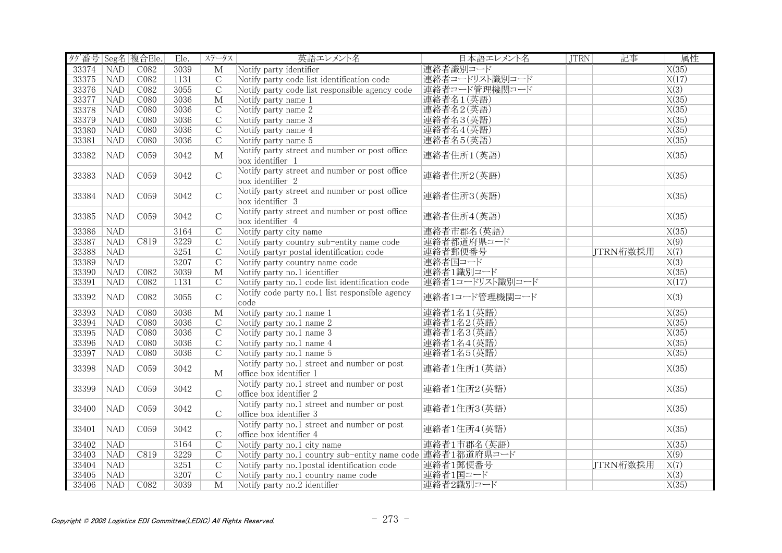| タグ番号 Seg名 複合Ele. |            |                  | Ele. | ステータス                   | 英語エレメント名                                                               | 日本語エレメント名       | <b>JTRN</b> | 記事       | 属性                 |
|------------------|------------|------------------|------|-------------------------|------------------------------------------------------------------------|-----------------|-------------|----------|--------------------|
| 33374            | <b>NAD</b> | CO82             | 3039 | $\overline{\mathrm{M}}$ | Notify party identifier                                                | 連絡者識別コード        |             |          | $\overline{X(35)}$ |
| 33375 NAD        |            | C082             | 1131 | $\overline{C}$          | Notify party code list identification code                             | 連絡者コードリスト識別コード  |             |          | X(17)              |
| 33376            | <b>NAD</b> | C082             | 3055 | $\overline{C}$          | Notify party code list responsible agency code                         | 連絡者コード管理機関コード   |             |          | $\overline{X(3)}$  |
| 33377            | <b>NAD</b> | C080             | 3036 | $\mathbf{M}$            | Notify party name 1                                                    | 連絡者名1(英語)       |             |          | X(35)              |
| 33378            | NAD        | C080             | 3036 | $\overline{C}$          | Notify party name 2                                                    | 連絡者名2(英語)       |             |          | X(35)              |
| 33379            | <b>NAD</b> | C080             | 3036 | $\overline{C}$          | Notify party name 3                                                    | 連絡者名3(英語)       |             |          | X(35)              |
| 33380            | NAD        | C080             | 3036 | $\overline{C}$          | Notify party name 4                                                    | 連絡者名4(英語)       |             |          | $\overline{X(35)}$ |
| 33381            | NAD        | C080             | 3036 | $\overline{C}$          | Notify party name 5                                                    | 連絡者名5(英語)       |             |          | X(35)              |
| 33382            | <b>NAD</b> | C059             | 3042 | $\mathbf{M}$            | Notify party street and number or post office<br>box identifier 1      | 連絡者住所1(英語)      |             |          | X(35)              |
| 33383            | <b>NAD</b> | C059             | 3042 | $\mathcal{C}$           | Notify party street and number or post office<br>box identifier 2      | 連絡者住所2(英語)      |             |          | X(35)              |
| 33384            | <b>NAD</b> | C059             | 3042 | $\mathbf C$             | Notify party street and number or post office<br>box identifier 3      | 連絡者住所3(英語)      |             |          | X(35)              |
| 33385            | <b>NAD</b> | C <sub>059</sub> | 3042 | $\mathbf C$             | Notify party street and number or post office<br>box identifier 4      | 連絡者住所4(英語)      |             |          | X(35)              |
| 33386            | <b>NAD</b> |                  | 3164 | $\overline{C}$          | Notify party city name                                                 | 連絡者市郡名 (英語)     |             |          | X(35)              |
| 33387            | <b>NAD</b> | C819             | 3229 | $\overline{C}$          | Notify party country sub-entity name code                              | 連絡者都道府県コード      |             |          | X(9)               |
| 33388            | NAD        |                  | 3251 | $\overline{C}$          | Notify partyr postal identification code                               | 連絡者郵便番号         |             | JTRN桁数採用 | $\overline{X(7)}$  |
| 33389            | NAD        |                  | 3207 | $\overline{C}$          | Notify party country name code                                         | 連絡者国コード         |             |          | $\overline{X(3)}$  |
| 33390            | NAD        | CO82             | 3039 | $\overline{\mathbf{M}}$ | Notify party no.1 identifier                                           | 連絡者1識別コード       |             |          | X(35)              |
| 33391            | NAD        | C082             | 1131 | $\mathcal{C}$           | Notify party no.1 code list identification code                        | 連絡者1コードリスト識別コード |             |          | X(17)              |
| 33392            | <b>NAD</b> | C082             | 3055 | $\mathcal{C}$           | Notify code party no.1 list responsible agency<br>code                 | 連絡者1コード管理機関コード  |             |          | X(3)               |
| 33393            | <b>NAD</b> | C <sub>080</sub> | 3036 | $\mathbf{M}$            | Notify party no.1 name 1                                               | 連絡者1名1(英語)      |             |          | X(35)              |
| 33394            | <b>NAD</b> | C <sub>080</sub> | 3036 | $\mathcal{C}$           | Notify party no.1 name 2                                               | 連絡者1名2(英語)      |             |          | X(35)              |
| 33395            | NAD        | C080             | 3036 | $\overline{C}$          | Notify party no.1 name 3                                               | 連絡者1名3(英語)      |             |          | X(35)              |
| 33396            | NAD        | C080             | 3036 | $\overline{C}$          | Notify party no.1 name 4                                               | 連絡者1名4(英語)      |             |          | X(35)              |
| 33397            | NAD        | C080             | 3036 | $\overline{C}$          | Notify party no.1 name 5                                               | 連絡者1名5(英語)      |             |          | X(35)              |
| 33398            | <b>NAD</b> | C059             | 3042 | $\mathbf{M}$            | Notify party no.1 street and number or post<br>office box identifier 1 | 連絡者1住所1(英語)     |             |          | X(35)              |
| 33399            | NAD        | C <sub>059</sub> | 3042 | $\mathcal{C}$           | Notify party no.1 street and number or post<br>office box identifier 2 | 連絡者1住所2(英語)     |             |          | X(35)              |
| 33400            | NAD        | C059             | 3042 | $\mathcal{C}$           | Notify party no.1 street and number or post<br>office box identifier 3 | 連絡者1住所3(英語)     |             |          | X(35)              |
| 33401            | NAD        | C059             | 3042 | $\mathcal{C}$           | Notify party no.1 street and number or post<br>office box identifier 4 | 連絡者1住所4(英語)     |             |          | X(35)              |
| 33402            | <b>NAD</b> |                  | 3164 | $\overline{C}$          | Notify party no.1 city name                                            | 連絡者1市郡名(英語)     |             |          | X(35)              |
| 33403            | <b>NAD</b> | C819             | 3229 | $\overline{C}$          | Notify party no.1 country sub-entity name code 連絡者1都道府県コード             |                 |             |          | $\overline{X(9)}$  |
| 33404            | <b>NAD</b> |                  | 3251 | $\mathcal{C}$           | Notify party no.1 postal identification code                           | 連絡者1郵便番号        |             | JTRN桁数採用 | $\overline{X(7)}$  |
| 33405            | <b>NAD</b> |                  | 3207 | $\overline{C}$          | Notify party no.1 country name code                                    | 連絡者1国コード        |             |          | X(3)               |
| 33406            | NAD        | C <sub>082</sub> | 3039 | $\overline{\mathbf{M}}$ | Notify party no.2 identifier                                           | 連絡者2識別コード       |             |          | X(35)              |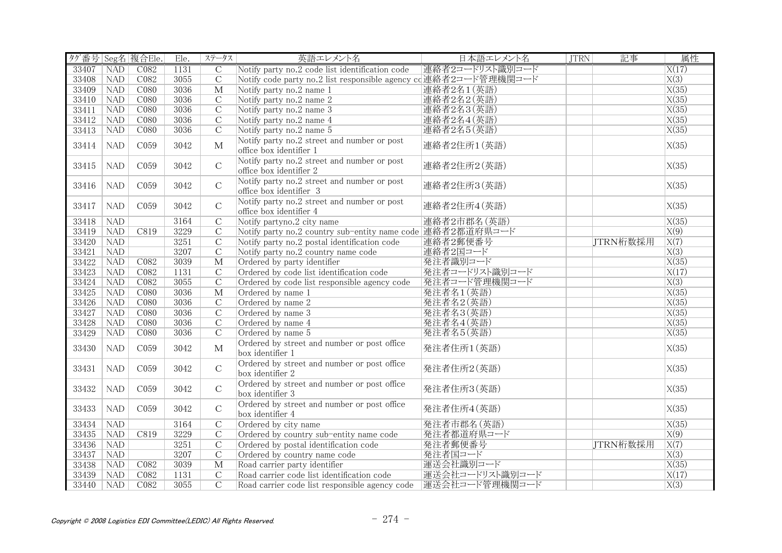| タグ番号 Seg名 複合Ele. |            |                  | Ele. | ステータス                   | 英語エレメント名                                                               | 日本語エレメント名       | <b>JTRN</b> | 記事       | 属性                 |
|------------------|------------|------------------|------|-------------------------|------------------------------------------------------------------------|-----------------|-------------|----------|--------------------|
| 33407            | <b>NAD</b> | CO82             | 1131 | $\overline{C}$          | Notify party no.2 code list identification code                        | 連絡者2コードリスト識別コード |             |          | X(17)              |
| 33408            | <b>NAD</b> | C082             | 3055 | $\overline{C}$          | Notify code party no.2 list responsible agency cd連絡者2コード管理機関コード        |                 |             |          | $\overline{X(3)}$  |
| 33409            | <b>NAD</b> | C <sub>080</sub> | 3036 | $\overline{\mathbf{M}}$ | Notify party no.2 name 1                                               | 連絡者2名1(英語)      |             |          | X(35)              |
| 33410            | <b>NAD</b> | C080             | 3036 | $\mathcal{C}$           | Notify party no.2 name 2                                               | 連絡者2名2(英語)      |             |          | X(35)              |
| 33411            | NAD        | CO80             | 3036 | $\overline{C}$          | Notify party no.2 name 3                                               | 連絡者2名3(英語)      |             |          | X(35)              |
| 33412            | <b>NAD</b> | C080             | 3036 | $\overline{C}$          | Notify party no.2 name 4                                               | 連絡者2名4(英語)      |             |          | X(35)              |
| 33413            | NAD        | CO80             | 3036 | $\overline{C}$          | Notify party no.2 name 5                                               | 連絡者2名5(英語)      |             |          | $\overline{X(35)}$ |
| 33414            | <b>NAD</b> | C <sub>059</sub> | 3042 | M                       | Notify party no.2 street and number or post<br>office box identifier 1 | 連絡者2住所1(英語)     |             |          | X(35)              |
| 33415            | <b>NAD</b> | C <sub>059</sub> | 3042 | $\mathcal{C}$           | Notify party no.2 street and number or post<br>office box identifier 2 | 連絡者2住所2(英語)     |             |          | X(35)              |
| 33416            | <b>NAD</b> | C <sub>059</sub> | 3042 | $\mathcal{C}$           | Notify party no.2 street and number or post<br>office box identifier 3 | 連絡者2住所3(英語)     |             |          | X(35)              |
| 33417            | <b>NAD</b> | C059             | 3042 | $\mathsf{C}$            | Notify party no.2 street and number or post<br>office box identifier 4 | 連絡者2住所4(英語)     |             |          | X(35)              |
| 33418            | <b>NAD</b> |                  | 3164 | $\mathcal{C}$           | Notify partyno.2 city name                                             | 連絡者2市郡名(英語)     |             |          | X(35)              |
| 33419            | <b>NAD</b> | C819             | 3229 | $\overline{C}$          | Notify party no.2 country sub-entity name code 連絡者2都道府県コード             |                 |             |          | $\overline{X(9)}$  |
| 33420            | <b>NAD</b> |                  | 3251 | $\overline{C}$          | Notify party no.2 postal identification code                           | 連絡者2郵便番号        |             | JTRN桁数採用 | $\overline{X(7)}$  |
| 33421            | <b>NAD</b> |                  | 3207 | $\overline{C}$          | Notify party no.2 country name code                                    | 連絡者2国コード        |             |          | X(3)               |
| 33422            | NAD        | CO82             | 3039 | $\overline{\mathbf{M}}$ | Ordered by party identifier                                            | 発注者識別コード        |             |          | X(35)              |
| 33423            | <b>NAD</b> | CO82             | 1131 | $\overline{C}$          | Ordered by code list identification code                               | 発注者コードリスト識別コード  |             |          | $\overline{X(17)}$ |
| 33424            | NAD        | CO82             | 3055 | $\overline{C}$          | Ordered by code list responsible agency code                           | 発注者コード管理機関コード   |             |          | $\overline{X(3)}$  |
| 33425            | NAD        | C080             | 3036 | $\overline{\mathbf{M}}$ | Ordered by name 1                                                      | 発注者名1(英語)       |             |          | X(35)              |
| 33426            | <b>NAD</b> | CO80             | 3036 | $\overline{C}$          | Ordered by name 2                                                      | 発注者名2(英語)       |             |          | X(35)              |
| 33427            | <b>NAD</b> | C080             | 3036 | $\overline{C}$          | Ordered by name 3                                                      | 発注者名3(英語)       |             |          | X(35)              |
| 33428            | <b>NAD</b> | CO80             | 3036 | $\mathcal{C}$           | Ordered by name 4                                                      | 発注者名4(英語)       |             |          | X(35)              |
| 33429            | NAD        | CO80             | 3036 | $\overline{C}$          | Ordered by name 5                                                      | 発注者名5(英語)       |             |          | X(35)              |
| 33430            | <b>NAD</b> | C059             | 3042 | $\mathbf{M}$            | Ordered by street and number or post office<br>box identifier 1        | 発注者住所1(英語)      |             |          | X(35)              |
| 33431            | <b>NAD</b> | C059             | 3042 | $\mathcal{C}$           | Ordered by street and number or post office<br>box identifier 2        | 発注者住所2(英語)      |             |          | X(35)              |
| 33432            | <b>NAD</b> | C <sub>059</sub> | 3042 | $\mathcal{C}$           | Ordered by street and number or post office<br>box identifier 3        | 発注者住所3(英語)      |             |          | X(35)              |
| 33433            | <b>NAD</b> | C <sub>059</sub> | 3042 | $\mathbf C$             | Ordered by street and number or post office<br>box identifier 4        | 発注者住所4(英語)      |             |          | X(35)              |
| 33434            | NAD        |                  | 3164 | $\overline{C}$          | Ordered by city name                                                   | 発注者市郡名 (英語)     |             |          | $\overline{X(35)}$ |
| 33435            | <b>NAD</b> | C819             | 3229 | $\overline{C}$          | Ordered by country sub-entity name code                                | 発注者都道府県コード      |             |          | $\overline{X(9)}$  |
| 33436            | <b>NAD</b> |                  | 3251 | $\mathcal{C}$           | Ordered by postal identification code                                  | 発注者郵便番号         |             | JTRN桁数採用 | X(7)               |
| 33437            | <b>NAD</b> |                  | 3207 | $\overline{C}$          | Ordered by country name code                                           | 発注者国コード         |             |          | $\overline{X(3)}$  |
| 33438            | <b>NAD</b> | C082             | 3039 | $\overline{\mathbf{M}}$ | Road carrier party identifier                                          | 運送会社識別コード       |             |          | X(35)              |
| 33439            | <b>NAD</b> | C082             | 1131 | $\mathcal{C}$           | Road carrier code list identification code                             | 運送会社コードリスト識別コード |             |          | X(17)              |
| 33440            | NAD        | CO82             | 3055 | $\overline{C}$          | Road carrier code list responsible agency code  運送会社コード管理機関コード         |                 |             |          | $\overline{X(3)}$  |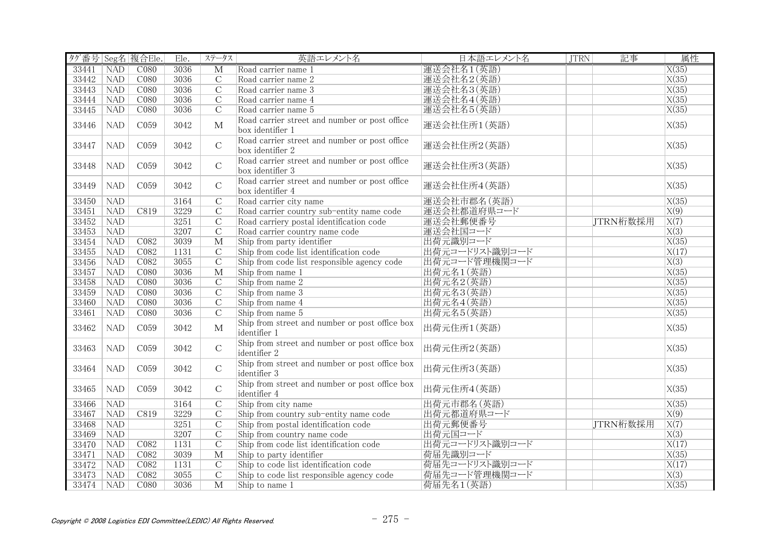| タグ番号 Seg名 複合Ele. |            |                  | Ele. | ステータス                   | 英語エレメント名                                                          | 日本語エレメント名      | <b>JTRN</b> | 記事       | 属性                 |
|------------------|------------|------------------|------|-------------------------|-------------------------------------------------------------------|----------------|-------------|----------|--------------------|
| 33441            | <b>NAD</b> | CO80             | 3036 | $\overline{\mathrm{M}}$ | Road carrier name 1                                               | 運送会社名1(英語)     |             |          | X(35)              |
| 33442            | <b>NAD</b> | C <sub>080</sub> | 3036 | $\overline{C}$          | Road carrier name 2                                               | 運送会社名2(英語)     |             |          | X(35)              |
| 33443            | <b>NAD</b> | C <sub>080</sub> | 3036 | $\overline{C}$          | Road carrier name 3                                               | 運送会社名3(英語)     |             |          | X(35)              |
| 33444            | <b>NAD</b> | C080             | 3036 | $\overline{C}$          | Road carrier name 4                                               | 運送会社名4(英語)     |             |          | X(35)              |
| 33445            | NAD        | CO80             | 3036 | $\overline{C}$          | Road carrier name 5                                               | 運送会社名5(英語)     |             |          | X(35)              |
| 33446            | <b>NAD</b> | C059             | 3042 | $\mathbf{M}$            | Road carrier street and number or post office<br>box identifier 1 | 運送会社住所1(英語)    |             |          | X(35)              |
| 33447            | <b>NAD</b> | C <sub>059</sub> | 3042 | $\mathcal{C}$           | Road carrier street and number or post office<br>box identifier 2 | 運送会社住所2(英語)    |             |          | X(35)              |
| 33448            | <b>NAD</b> | C059             | 3042 | $\mathsf C$             | Road carrier street and number or post office<br>box identifier 3 | 運送会社住所3(英語)    |             |          | X(35)              |
| 33449            | <b>NAD</b> | C <sub>059</sub> | 3042 | $\mathcal{C}$           | Road carrier street and number or post office<br>box identifier 4 | 運送会社住所4(英語)    |             |          | X(35)              |
| 33450            | NAD        |                  | 3164 | $\overline{C}$          | Road carrier city name                                            | 運送会社市郡名 (英語)   |             |          | X(35)              |
| 33451            | <b>NAD</b> | C819             | 3229 | $\overline{C}$          | Road carrier country sub-entity name code                         | 運送会社都道府県コード    |             |          | X(9)               |
| 33452            | <b>NAD</b> |                  | 3251 | $\overline{C}$          | Road carriery postal identification code                          | 運送会社郵便番号       |             | JTRN桁数採用 | $\overline{X(7)}$  |
| 33453            | <b>NAD</b> |                  | 3207 | $\overline{C}$          | Road carrier country name code                                    | 運送会社国コード       |             |          | X(3)               |
| 33454            | <b>NAD</b> | C082             | 3039 | $\overline{\mathbf{M}}$ | Ship from party identifier                                        | 出荷元識別コード       |             |          | X(35)              |
| 33455            | <b>NAD</b> | C082             | 1131 | $\overline{C}$          | Ship from code list identification code                           | 出荷元コードリスト識別コード |             |          | X(17)              |
| 33456            | NAD        | CO82             | 3055 | $\overline{C}$          | Ship from code list responsible agency code                       | 出荷元コード管理機関コード  |             |          | X(3)               |
| 33457            | NAD        | CO80             | 3036 | $\overline{\mathbf{M}}$ | Ship from name 1                                                  | 出荷元名1(英語)      |             |          | X(35)              |
| 33458            | <b>NAD</b> | C080             | 3036 | $\overline{C}$          | Ship from name 2                                                  | 出荷元名2(英語)      |             |          | X(35)              |
| 33459            | NAD        | C080             | 3036 | $\overline{C}$          | Ship from name 3                                                  | 出荷元名3(英語)      |             |          | X(35)              |
| 33460            | NAD        | CO80             | 3036 | $\overline{C}$          | Ship from name 4                                                  | 出荷元名4(英語)      |             |          | $\overline{X(35)}$ |
| 33461            | <b>NAD</b> | C080             | 3036 | $\mathcal{C}$           | Ship from name 5                                                  | 出荷元名5(英語)      |             |          | X(35)              |
| 33462            | <b>NAD</b> | C059             | 3042 | $\mathbf{M}$            | Ship from street and number or post office box<br>identifier 1    | 出荷元住所1(英語)     |             |          | X(35)              |
| 33463            | <b>NAD</b> | C059             | 3042 | $\mathbf C$             | Ship from street and number or post office box<br>identifier 2    | 出荷元住所2(英語)     |             |          | X(35)              |
| 33464            | <b>NAD</b> | C059             | 3042 | $\mathcal{C}$           | Ship from street and number or post office box<br>identifier 3    | 出荷元住所3(英語)     |             |          | X(35)              |
| 33465            | <b>NAD</b> | C <sub>059</sub> | 3042 | $\mathbf C$             | Ship from street and number or post office box<br>identifier 4    | 出荷元住所4(英語)     |             |          | X(35)              |
| 33466            | <b>NAD</b> |                  | 3164 | $\overline{C}$          | Ship from city name                                               | 出荷元市郡名 (英語)    |             |          | X(35)              |
| 33467            | <b>NAD</b> | C819             | 3229 | $\overline{C}$          | Ship from country sub-entity name code                            | 出荷元都道府県コード     |             |          | X(9)               |
| 33468            | NAD        |                  | 3251 | $\overline{C}$          | Ship from postal identification code                              | 出荷元郵便番号        |             | JTRN桁数採用 | X(7)               |
| 33469            | <b>NAD</b> |                  | 3207 | $\overline{C}$          | Ship from country name code                                       | 出荷元国コード        |             |          | $\overline{X(3)}$  |
| 33470            | <b>NAD</b> | C082             | 1131 | $\overline{C}$          | Ship from code list identification code                           | 出荷元コードリスト識別コード |             |          | X(17)              |
| 33471            | <b>NAD</b> | C082             | 3039 | $\overline{\mathbf{M}}$ | Ship to party identifier                                          | 荷届先識別コード       |             |          | X(35)              |
| 33472            | <b>NAD</b> | C082             | 1131 | $\mathcal{C}$           | Ship to code list identification code                             | 荷届先コードリスト識別コード |             |          | X(17)              |
| 33473            | <b>NAD</b> | C082             | 3055 | $\overline{C}$          | Ship to code list responsible agency code                         | 荷届先コード管理機関コード  |             |          | $\overline{X(3)}$  |
| 33474            | NAD        | CO80             | 3036 | $\overline{\mathbf{M}}$ | Ship to name 1                                                    | 荷届先名1(英語)      |             |          | $\overline{X(35)}$ |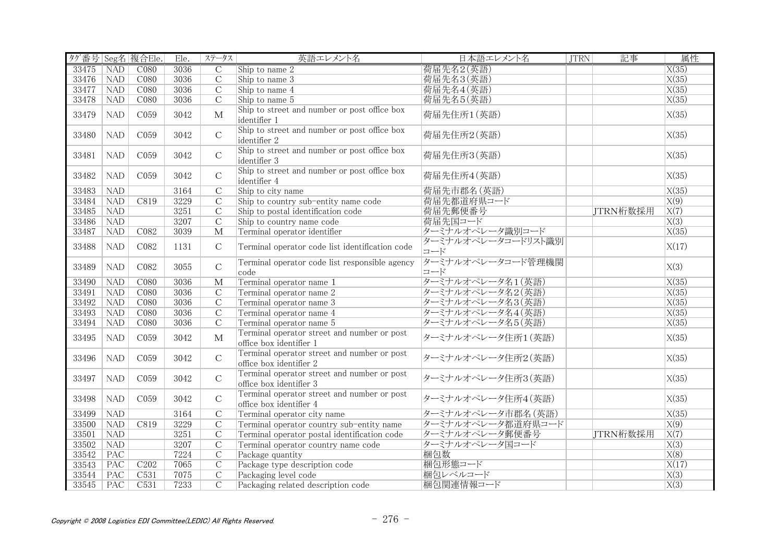| タグ番号 Seg名 複合Ele. |            |                  | Ele. | ステータス                   | 英語エレメント名                                                               | 日本語エレメント名                 | <b>JTRN</b> | 記事       | 属性                 |
|------------------|------------|------------------|------|-------------------------|------------------------------------------------------------------------|---------------------------|-------------|----------|--------------------|
| 33475            | <b>NAD</b> | C <sub>080</sub> | 3036 | $\mathcal{C}$           | Ship to name 2                                                         | 荷届先名2(英語)                 |             |          | $\overline{X(35)}$ |
| 33476            | <b>NAD</b> | C <sub>080</sub> | 3036 | $\overline{C}$          | Ship to name 3                                                         | 荷届先名3(英語)                 |             |          | X(35)              |
| 33477            | <b>NAD</b> | C <sub>080</sub> | 3036 | $\overline{C}$          | Ship to name 4                                                         | 荷届先名4(英語)                 |             |          | X(35)              |
| 33478            | <b>NAD</b> | C080             | 3036 | $\mathcal{C}$           | Ship to name 5                                                         | 荷届先名5(英語)                 |             |          | X(35)              |
| 33479            | <b>NAD</b> | C <sub>059</sub> | 3042 | $\mathbf{M}$            | Ship to street and number or post office box<br>lidentifier 1          | 荷届先住所1(英語)                |             |          | X(35)              |
| 33480            | <b>NAD</b> | C059             | 3042 | $\mathcal{C}$           | Ship to street and number or post office box<br>identifier 2           | 荷届先住所2(英語)                |             |          | X(35)              |
| 33481            | <b>NAD</b> | C <sub>059</sub> | 3042 | $\mathbf C$             | Ship to street and number or post office box<br>identifier 3           | 荷届先住所3(英語)                |             |          | X(35)              |
| 33482            | <b>NAD</b> | C059             | 3042 | $\mathsf C$             | Ship to street and number or post office box<br>identifier 4           | 荷届先住所4(英語)                |             |          | X(35)              |
| 33483            | <b>NAD</b> |                  | 3164 | $\overline{C}$          | Ship to city name                                                      | 荷届先市郡名(英語)                |             |          | $\overline{X(35)}$ |
| 33484            | NAD        | C819             | 3229 | $\overline{C}$          | Ship to country sub-entity name code                                   | 荷届先都道府県コード                |             |          | X(9)               |
| 33485            | <b>NAD</b> |                  | 3251 | $\mathcal{C}$           | Ship to postal identification code                                     | 荷届先郵便番号                   |             | JTRN桁数採用 | X(7)               |
| 33486            | <b>NAD</b> |                  | 3207 | $\overline{C}$          | Ship to country name code                                              | 荷届先国コード                   |             |          | X(3)               |
| 33487            | <b>NAD</b> | C <sub>082</sub> | 3039 | M                       | Terminal operator identifier                                           | ターミナルオペレータ識別コード           |             |          | X(35)              |
| 33488            | <b>NAD</b> | C082             | 1131 | $\mathcal{C}$           | Terminal operator code list identification code                        | ターミナルオペレータコードリスト識別<br>コード |             |          | X(17)              |
| 33489            | <b>NAD</b> | C082             | 3055 | $\mathbf C$             | Terminal operator code list responsible agency<br>code                 | ターミナルオペレータコード管理機関<br>コード  |             |          | X(3)               |
| 33490            | <b>NAD</b> | CO80             | 3036 | $\overline{\mathbf{M}}$ | Terminal operator name 1                                               | ターミナルオペレータ名1(英語)          |             |          | $\overline{X(35)}$ |
| 33491            | NAD        | C080             | 3036 | $\mathcal{C}$           | Terminal operator name 2                                               | ターミナルオペレータ名2(英語)          |             |          | X(35)              |
| 33492            | NAD        | C080             | 3036 | $\overline{C}$          | Terminal operator name 3                                               | ターミナルオペレータ名3(英語)          |             |          | X(35)              |
| 33493            | <b>NAD</b> | C <sub>080</sub> | 3036 | $\overline{C}$          | Terminal operator name 4                                               | ターミナルオペレータ名4(英語)          |             |          | X(35)              |
| 33494            | <b>NAD</b> | C <sub>080</sub> | 3036 | $\overline{C}$          | Terminal operator name 5                                               | ターミナルオペレータ名5(英語)          |             |          | X(35)              |
| 33495            | NAD        | C <sub>059</sub> | 3042 | $\mathbf M$             | Terminal operator street and number or post<br>office box identifier 1 | ターミナルオペレータ住所1(英語)         |             |          | X(35)              |
| 33496            | <b>NAD</b> | C059             | 3042 | $\mathcal{C}$           | Terminal operator street and number or post<br>office box identifier 2 | ターミナルオペレータ住所2(英語)         |             |          | X(35)              |
| 33497            | <b>NAD</b> | C <sub>059</sub> | 3042 | $\mathsf{C}$            | Terminal operator street and number or post<br>office box identifier 3 | ターミナルオペレータ住所3(英語)         |             |          | X(35)              |
| 33498            | <b>NAD</b> | C059             | 3042 | $\mathbf C$             | Terminal operator street and number or post<br>office box identifier 4 | ターミナルオペレータ住所4(英語)         |             |          | X(35)              |
| 33499            | NAD        |                  | 3164 | $\overline{C}$          | Terminal operator city name                                            | ターミナルオペレータ市郡名(英語)         |             |          | X(35)              |
| 33500            | NAD        | C819             | 3229 | $\overline{C}$          | Terminal operator country sub-entity name                              | ターミナルオペレータ都道府県コード         |             |          | $\overline{X(9)}$  |
| 33501            | <b>NAD</b> |                  | 3251 | $\mathcal{C}$           | Terminal operator postal identification code                           | ターミナルオペレータ郵便番号            |             | JTRN桁数採用 | $\overline{X(7)}$  |
| 33502            | <b>NAD</b> |                  | 3207 | $\mathcal{C}$           | Terminal operator country name code                                    | ターミナルオペレータ国コード            |             |          | X(3)               |
| 33542            | <b>PAC</b> |                  | 7224 | $\overline{C}$          | Package quantity                                                       | 梱包数                       |             |          | X(8)               |
| 33543            | PAC        | C202             | 7065 | $\overline{C}$          | Package type description code                                          | 梱包形態コード                   |             |          | X(17)              |
| 33544            | PAC        | C <sub>531</sub> | 7075 | $\mathcal{C}$           | Packaging level code                                                   | 梱句レベルコード                  |             |          | X(3)               |
| 33545            | PAC        | C531             | 7233 | $\mathcal{C}$           | Packaging related description code                                     | 梱包関連情報コード                 |             |          | $\overline{X(3)}$  |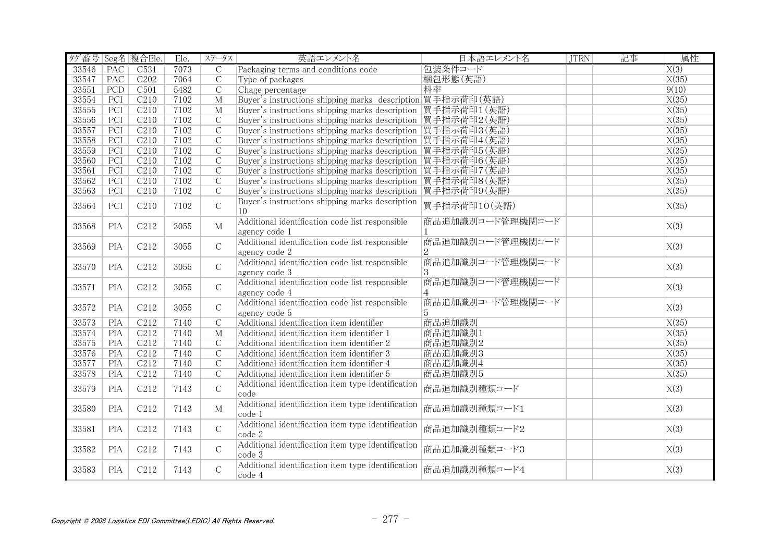| タグ番号 Seg名 複合Ele. |                  |                  | Ele. | ステータス              | 英語エレメント名                                                         | 日本語エレメント名                          | <b>JTRN</b> | 記事 | 属性                 |
|------------------|------------------|------------------|------|--------------------|------------------------------------------------------------------|------------------------------------|-------------|----|--------------------|
| 33546            | <b>PAC</b>       | C531             | 7073 | C                  | Packaging terms and conditions code                              | 包装条件コード                            |             |    | X(3)               |
| 33547            | PAC              | C202             | 7064 | $\overline{\rm C}$ | Type of packages                                                 | 梱包形態(英語)                           |             |    | X(35)              |
| 33551            | PCD              | C501             | 5482 | $\overline{\rm C}$ | Chage percentage                                                 | 料率                                 |             |    | 9(10)              |
| 33554            | PCI              | C210             | 7102 | $\mathbf M$        | Buyer's instructions shipping marks description 買手指示荷印(英語)       |                                    |             |    | X(35)              |
| 33555            | $\overline{PCI}$ | C210             | 7102 | $\overline{M}$     | Buyer's instructions shipping marks description 買手指示荷印1(英語)      |                                    |             |    | X(35)              |
| 33556            | PCI              | C210             | 7102 | $\overline{C}$     | Buyer's instructions shipping marks description   買手指示荷印2 (英語)   |                                    |             |    | X(35)              |
| 33557            | PCI              | C210             | 7102 | $\mathcal{C}$      | Buyer's instructions shipping marks description  買手指示荷印3(英語)     |                                    |             |    | X(35)              |
| 33558            | PCI              | C <sub>210</sub> | 7102 | $\mathcal{C}$      | Buyer's instructions shipping marks description 買手指示荷印4(英語)      |                                    |             |    | X(35)              |
| 33559            | PCI              | C210             | 7102 | $\mathcal{C}$      | Buyer's instructions shipping marks description 買手指示荷印5(英語)      |                                    |             |    | X(35)              |
| 33560            | PCI              | C210             | 7102 | $\mathcal{C}$      | Buyer's instructions shipping marks description   買手指示荷印6 (英語)   |                                    |             |    | X(35)              |
| 33561            | PCI              | C210             | 7102 | $\mathcal{C}$      | Buyer's instructions shipping marks description 買手指示荷印7(英語)      |                                    |             |    | X(35)              |
| 33562            | $\overline{PCI}$ | C210             | 7102 | $\mathcal{C}$      | Buyer's instructions shipping marks description   買手指示荷印8 (英語)   |                                    |             |    | $\overline{X(35)}$ |
| 33563            | $\overline{PCI}$ | C210             | 7102 | $\overline{C}$     | Buyer's instructions shipping marks description 買手指示荷印9(英語)      |                                    |             |    | $\overline{X(35)}$ |
| 33564            | PCI              | C210             | 7102 | $\mathcal{C}$      | Buyer's instructions shipping marks description<br>10            | 買手指示荷印10(英語)                       |             |    | X(35)              |
| 33568            | <b>PIA</b>       | C212             | 3055 | $\mathbf{M}$       | Additional identification code list responsible<br>agency code 1 | 商品追加識別コード管理機関コード                   |             |    | X(3)               |
| 33569            | <b>PIA</b>       | C212             | 3055 | $\mathcal{C}$      | Additional identification code list responsible<br>agency code 2 | 商品追加識別コード管理機関コード                   |             |    | X(3)               |
| 33570            | <b>PIA</b>       | C212             | 3055 | $\mathcal{C}$      | Additional identification code list responsible<br>agency code 3 | 商品追加識別コード管理機関コード<br>3              |             |    | X(3)               |
| 33571            | <b>PIA</b>       | C212             | 3055 | $\overline{C}$     | Additional identification code list responsible<br>agency code 4 | 商品追加識別コード管理機関コード<br>$\overline{4}$ |             |    | X(3)               |
| 33572            | <b>PIA</b>       | C212             | 3055 | $\mathcal{C}$      | Additional identification code list responsible<br>agency code 5 | 商品追加識別コード管理機関コード<br>5              |             |    | X(3)               |
| 33573            | <b>PIA</b>       | C212             | 7140 | $\mathcal{C}$      | Additional identification item identifier                        | 商品追加識別                             |             |    | X(35)              |
| 33574            | PIA              | C212             | 7140 | $\overline{M}$     | Additional identification item identifier 1                      | 商品追加識別1                            |             |    | X(35)              |
| 33575            | PIA              | C212             | 7140 | $\overline{C}$     | Additional identification item identifier 2                      | 商品追加識別2                            |             |    | X(35)              |
| 33576            | PIA              | C <sub>212</sub> | 7140 | $\overline{C}$     | Additional identification item identifier 3                      | 商品追加識別3                            |             |    | X(35)              |
| 33577            | PIA              | C <sub>212</sub> | 7140 | $\mathcal{C}$      | Additional identification item identifier 4                      | 商品追加識別4                            |             |    | X(35)              |
| 33578            | <b>PIA</b>       | C212             | 7140 | $\mathcal{C}$      | Additional identification item identifier 5                      | 商品追加識別5                            |             |    | X(35)              |
| 33579            | <b>PIA</b>       | C212             | 7143 | $\mathcal{C}$      | Additional identification item type identification<br>code       | 商品追加識別種類コード                        |             |    | X(3)               |
| 33580            | <b>PIA</b>       | C212             | 7143 | $\mathbf{M}$       | Additional identification item type identification<br>code 1     | 商品追加識別種類コード1                       |             |    | X(3)               |
| 33581            | <b>PIA</b>       | C212             | 7143 | $\mathcal{C}$      | Additional identification item type identification<br>code 2     | 商品追加識別種類コード2                       |             |    | X(3)               |
| 33582            | <b>PIA</b>       | C212             | 7143 | $\mathcal{C}$      | Additional identification item type identification<br>code 3     | 商品追加識別種類コード3                       |             |    | X(3)               |
| 33583            | <b>PIA</b>       | C212             | 7143 | $\overline{C}$     | Additional identification item type identification<br>code 4     | 商品追加識別種類コード4                       |             |    | X(3)               |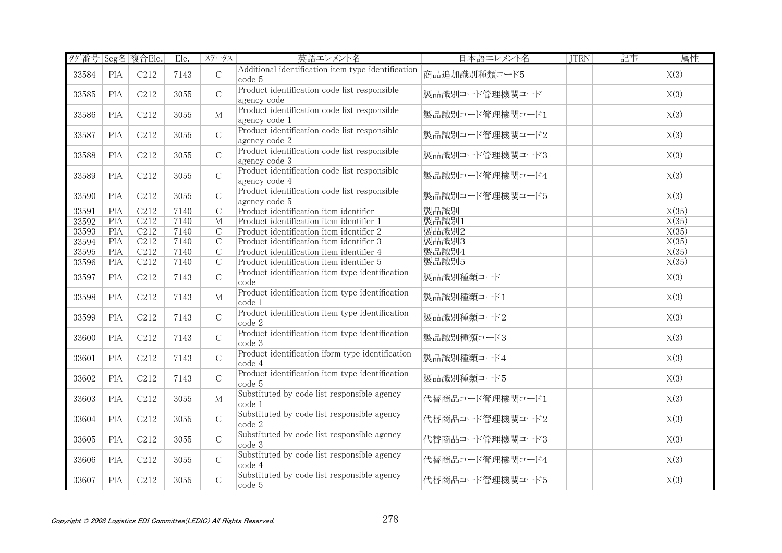| タグ番号 Seg名 複合Ele. |            |                  | Ele. | ステータス          | 英語エレメント名                                                                       | 日本語エレメント名       | <b>JTRN</b> | 記事 | 属性    |
|------------------|------------|------------------|------|----------------|--------------------------------------------------------------------------------|-----------------|-------------|----|-------|
| 33584            | <b>PIA</b> | C212             | 7143 | $\mathsf{C}$   | Additional identification item type identification<br>code 5                   | 商品追加識別種類コード5    |             |    | X(3)  |
| 33585            | <b>PIA</b> | C212             | 3055 | $\mathsf{C}$   | Product identification code list responsible<br>agency code                    | 製品識別コード管理機関コード  |             |    | X(3)  |
| 33586            | <b>PIA</b> | C212             | 3055 | M              | Product identification code list responsible<br>agency code 1                  | 製品識別コード管理機関コード1 |             |    | X(3)  |
| 33587            | <b>PIA</b> | C212             | 3055 | $\mathsf{C}$   | Product identification code list responsible<br>agency code 2                  | 製品識別コード管理機関コード2 |             |    | X(3)  |
| 33588            | <b>PIA</b> | C212             | 3055 | $\mathcal{C}$  | Product identification code list responsible<br>agency code 3                  | 製品識別コード管理機関コード3 |             |    | X(3)  |
| 33589            | <b>PIA</b> | C <sub>212</sub> | 3055 | $\mathsf{C}$   | Product identification code list responsible<br>agency code 4                  | 製品識別コード管理機関コード4 |             |    | X(3)  |
| 33590            | <b>PIA</b> | C212             | 3055 | $\mathcal{C}$  | Product identification code list responsible<br>agency code 5                  | 製品識別コード管理機関コード5 |             |    | X(3)  |
| 33591            | PIA        | C212             | 7140 | $\overline{C}$ | Product identification item identifier                                         | 製品識別            |             |    | X(35) |
| 33592            | PIA        | C212             | 7140 | $\overline{M}$ | Product identification item identifier 1                                       | 製品識別1           |             |    | X(35) |
| 33593            | <b>PIA</b> | C212             | 7140 | $\overline{C}$ | Product identification item identifier 2                                       | 製品識別2           |             |    | X(35) |
| 33594            | <b>PIA</b> | C212             | 7140 | $\overline{C}$ | Product identification item identifier 3                                       | 製品識別3           |             |    | X(35) |
| 33595            | <b>PIA</b> | C <sub>212</sub> | 7140 | $\mathcal{C}$  | Product identification item identifier 4                                       | 製品識別4           |             |    | X(35) |
| 33596            | PIA        | C212             | 7140 | $\overline{C}$ | Product identification item identifier 5                                       | 製品識別5           |             |    | X(35) |
| 33597            | <b>PIA</b> | C212             | 7143 | $\mathsf{C}$   | Product identification item type identification<br>code                        | 製品識別種類コード       |             |    | X(3)  |
| 33598            | <b>PIA</b> | C <sub>212</sub> | 7143 | $\mathbf M$    | Product identification item type identification<br>code 1                      | 製品識別種類コード1      |             |    | X(3)  |
| 33599            | <b>PIA</b> | C212             | 7143 | $\mathsf{C}$   | Product identification item type identification<br>$\vert \text{code 2} \vert$ | 製品識別種類コード2      |             |    | X(3)  |
| 33600            | <b>PIA</b> | C212             | 7143 | $\mathsf{C}$   | Product identification item type identification<br>code 3                      | 製品識別種類コード3      |             |    | X(3)  |
| 33601            | <b>PIA</b> | C212             | 7143 | $\mathsf{C}$   | Product identification iform type identification<br>code 4                     | 製品識別種類コード4      |             |    | X(3)  |
| 33602            | <b>PIA</b> | C212             | 7143 | $\mathsf{C}$   | Product identification item type identification<br>code 5                      | 製品識別種類コード5      |             |    | X(3)  |
| 33603            | <b>PIA</b> | C212             | 3055 | $\mathbf M$    | Substituted by code list responsible agency<br>code 1                          | 代替商品コード管理機関コード1 |             |    | X(3)  |
| 33604            | <b>PIA</b> | C212             | 3055 | $\mathbf C$    | Substituted by code list responsible agency<br>code 2                          | 代替商品コード管理機関コード2 |             |    | X(3)  |
| 33605            | <b>PIA</b> | C <sub>212</sub> | 3055 | $\mathsf C$    | Substituted by code list responsible agency<br>code 3                          | 代替商品コード管理機関コード3 |             |    | X(3)  |
| 33606            | <b>PIA</b> | C212             | 3055 | $\mathsf{C}$   | Substituted by code list responsible agency<br>code 4                          | 代替商品コード管理機関コード4 |             |    | X(3)  |
| 33607            | <b>PIA</b> | C212             | 3055 | $\mathsf{C}$   | Substituted by code list responsible agency<br>code 5                          | 代替商品コード管理機関コード5 |             |    | X(3)  |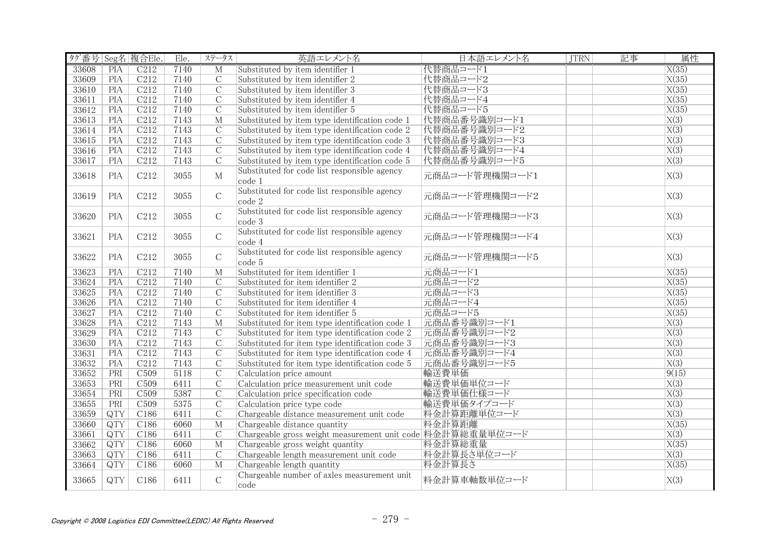| タグ番号 Seg名 複合Ele. |                  |                  | Ele. | ステータス          | 英語エレメント名                                                   | 日本語エレメント名      | <b>JTRN</b> | 記事 | 属性                 |
|------------------|------------------|------------------|------|----------------|------------------------------------------------------------|----------------|-------------|----|--------------------|
| 33608            | PIA              | C212             | 7140 | $\overline{M}$ | Substituted by item identifier 1                           | 代替商品コード1       |             |    | $\overline{X(35)}$ |
| 33609            | <b>PIA</b>       | C212             | 7140 | $\overline{C}$ | Substituted by item identifier 2                           | 代替商品コード2       |             |    | X(35)              |
| 33610            | <b>PIA</b>       | C212             | 7140 | $\overline{C}$ | Substituted by item identifier 3                           | 代替商品コード3       |             |    | X(35)              |
| 33611            | <b>PIA</b>       | C212             | 7140 | $\overline{C}$ | Substituted by item identifier 4                           | 代替商品コード4       |             |    | X(35)              |
| 33612            | PIA              | C212             | 7140 | $\overline{C}$ | Substituted by item identifier 5                           | 代替商品コード5       |             |    | X(35)              |
| 33613            | PIA              | C212             | 7143 | $\overline{M}$ | Substituted by item type identification code 1             | 代替商品番号識別コード1   |             |    | X(3)               |
| 33614            | PIA              | C <sub>212</sub> | 7143 | $\mathcal{C}$  | Substituted by item type identification code 2             | 代替商品番号識別コード2   |             |    | X(3)               |
| 33615            | PIA              | C212             | 7143 | $\overline{C}$ | Substituted by item type identification code 3             | 代替商品番号識別コード3   |             |    | X(3)               |
| 33616            | PIA              | C212             | 7143 | $\overline{C}$ | Substituted by item type identification code 4             | 代替商品番号識別コード4   |             |    | $\overline{X(3)}$  |
| 33617            | <b>PIA</b>       | C <sub>212</sub> | 7143 | $\mathcal{C}$  | Substituted by item type identification code 5             | 代替商品番号識別コード5   |             |    | $\overline{X(3)}$  |
|                  |                  |                  |      |                | Substituted for code list responsible agency               |                |             |    |                    |
| 33618            | <b>PIA</b>       | C212             | 3055 | $\mathbf M$    | code 1                                                     | 元商品コード管理機関コード1 |             |    | X(3)               |
|                  |                  |                  |      |                | Substituted for code list responsible agency               |                |             |    |                    |
| 33619            | <b>PIA</b>       | C212             | 3055 | $\mathcal{C}$  | code 2                                                     | 元商品コード管理機関コード2 |             |    | X(3)               |
|                  |                  |                  |      | $\mathcal{C}$  | Substituted for code list responsible agency               | 元商品コード管理機関コード3 |             |    |                    |
| 33620            | <b>PIA</b>       | C212             | 3055 |                | code 3                                                     |                |             |    | X(3)               |
|                  |                  |                  |      |                | Substituted for code list responsible agency               |                |             |    |                    |
| 33621            | <b>PIA</b>       | C212             | 3055 | $\mathcal{C}$  | code 4                                                     | 元商品コード管理機関コード4 |             |    | X(3)               |
|                  |                  |                  |      |                | Substituted for code list responsible agency               |                |             |    |                    |
| 33622            | <b>PIA</b>       | C212             | 3055 | $\mathcal{C}$  | code 5                                                     | 元商品コード管理機関コード5 |             |    | X(3)               |
| 33623            | PIA              | C212             | 7140 | M              | Substituted for item identifier 1                          | 元商品コード1        |             |    | $\overline{X(35)}$ |
| 33624            | PIA              | C212             | 7140 | $\overline{C}$ | Substituted for item identifier 2                          | 元商品コード2        |             |    | $\overline{X(35)}$ |
| 33625            | PIA              | C212             | 7140 | $\overline{C}$ | Substituted for item identifier 3                          | 元商品コード3        |             |    | X(35)              |
| 33626            | PIA              | C212             | 7140 | $\overline{C}$ | Substituted for item identifier 4                          | 元商品コード4        |             |    | X(35)              |
| 33627            | <b>PIA</b>       | C212             | 7140 | $\overline{C}$ | Substituted for item identifier 5                          | 元商品コード5        |             |    | X(35)              |
| 33628            | <b>PIA</b>       | C212             | 7143 | M              | Substituted for item type identification code 1            | 元商品番号識別コード1    |             |    | $\overline{X(3)}$  |
| 33629            | PIA              | C212             | 7143 | $\overline{C}$ | Substituted for item type identification code 2            | 元商品番号識別コード2    |             |    | X(3)               |
| 33630            | PIA              | C212             | 7143 | $\overline{C}$ | Substituted for item type identification code 3            | 元商品番号識別コード3    |             |    | X(3)               |
| 33631            | PIA              | C212             | 7143 | $\overline{C}$ | Substituted for item type identification code 4            | 元商品番号識別コード4    |             |    | $\overline{X(3)}$  |
| 33632            | PIA              | C212             | 7143 | $\overline{C}$ | Substituted for item type identification code 5            | 元商品番号識別コード5    |             |    | X(3)               |
| 33652            | PRI              | C509             | 5118 | $\overline{C}$ | Calculation price amount                                   | 輸送費単価          |             |    | 9(15)              |
| 33653            | PRI              | C <sub>509</sub> | 6411 | $\overline{C}$ | Calculation price measurement unit code                    | 輸送費単価単位コード     |             |    | $\overline{X(3)}$  |
| 33654            | PRI              | C <sub>509</sub> | 5387 | $\overline{C}$ | Calculation price specification code                       | 輸送費単価仕様コード     |             |    | X(3)               |
| 33655            | PRI              | C <sub>509</sub> | 5375 | $\overline{C}$ | Calculation price type code                                | 輸送費単価タイプコード    |             |    | $\overline{X(3)}$  |
| 33659            | $\overline{QTY}$ | C186             | 6411 | $\overline{C}$ | Chargeable distance measurement unit code                  | 料金計算距離単位コード    |             |    | X(3)               |
| 33660            | $\overline{QTY}$ | C186             | 6060 | $\overline{M}$ | Chargeable distance quantity                               | 料金計算距離         |             |    | X(35)              |
| 33661            | QTY              | C <sub>186</sub> | 6411 | $\mathcal{C}$  | Chargeable gross weight measurement unit code 料金計算総重量単位コード |                |             |    | $\overline{X(3)}$  |
| 33662            | QTY              | C186             | 6060 | M              | Chargeable gross weight quantity                           | 料金計算総重量        |             |    | $\overline{X(35)}$ |
| 33663            | QTY              | C <sub>186</sub> | 6411 | $\overline{C}$ | Chargeable length measurement unit code                    | 料金計算長さ単位コード    |             |    | $\overline{X(3)}$  |
| 33664            | QTY              | C186             | 6060 | $M_{\odot}$    | Chargeable length quantity                                 | 料金計算長さ         |             |    | X(35)              |
|                  |                  |                  |      |                | Chargeable number of axles measurement unit                |                |             |    |                    |
| 33665            | QTY              | C186             | 6411 | $\mathsf C$    | code                                                       | 料金計算車軸数単位コード   |             |    | X(3)               |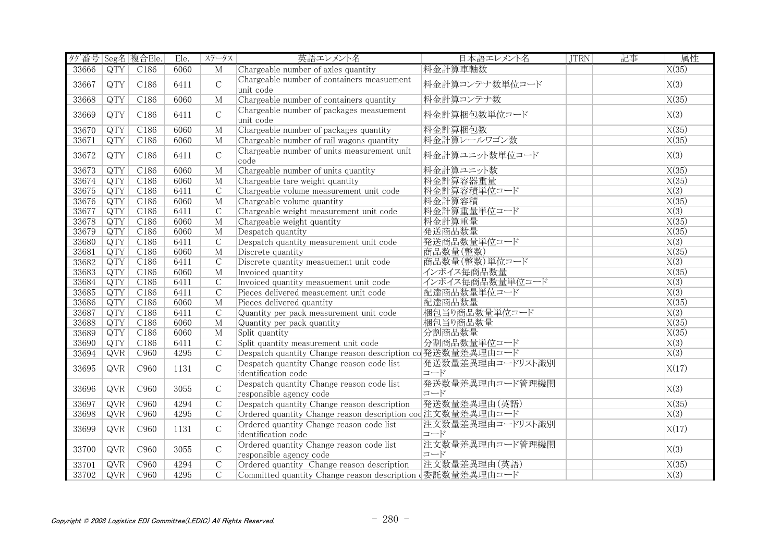| タグ番号 Seg名 複合Ele. |                  |                  | Ele. | ステータス          | 英語エレメント名                                                             | 日本語エレメント名               | <b>JTRN</b> | 記事 | 属性                 |
|------------------|------------------|------------------|------|----------------|----------------------------------------------------------------------|-------------------------|-------------|----|--------------------|
| 33666            | QTY              | C186             | 6060 | M              | Chargeable number of axles quantity                                  | 料金計算車軸数                 |             |    | X(35)              |
| 33667            | QTY              | C186             | 6411 | $\mathsf{C}$   | Chargeable number of containers measuement<br>unit code              | 料金計算コンテナ数単位コード          |             |    | X(3)               |
| 33668            | QTY              | C186             | 6060 | $M_{\odot}$    | Chargeable number of containers quantity                             | 料金計算コンテナ数               |             |    | X(35)              |
| 33669            | QTY              | C186             | 6411 | $\mathsf{C}$   | Chargeable number of packages measuement<br>unit code                | 料金計算梱包数単位コード            |             |    | X(3)               |
| 33670            | $\overline{QTY}$ | C186             | 6060 | $\overline{M}$ | Chargeable number of packages quantity                               | 料金計算梱包数                 |             |    | X(35)              |
| 33671            | $\overline{QTY}$ | C186             | 6060 | M              | Chargeable number of rail wagons quantity                            | 料金計算レールワゴン数             |             |    | X(35)              |
| 33672            | QTY              | C186             | 6411 | $\mathsf C$    | Chargeable number of units measurement unit<br>code                  | 料金計算ユニット数単位コード          |             |    | X(3)               |
| 33673            | QTY              | C186             | 6060 | $\overline{M}$ | Chargeable number of units quantity                                  | 料金計算ユニット数               |             |    | X(35)              |
| 33674            | $\overline{QTY}$ | C186             | 6060 | M              | Chargeable tare weight quantity                                      | 料金計算容器重量                |             |    | $\overline{X(35)}$ |
| 33675            | QTY              | C186             | 6411 | $\mathcal{C}$  | Chargeable volume measurement unit code                              | 料金計算容積単位コード             |             |    | $\overline{X(3)}$  |
| 33676            | QTY              | C186             | 6060 | M              | Chargeable volume quantity                                           | 料金計算容積                  |             |    | X(35)              |
| 33677            | QTY              | C <sub>186</sub> | 6411 | $\mathcal{C}$  | Chargeable weight measurement unit code                              | 料金計算重量単位コード             |             |    | $\overline{X(3)}$  |
| 33678            | QTY              | C186             | 6060 | M              | Chargeable weight quantity                                           | 料金計算重量                  |             |    | X(35)              |
| 33679            | QTY              | C186             | 6060 | $M_{\odot}$    | Despatch quantity                                                    | 発送商品数量                  |             |    | X(35)              |
| 33680            | QTY              | C186             | 6411 | $\mathcal{C}$  | Despatch quantity measurement unit code                              | 発送商品数量単位コード             |             |    | $\overline{X(3)}$  |
| 33681            | QTY              | C186             | 6060 | $\mathbf{M}$   | Discrete quantity                                                    | 商品数量(整数)                |             |    | X(35)              |
| 33682            | QTY              | C <sub>186</sub> | 6411 | $\overline{C}$ | Discrete quantity measuement unit code                               | 商品数量(整数)単位コード           |             |    | X(3)               |
| 33683            | $\overline{QTY}$ | C186             | 6060 | $\overline{M}$ | Invoiced quantity                                                    | インボイス毎商品数量              |             |    | X(35)              |
| 33684            | QTY              | C186             | 6411 | $\mathcal{C}$  | Invoiced quantity measuement unit code                               | インボイス毎商品数量単位コード         |             |    | $\overline{X(3)}$  |
| 33685            | QTY              | C186             | 6411 | $\overline{C}$ | Pieces delivered measuement unit code                                | 配達商品数量単位コード             |             |    | $\overline{X(3)}$  |
| 33686            | QTY              | C186             | 6060 | M              | Pieces delivered quantity                                            | 配達商品数量                  |             |    | X(35)              |
| 33687            | QTY              | C <sub>186</sub> | 6411 | $\overline{C}$ | Quantity per pack measurement unit code                              | 梱包当り商品数量単位コード           |             |    | $\overline{X(3)}$  |
| 33688            | QTY              | C186             | 6060 | $M_{\odot}$    | Quantity per pack quantity                                           | 梱包当り商品数量                |             |    | X(35)              |
| 33689            | $\overline{QTY}$ | C186             | 6060 | M              | Split quantity                                                       | 分割商品数量                  |             |    | $\overline{X(35)}$ |
| 33690            | $\overline{QTY}$ | C186             | 6411 | $\overline{C}$ | Split quantity measurement unit code                                 | 分割商品数量単位コード             |             |    | $\overline{X(3)}$  |
| 33694            | QVR              | C960             | 4295 | $\overline{C}$ | Despatch quantity Change reason description co 発送数量差異理由コード           |                         |             |    | $\overline{X(3)}$  |
| 33695            | <b>QVR</b>       | C960             | 1131 | $\mathsf{C}$   | Despatch quantity Change reason code list<br>identification code     | 発送数量差異理由コードリスト識別<br>コード |             |    | X(17)              |
| 33696            | <b>QVR</b>       | C960             | 3055 | $\mathsf{C}$   | Despatch quantity Change reason code list<br>responsible agency code | 発送数量差異理由コード管理機関<br>コード  |             |    | X(3)               |
| 33697            | QVR              | C <sub>960</sub> | 4294 | $\overline{C}$ | Despatch quantity Change reason description                          | 発送数量差異理由(英語)            |             |    | X(35)              |
| 33698            | QVR              | C <sub>960</sub> | 4295 | $\overline{C}$ | Ordered quantity Change reason description cod 注文数量差異理由コード           |                         |             |    | $\overline{X(3)}$  |
| 33699            | <b>QVR</b>       | C960             | 1131 | $\mathsf C$    | Ordered quantity Change reason code list<br>identification code      | 注文数量差異理由コードリスト識別<br>コード |             |    | X(17)              |
| 33700            | <b>QVR</b>       | C <sub>960</sub> | 3055 | $\mathcal{C}$  | Ordered quantity Change reason code list<br>responsible agency code  | 注文数量差異理由コード管理機関<br>コード  |             |    | X(3)               |
| 33701            | QVR              | C960             | 4294 | $\mathcal{C}$  | Ordered quantity Change reason description                           | 注文数量差異理由(英語)            |             |    | X(35)              |
| 33702            | <b>QVR</b>       | C <sub>960</sub> | 4295 | $\overline{C}$ | Committed quantity Change reason description (委託数量差異理由コード            |                         |             |    | X(3)               |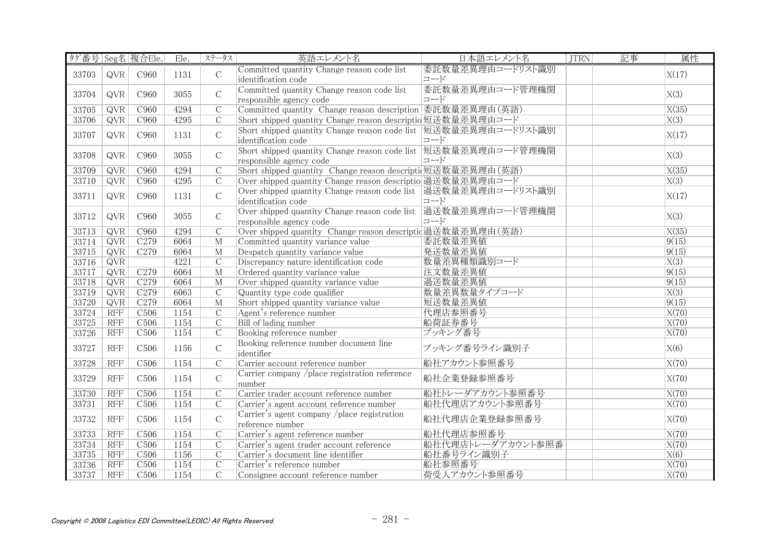| タグ番号 Seg名 複合Ele. |            |                  | Ele. | ステータス          | 英語エレメント名                                                                                   | 日本語エレメント名               | <b>JTRN</b> | 記事 | 属性                 |
|------------------|------------|------------------|------|----------------|--------------------------------------------------------------------------------------------|-------------------------|-------------|----|--------------------|
| 33703            | <b>QVR</b> | C <sub>960</sub> | 1131 | $\mathcal{C}$  | Committed quantity Change reason code list<br>identification code                          | 委託数量差異理由コードリスト識別<br>コード |             |    | X(17)              |
| 33704            | <b>QVR</b> | C960             | 3055 | $\mathcal{C}$  | Committed quantity Change reason code list<br>responsible agency code                      | 委託数量差異理由コード管理機関<br>コード  |             |    | X(3)               |
| 33705            | QVR        | C960             | 4294 | $\overline{C}$ | Committed quantity Change reason description 委託数量差異理由(英語)                                  |                         |             |    | $\overline{X(35)}$ |
| 33706            | QVR        | C <sub>960</sub> | 4295 | $\overline{C}$ | Short shipped quantity Change reason descriptio 短送数量差異理由コード                                |                         |             |    | $\overline{X(3)}$  |
|                  |            |                  |      |                | Short shipped quantity Change reason code list  短送数量差異理由コードリスト識別                           |                         |             |    |                    |
| 33707            | <b>QVR</b> | C960             | 1131 | $\mathcal{C}$  | identification code                                                                        | コード                     |             |    | X(17)              |
| 33708            | <b>QVR</b> | C960             | 3055 | $\mathcal{C}$  | Short shipped quantity Change reason code list  短送数量差異理由コード管理機関<br>responsible agency code | コード                     |             |    | X(3)               |
| 33709            | QVR        | C960             | 4294 | $\mathcal{C}$  | Short shipped quantity Change reason descripti 短送数量差異理由(英語)                                |                         |             |    | X(35)              |
| 33710            | QVR        | C <sub>960</sub> | 4295 | $\overline{C}$ | Over shipped quantity Change reason descriptio 過送数量差異理由コード                                 |                         |             |    | X(3)               |
|                  |            |                  |      |                | Over shipped quantity Change reason code list 過送数量差異理由コードリスト識別                             |                         |             |    |                    |
| 33711            | <b>QVR</b> | C960             | 1131 | $\mathsf C$    | identification code                                                                        | コード                     |             |    | X(17)              |
|                  |            |                  |      |                | Over shipped quantity Change reason code list 過送数量差異理由コード管理機関                              |                         |             |    |                    |
| 33712            | <b>QVR</b> | C960             | 3055 | $\mathcal{C}$  | responsible agency code                                                                    | コード                     |             |    | X(3)               |
| 33713            | QVR        | C <sub>960</sub> | 4294 | $\overline{C}$ | Over shipped quantity Change reason descriptid 過送数量差異理由(英語)                                |                         |             |    | X(35)              |
| 33714            | QVR        | C <sub>279</sub> | 6064 | $\mathbf{M}$   | Committed quantity variance value                                                          | 委託数量差異値                 |             |    | 9(15)              |
| 33715            | QVR        | C <sub>279</sub> | 6064 | $\overline{M}$ | Despatch quantity variance value                                                           | 発送数量差異値                 |             |    | 9(15)              |
| 33716            | QVR        |                  | 4221 | $\overline{C}$ | Discrepancy nature identification code                                                     | 数量差異種類識別コード             |             |    | $\overline{X(3)}$  |
| 33717            | QVR        | C <sub>279</sub> | 6064 | $\overline{M}$ | Ordered quantity variance value                                                            | 注文数量差異值                 |             |    | 9(15)              |
| 33718            | QVR        | C <sub>279</sub> | 6064 | $\overline{M}$ | Over shipped quantity variance value                                                       | 過送数量差異値                 |             |    | 9(15)              |
| 33719            | QVR        | C <sub>279</sub> | 6063 | $\overline{C}$ | Quantity type code qualifier                                                               | 数量差異数量タイプコード            |             |    | X(3)               |
| 33720            | QVR        | C279             | 6064 | $\overline{M}$ | Short shipped quantity variance value                                                      | 短送数量差異值                 |             |    | 9(15)              |
| 33724            | <b>RFF</b> | C <sub>506</sub> | 1154 | $\overline{C}$ | Agent's reference number                                                                   | 代理店参照番号                 |             |    | X(70)              |
| 33725            | <b>RFF</b> | C <sub>506</sub> | 1154 | $\mathcal{C}$  | Bill of lading number                                                                      | 船荷証券番号                  |             |    | X(70)              |
| 33726            | <b>RFF</b> | C <sub>506</sub> | 1154 | $\overline{C}$ | Booking reference number                                                                   | ブッキング番号                 |             |    | X(70)              |
| 33727            | RFF        | C <sub>506</sub> | 1156 | $\mathcal{C}$  | Booking reference number document line<br>identifier                                       | ブッキング番号ライン識別子           |             |    | X(6)               |
| 33728            | RFF        | C <sub>506</sub> | 1154 | $\overline{C}$ | Carrier account reference number                                                           | 船社アカウント参照番号             |             |    | X(70)              |
| 33729            | <b>RFF</b> | C <sub>506</sub> | 1154 | $\mathcal{C}$  | Carrier company /place registration reference<br>number                                    | 船社企業登録参照番号              |             |    | X(70)              |
| 33730            | <b>RFF</b> | C <sub>506</sub> | 1154 | $\overline{C}$ | Carrier trader account reference number                                                    | 船社トレーダアカウント参照番号         |             |    | X(70)              |
| 33731            | <b>RFF</b> | C <sub>506</sub> | 1154 | $\overline{C}$ | Carrier's agent account reference number                                                   | 船社代理店アカウント参照番号          |             |    | X(70)              |
| 33732            | <b>RFF</b> | C <sub>506</sub> | 1154 | $\mathcal{C}$  | Carrier's agent company /place registration<br>reference number                            | 船社代理店企業登録参照番号           |             |    | X(70)              |
| 33733            | RFF        | C506             | 1154 | $\overline{C}$ | Carrier's agent reference number                                                           | 船社代理店参照番号               |             |    | X(70)              |
| 33734            | <b>RFF</b> | C <sub>506</sub> | 1154 | $\overline{C}$ | Carrier's agent trader account reference                                                   | 船社代理店トレーダアカウント参照番       |             |    | $\overline{X(70)}$ |
| 33735            | <b>RFF</b> | C <sub>506</sub> | 1156 | $\overline{C}$ | Carrier's document line identifier                                                         | 船社番号ライン識別子              |             |    | X(6)               |
| 33736            | <b>RFF</b> | C <sub>506</sub> | 1154 | $\mathsf{C}$   | Carrier's reference number                                                                 | 船社参照番号                  |             |    | X(70)              |
| 33737            | <b>RFF</b> | C <sub>506</sub> | 1154 | $\mathcal{C}$  | Consignee account reference number                                                         | 荷受人アカウント参照番号            |             |    | X(70)              |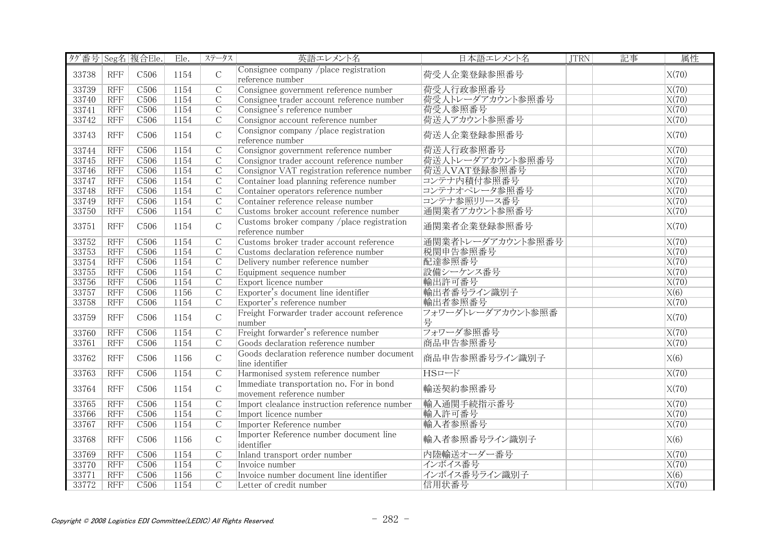| タグ番号 Seg名 複合Ele. |            |                  | Ele. | ステータス          | 英語エレメント名                                                              | 日本語エレメント名              | <b>JTRN</b> | 記事 | 属性                 |
|------------------|------------|------------------|------|----------------|-----------------------------------------------------------------------|------------------------|-------------|----|--------------------|
| 33738            | <b>RFF</b> | C <sub>506</sub> | 1154 | $\mathcal{C}$  | Consignee company /place registration<br>reference number             | 荷受人企業登録参照番号            |             |    | X(70)              |
| 33739            | <b>RFF</b> | C <sub>506</sub> | 1154 | $\overline{C}$ | Consignee government reference number                                 | 荷受人行政参照番号              |             |    | X(70)              |
| 33740            | <b>RFF</b> | C <sub>506</sub> | 1154 | $\mathcal{C}$  | Consignee trader account reference number                             | 荷受人トレーダアカウント参照番号       |             |    | X(70)              |
| 33741            | <b>RFF</b> | C506             | 1154 | $\overline{C}$ | Consignee's reference number                                          | 荷受人参照番号                |             |    | X(70)              |
| 33742            | <b>RFF</b> | C <sub>506</sub> | 1154 | $\overline{C}$ | Consignor account reference number                                    | 荷送人アカウント参照番号           |             |    | X(70)              |
| 33743            | <b>RFF</b> | C <sub>506</sub> | 1154 | $\mathsf{C}$   | Consignor company /place registration<br>reference number             | 荷送人企業登録参照番号            |             |    | X(70)              |
| 33744            | <b>RFF</b> | C <sub>506</sub> | 1154 | $\overline{C}$ | Consignor government reference number                                 | 荷送人行政参照番号              |             |    | X(70)              |
| 33745            | <b>RFF</b> | C <sub>506</sub> | 1154 | $\overline{C}$ | Consignor trader account reference number                             | 荷送人トレーダアカウント参照番号       |             |    | X(70)              |
| 33746            | <b>RFF</b> | C <sub>506</sub> | 1154 | $\overline{C}$ | Consignor VAT registration reference number                           | 荷送人VAT登録参照番号           |             |    | X(70)              |
| 33747            | <b>RFF</b> | C506             | 1154 | $\overline{C}$ | Container load planning reference number                              | コンテナ内積付参照番号            |             |    | X(70)              |
| 33748            | RFF        | C506             | 1154 | $\overline{C}$ | Container operators reference number                                  | コンテナオペレータ参照番号          |             |    | X(70)              |
| 33749            | <b>RFF</b> | C <sub>506</sub> | 1154 | $\overline{C}$ | Container reference release number                                    | コンテナ参照リリース番号           |             |    | X(70)              |
| 33750            | RFF        | C506             | 1154 | $\overline{C}$ | Customs broker account reference number                               | 通関業者アカウント参照番号          |             |    | X(70)              |
| 33751            | <b>RFF</b> | C <sub>506</sub> | 1154 | $\mathsf C$    | Customs broker company /place registration<br>reference number        | 通関業者企業登録参照番号           |             |    | X(70)              |
| 33752            | <b>RFF</b> | C <sub>506</sub> | 1154 | $\mathcal{C}$  | Customs broker trader account reference                               | 通関業者トレーダアカウント参照番号      |             |    | X(70)              |
| 33753            | <b>RFF</b> | C <sub>506</sub> | 1154 | $\overline{C}$ | Customs declaration reference number                                  | 税関申告参照番号               |             |    | X(70)              |
| 33754            | <b>RFF</b> | C506             | 1154 | $\overline{C}$ | Delivery number reference number                                      | 配達参照番号                 |             |    | X(70)              |
| 33755            | RFF        | C <sub>506</sub> | 1154 | $\overline{C}$ | Equipment sequence number                                             | 設備シーケンス番号              |             |    | X(70)              |
| 33756            | <b>RFF</b> | C506             | 1154 | $\overline{C}$ | Export licence number                                                 | 輸出許可番号                 |             |    | $\overline{X(70)}$ |
| 33757            | RFF        | C506             | 1156 | $\overline{C}$ | Exporter's document line identifier                                   | 輸出者番号ライン識別子            |             |    | X(6)               |
| 33758            | <b>RFF</b> | C506             | 1154 | $\overline{C}$ | Exporter's reference number                                           | 輸出者参照番号                |             |    | X(70)              |
| 33759            | <b>RFF</b> | C <sub>506</sub> | 1154 | $\mathsf{C}$   | Freight Forwarder trader account reference<br>number                  | フォワーダトレーダアカウント参照番<br>号 |             |    | X(70)              |
| 33760            | <b>RFF</b> | C <sub>506</sub> | 1154 | $\overline{C}$ | Freight forwarder's reference number                                  | フォワーダ参照番号              |             |    | X(70)              |
| 33761            | <b>RFF</b> | C506             | 1154 | $\overline{C}$ | Goods declaration reference number                                    | 商品申告参照番号               |             |    | X(70)              |
| 33762            | <b>RFF</b> | C <sub>506</sub> | 1156 | $\mathcal{C}$  | Goods declaration reference number document<br>line identifier        | 商品申告参照番号ライン識別子         |             |    | X(6)               |
| 33763            | <b>RFF</b> | C506             | 1154 | $\overline{C}$ | Harmonised system reference number                                    | $HST-F$                |             |    | X(70)              |
| 33764            | <b>RFF</b> | C <sub>506</sub> | 1154 | $\mathcal{C}$  | Immediate transportation no. For in bond<br>movement reference number | 輸送契約参照番号               |             |    | X(70)              |
| 33765            | <b>RFF</b> | C <sub>506</sub> | 1154 | $\overline{C}$ | Import clealance instruction reference number                         | 輸入通関手続指示番号             |             |    | X(70)              |
| 33766            | <b>RFF</b> | C506             | 1154 | $\overline{C}$ | Import licence number                                                 | 輸入許可番号                 |             |    | X(70)              |
| 33767            | RFF        | C506             | 1154 | $\overline{C}$ | Importer Reference number                                             | 輸入者参照番号                |             |    | X(70)              |
| 33768            | <b>RFF</b> | C <sub>506</sub> | 1156 | $\mathsf{C}$   | Importer Reference number document line<br>identifier                 | 輸入者参照番号ライン識別子          |             |    | X(6)               |
| 33769            | <b>RFF</b> | C506             | 1154 | $\overline{C}$ | Inland transport order number                                         | 内陸輸送オーダー番号             |             |    | X(70)              |
| 33770            | <b>RFF</b> | C <sub>506</sub> | 1154 | $\mathcal{C}$  | Invoice number                                                        | インボイス番号                |             |    | X(70)              |
| 33771            | <b>RFF</b> | C <sub>506</sub> | 1156 | $\mathcal{C}$  | Invoice number document line identifier                               | インボイス番号ライン識別子          |             |    | X(6)               |
| 33772            | RFF        | C506             | 1154 | $\overline{C}$ | Letter of credit number                                               | 信用状番号                  |             |    | $\overline{X(70)}$ |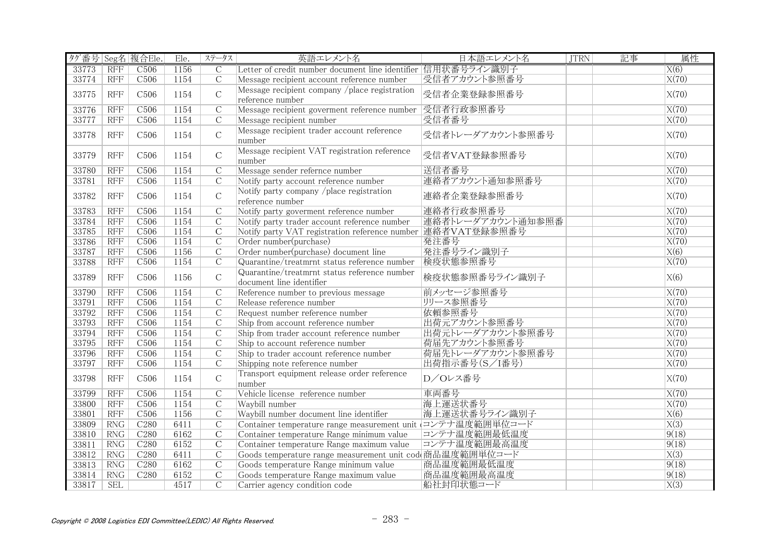| タグ番号 Seg名 複合Ele. |            |                  | Ele. | ステータス          | 英語エレメント名                                                                 | 日本語エレメント名         | <b>JTRN</b> | 記事 | 属性    |
|------------------|------------|------------------|------|----------------|--------------------------------------------------------------------------|-------------------|-------------|----|-------|
| 33773            | <b>RFF</b> | C <sub>506</sub> | 1156 | $\overline{C}$ | Letter of credit number document line identifier 信用状番号ライン識別子             |                   |             |    | X(6)  |
| 33774            | <b>RFF</b> | C <sub>506</sub> | 1154 | $\mathcal{C}$  | Message recipient account reference number                               | 受信者アカウント参照番号      |             |    | X(70) |
| 33775            | RFF        | C <sub>506</sub> | 1154 | $\mathsf{C}$   | Message recipient company /place registration<br>reference number        | 受信者企業登録参照番号       |             |    | X(70) |
| 33776            | <b>RFF</b> | C506             | 1154 | $\overline{C}$ | Message recipient goverment reference number 受信者行政参照番号                   |                   |             |    | X(70) |
| 33777            | <b>RFF</b> | C506             | 1154 | $\overline{C}$ | Message recipient number                                                 | 受信者番号             |             |    | X(70) |
| 33778            | <b>RFF</b> | C <sub>506</sub> | 1154 | $\mathsf{C}$   | Message recipient trader account reference<br>number                     | 受信者トレーダアカウント参照番号  |             |    | X(70) |
| 33779            | <b>RFF</b> | C <sub>506</sub> | 1154 | $\mathbf C$    | Message recipient VAT registration reference<br>number                   | 受信者VAT登録参照番号      |             |    | X(70) |
| 33780            | <b>RFF</b> | C <sub>506</sub> | 1154 | $\mathcal{C}$  | Message sender refernce number                                           | 送信者番号             |             |    | X(70) |
| 33781            | RFF        | C506             | 1154 | $\overline{C}$ | Notify party account reference number                                    | 連絡者アカウント通知参照番号    |             |    | X(70) |
| 33782            | <b>RFF</b> | C <sub>506</sub> | 1154 | $\mathsf C$    | Notify party company /place registration<br>reference number             | 連絡者企業登録参照番号       |             |    | X(70) |
| 33783            | <b>RFF</b> | C506             | 1154 | $\overline{C}$ | Notify party goverment reference number                                  | 連絡者行政参照番号         |             |    | X(70) |
| 33784            | <b>RFF</b> | C <sub>506</sub> | 1154 | $\overline{C}$ | Notify party trader account reference number                             | 連絡者トレーダアカウント通知参照番 |             |    | X(70) |
| 33785            | <b>RFF</b> | C <sub>506</sub> | 1154 | $\overline{C}$ | Notify party VAT registration reference number 連絡者VAT登録参照番号              |                   |             |    | X(70) |
| 33786            | <b>RFF</b> | C <sub>506</sub> | 1154 | $\overline{C}$ | Order number(purchase)                                                   | 発注番号              |             |    | X(70) |
| 33787            | <b>RFF</b> | C <sub>506</sub> | 1156 | $\overline{C}$ | Order number(purchase) document line                                     | 発注番号ライン識別子        |             |    | X(6)  |
| 33788            | <b>RFF</b> | C <sub>506</sub> | 1154 | $\overline{C}$ | Quarantine/treatmrnt status reference number                             | 検疫状態参照番号          |             |    | X(70) |
| 33789            | <b>RFF</b> | C <sub>506</sub> | 1156 | $\mathcal{C}$  | Quarantine/treatmrnt status reference number<br>document line identifier | 検疫状態参照番号ライン識別子    |             |    | X(6)  |
| 33790            | <b>RFF</b> | C506             | 1154 | $\overline{C}$ | Reference number to previous message                                     | 前メッセージ参照番号        |             |    | X(70) |
| 33791            | RFF        | C <sub>506</sub> | 1154 | $\overline{C}$ | Release reference number                                                 | リリース参照番号          |             |    | X(70) |
| 33792            | <b>RFF</b> | C <sub>506</sub> | 1154 | $\overline{C}$ | Request number reference number                                          | 依頼参照番号            |             |    | X(70) |
| 33793            | <b>RFF</b> | C <sub>506</sub> | 1154 | $\mathcal{C}$  | Ship from account reference number                                       | 出荷元アカウント参照番号      |             |    | X(70) |
| 33794            | <b>RFF</b> | C506             | 1154 | $\overline{C}$ | Ship from trader account reference number                                | 出荷元トレーダアカウント参照番号  |             |    | X(70) |
| 33795            | RFF        | C506             | 1154 | $\overline{C}$ | Ship to account reference number                                         | 荷届先アカウント参照番号      |             |    | X(70) |
| 33796            | <b>RFF</b> | C506             | 1154 | $\overline{C}$ | Ship to trader account reference number                                  | 荷届先トレーダアカウント参照番号  |             |    | X(70) |
| 33797            | RFF        | C506             | 1154 | $\overline{C}$ | Shipping note reference number                                           | 出荷指示番号(S/I番号)     |             |    | X(70) |
| 33798            | <b>RFF</b> | C <sub>506</sub> | 1154 | $\mathsf C$    | Transport equipment release order reference<br>number                    | D/Oレス番号           |             |    | X(70) |
| 33799            | <b>RFF</b> | C <sub>506</sub> | 1154 | $\overline{C}$ | Vehicle license reference number                                         | 車両番号              |             |    | X(70) |
| 33800            | <b>RFF</b> | C <sub>506</sub> | 1154 | $\mathcal{C}$  | Waybill number                                                           | 海上運送状番号           |             |    | X(70) |
| 33801            | <b>RFF</b> | C506             | 1156 | $\overline{C}$ | Waybill number document line identifier                                  | 海上運送状番号ライン識別子     |             |    | X(6)  |
| 33809            | RNG        | C280             | 6411 | $\overline{C}$ | Container temperature range measurement unit コンテナ温度範囲単位コード               |                   |             |    | X(3)  |
| 33810            | <b>RNG</b> | C280             | 6162 | $\overline{C}$ | Container temperature Range minimum value                                | コンテナ温度範囲最低温度      |             |    | 9(18) |
| 33811            | RNG        | C280             | 6152 | $\overline{C}$ | Container temperature Range maximum value                                | コンテナ温度範囲最高温度      |             |    | 9(18) |
| 33812            | RNG        | C280             | 6411 | $\overline{C}$ | Goods temperature range measurement unit cod 商品温度範囲単位コード                 |                   |             |    | X(3)  |
| 33813            | RNG        | C <sub>280</sub> | 6162 | $\overline{C}$ | Goods temperature Range minimum value                                    | 商品温度範囲最低温度        |             |    | 9(18) |
| 33814            | RNG        | C <sub>280</sub> | 6152 | $\mathcal{C}$  | Goods temperature Range maximum value                                    | 商品温度範囲最高温度        |             |    | 9(18) |
| 33817            | <b>SEL</b> |                  | 4517 | $\mathcal{C}$  | Carrier agency condition code                                            | 船社封印状態コード         |             |    | X(3)  |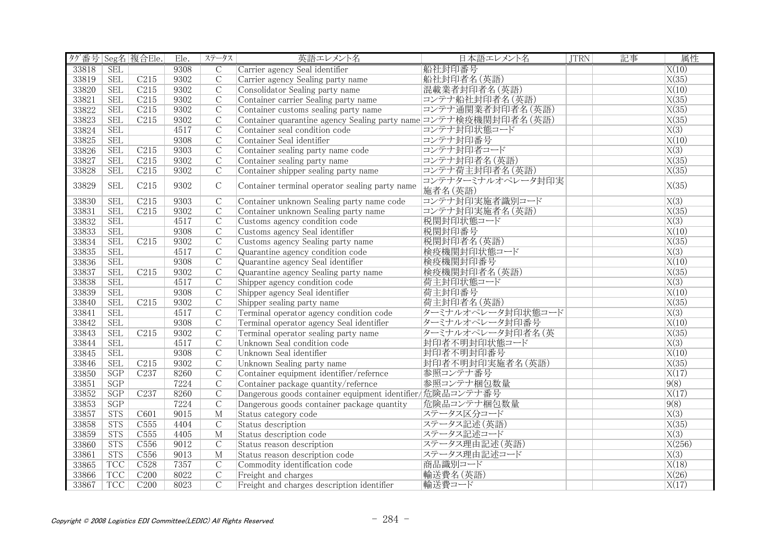| タグ番号 Seg名 複合Ele. |            |                  | Ele. | ステータス          | 英語エレメント名                                                                         | 日本語エレメント名                    | <b>JTRN</b> | 記事 | 属性                 |
|------------------|------------|------------------|------|----------------|----------------------------------------------------------------------------------|------------------------------|-------------|----|--------------------|
| 33818            | <b>SEL</b> |                  | 9308 | $\overline{C}$ | Carrier agency Seal identifier                                                   | 船社封印番号                       |             |    | X(10)              |
| 33819            | <b>SEL</b> | C215             | 9302 | $\overline{C}$ | Carrier agency Sealing party name                                                | 船社封印者名(英語)                   |             |    | X(35)              |
| 33820            | <b>SEL</b> | C <sub>215</sub> | 9302 | $\mathcal{C}$  | Consolidator Sealing party name                                                  | 混載業者封印者名(英語)                 |             |    | X(10)              |
| 33821            | <b>SEL</b> | C215             | 9302 | $\overline{C}$ | Container carrier Sealing party name                                             | コンテナ船社封印者名(英語)               |             |    | X(35)              |
| 33822            | <b>SEL</b> | C215             | 9302 | $\overline{C}$ | Container customs sealing party name                                             | コンテナ通関業者封印者名(英語)             |             |    | X(35)              |
| 33823            | <b>SEL</b> | C215             | 9302 | $\overline{C}$ | Container quarantine agency Sealing party name コンテナ検疫機関封印者名 (英語)                 |                              |             |    | X(35)              |
| 33824            | <b>SEL</b> |                  | 4517 | $\overline{C}$ | Container seal condition code                                                    | コンテナ封印状態コード                  |             |    | $\overline{X(3)}$  |
| 33825            | <b>SEL</b> |                  | 9308 | $\overline{C}$ | Container Seal identifier                                                        | コンテナ封印番号                     |             |    | X(10)              |
| 33826            | <b>SEL</b> | C215             | 9303 | $\overline{C}$ | Container sealing party name code                                                | コンテナ封印者コード                   |             |    | $\overline{X(3)}$  |
| 33827            | <b>SEL</b> | C215             | 9302 | $\overline{C}$ | Container sealing party name                                                     | コンテナ封印者名 (英語)                |             |    | X(35)              |
| 33828            | <b>SEL</b> | C <sub>215</sub> | 9302 | $\mathcal{C}$  | Container shipper sealing party name                                             | コンテナ荷主封印者名 (英語)              |             |    | X(35)              |
| 33829            | <b>SEL</b> | C215             | 9302 | $\mathcal{C}$  | Container terminal operator sealing party name                                   | コンテナターミナルオペレータ封印実<br>施者名(英語) |             |    | X(35)              |
| 33830            | <b>SEL</b> | C215             | 9303 | $\overline{C}$ | Container unknown Sealing party name code                                        | コンテナ封印実施者識別コード               |             |    | X(3)               |
| 33831            | <b>SEL</b> | C215             | 9302 | $\mathcal{C}$  | Container unknown Sealing party name                                             | コンテナ封印実施者名(英語)               |             |    | X(35)              |
| 33832            | <b>SEL</b> |                  | 4517 | $\overline{C}$ | Customs agency condition code                                                    | 税関封印状態コード                    |             |    | $\overline{X(3)}$  |
| 33833            | <b>SEL</b> |                  | 9308 | $\overline{C}$ | Customs agency Seal identifier                                                   | 税関封印番号                       |             |    | X(10)              |
| 33834            | <b>SEL</b> | C215             | 9302 | $\mathcal{C}$  |                                                                                  | 税関封印者名 (英語)                  |             |    | X(35)              |
| 33835            | <b>SEL</b> |                  | 4517 | $\mathcal{C}$  | Customs agency Sealing party name<br>Quarantine agency condition code            | 検疫機関封印状態コード                  |             |    | $\overline{X(3)}$  |
| 33836            | <b>SEL</b> |                  | 9308 | $\overline{C}$ | Quarantine agency Seal identifier                                                | 検疫機関封印番号                     |             |    | X(10)              |
| 33837            | <b>SEL</b> | C215             | 9302 | $\overline{C}$ |                                                                                  | 検疫機関封印者名 (英語)                |             |    | $\overline{X(35)}$ |
| 33838            | <b>SEL</b> |                  | 4517 | $\overline{C}$ | Quarantine agency Sealing party name<br>Shipper agency condition code            | 荷主封印状態コード                    |             |    | X(3)               |
| 33839            | <b>SEL</b> |                  | 9308 | $\overline{C}$ | Shipper agency Seal identifier                                                   | 荷主封印番号                       |             |    | X(10)              |
| 33840            | <b>SEL</b> | C215             | 9302 | $\mathcal{C}$  | Shipper sealing party name                                                       | 荷主封印者名 (英語)                  |             |    | X(35)              |
| 33841            | <b>SEL</b> |                  | 4517 | $\overline{C}$ | Terminal operator agency condition code                                          | ターミナルオペレータ封印状態コード            |             |    | $\overline{X(3)}$  |
| 33842            | <b>SEL</b> |                  | 9308 | $\mathcal{C}$  |                                                                                  | ターミナルオペレータ封印番号               |             |    | X(10)              |
| 33843            | <b>SEL</b> | C215             | 9302 | $\overline{C}$ | Terminal operator agency Seal identifier<br>Terminal operator sealing party name | ターミナルオペレータ封印者名(英             |             |    | X(35)              |
| 33844            | <b>SEL</b> |                  | 4517 | $\overline{C}$ | Unknown Seal condition code                                                      | 封印者不明封印状態コード                 |             |    | $\overline{X(3)}$  |
| 33845            | <b>SEL</b> |                  | 9308 | $\overline{C}$ | Unknown Seal identifier                                                          | 封印者不明封印番号                    |             |    | X(10)              |
| 33846            | <b>SEL</b> | C215             | 9302 | $\overline{C}$ | Unknown Sealing party name                                                       | 封印者不明封印実施者名(英語)              |             |    | $\overline{X(35)}$ |
| 33850            | SGP        | C237             | 8260 | $\overline{C}$ | Container equipment identifier/refernce                                          | 参照コンテナ番号                     |             |    | X(17)              |
| 33851            | SGP        |                  | 7224 | $\overline{C}$ | Container package quantity/refernce                                              | 参照コンテナ梱包数量                   |             |    | 9(8)               |
| 33852            | SGP        | C <sub>237</sub> | 8260 | $\overline{C}$ | Dangerous goods container equipment identifier/危険品コンテナ番号                         |                              |             |    | X(17)              |
| 33853            | SGP        |                  | 7224 | $\overline{C}$ | Dangerous goods container package quantity                                       | 危険品コンテナ梱包数量                  |             |    | 9(8)               |
| 33857            | STS        | C601             | 9015 | M              | Status category code                                                             | ステータス区分コード                   |             |    | X(3)               |
| 33858            | <b>STS</b> | C555             | 4404 | $\overline{C}$ | Status description                                                               | ステータス記述(英語)                  |             |    | X(35)              |
| 33859            | <b>STS</b> | C <sub>555</sub> | 4405 | M              | Status description code                                                          | ステータス記述コード                   |             |    | X(3)               |
| 33860            | <b>STS</b> | C556             | 9012 | $\overline{C}$ | Status reason description                                                        | ステータス理由記述(英語)                |             |    | X(256)             |
| 33861            | <b>STS</b> | C556             | 9013 | $\overline{M}$ | Status reason description code                                                   | ステータス理由記述コード                 |             |    | X(3)               |
| 33865            | <b>TCC</b> | C <sub>528</sub> | 7357 | $\mathcal{C}$  | Commodity identification code                                                    | 商品識別コード                      |             |    | X(18)              |
| 33866            | <b>TCC</b> | C200             | 8022 | $\mathcal{C}$  | Freight and charges                                                              | 輸送費名(英語)                     |             |    | X(26)              |
| 33867            | <b>TCC</b> | C200             | 8023 | $\overline{C}$ | Freight and charges description identifier                                       | 輸送費コード                       |             |    | $\overline{X(17)}$ |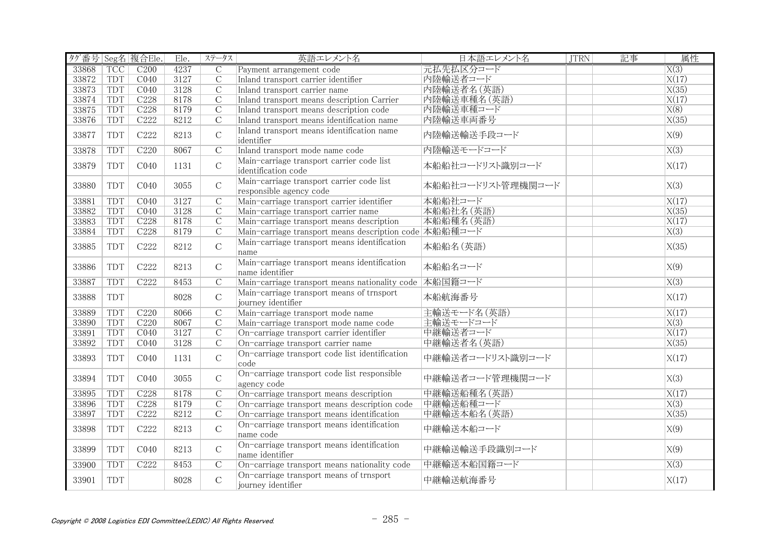| タグ番号 Seg名 複合Ele. |            |                  | Ele. | ステータス          | 英語エレメント名                                                             | 日本語エレメント名         | <b>JTRN</b> | 記事 | 属性                |
|------------------|------------|------------------|------|----------------|----------------------------------------------------------------------|-------------------|-------------|----|-------------------|
| 33868            | <b>TCC</b> | C200             | 4237 | $\overline{C}$ | Payment arrangement code                                             | 元払先払区分コード         |             |    | $\overline{X(3)}$ |
| 33872            | TDT        | CO40             | 3127 | $\overline{C}$ | Inland transport carrier identifier                                  | 内陸輸送者コード          |             |    | X(17)             |
| 33873            | TDT        | CO40             | 3128 | $\overline{C}$ | Inland transport carrier name                                        | 内陸輸送者名(英語)        |             |    | X(35)             |
| 33874            | <b>TDT</b> | C <sub>228</sub> | 8178 | $\overline{C}$ | Inland transport means description Carrier                           | 内陸輸送車種名 (英語)      |             |    | X(17)             |
| 33875            | <b>TDT</b> | C228             | 8179 | $\overline{C}$ | Inland transport means description code                              | 内陸輸送車種コード         |             |    | X(8)              |
| 33876            | <b>TDT</b> | C <sub>222</sub> | 8212 | $\overline{C}$ | Inland transport means identification name                           | 内陸輸送車両番号          |             |    | X(35)             |
| 33877            | TDT        | C222             | 8213 | $\mathcal{C}$  | Inland transport means identification name<br>identifier             | 内陸輸送輸送手段コード       |             |    | X(9)              |
| 33878            | <b>TDT</b> | C <sub>220</sub> | 8067 | $\overline{C}$ | Inland transport mode name code                                      | 内陸輸送モードコード        |             |    | $\overline{X(3)}$ |
| 33879            | <b>TDT</b> | C <sub>040</sub> | 1131 | $\mathcal{C}$  | Main-carriage transport carrier code list<br>identification code     | 本船船社コードリスト識別コード   |             |    | X(17)             |
| 33880            | <b>TDT</b> | C <sub>040</sub> | 3055 | $\mathcal{C}$  | Main-carriage transport carrier code list<br>responsible agency code | 本船船社コードリスト管理機関コード |             |    | X(3)              |
| 33881            | TDT        | CO <sub>40</sub> | 3127 | $\overline{C}$ | Main-carriage transport carrier identifier                           | 本船船社コード           |             |    | X(17)             |
| 33882            | <b>TDT</b> | CO40             | 3128 | $\overline{C}$ | Main-carriage transport carrier name                                 | 本船船社名(英語)         |             |    | X(35)             |
| 33883            | TDT        | C <sub>228</sub> | 8178 | $\overline{C}$ | Main-carriage transport means description                            | 本船船種名(英語)         |             |    | X(17)             |
| 33884            | <b>TDT</b> | C <sub>228</sub> | 8179 | $\mathcal{C}$  | Main-carriage transport means description code 本船船種コード               |                   |             |    | $\overline{X(3)}$ |
| 33885            | TDT        | C222             | 8212 | $\mathsf C$    | Main-carriage transport means identification<br>name                 | 本船船名(英語)          |             |    | X(35)             |
| 33886            | <b>TDT</b> | C222             | 8213 | $\mathsf C$    | Main-carriage transport means identification<br>name identifier      | 本船船名コード           |             |    | X(9)              |
| 33887            | TDT        | C <sub>222</sub> | 8453 | $\overline{C}$ | Main-carriage transport means nationality code  本船国籍コード              |                   |             |    | $\overline{X(3)}$ |
| 33888            | <b>TDT</b> |                  | 8028 | $\mathcal{C}$  | Main-carriage transport means of trnsport<br>journey identifier      | 本船航海番号            |             |    | X(17)             |
| 33889            | TDT        | C220             | 8066 | $\overline{C}$ | Main-carriage transport mode name                                    | 主輸送モード名 (英語)      |             |    | X(17)             |
| 33890            | TDT        | C <sub>220</sub> | 8067 | $\overline{C}$ | Main-carriage transport mode name code                               | 主輸送モードコード         |             |    | X(3)              |
| 33891            | TDT        | CO40             | 3127 | $\overline{C}$ | On-carriage transport carrier identifier                             | 中継輸送者コード          |             |    | X(17)             |
| 33892            | <b>TDT</b> | CO40             | 3128 | $\overline{C}$ | On-carriage transport carrier name                                   | 中継輸送者名 (英語)       |             |    | X(35)             |
| 33893            | <b>TDT</b> | C <sub>040</sub> | 1131 | $\mathcal{C}$  | On-carriage transport code list identification<br>code               | 中継輸送者コードリスト識別コード  |             |    | X(17)             |
| 33894            | <b>TDT</b> | C <sub>040</sub> | 3055 | $\mathcal{C}$  | On-carriage transport code list responsible<br>agency code           | 中継輸送者コード管理機関コード   |             |    | X(3)              |
| 33895            | <b>TDT</b> | C <sub>228</sub> | 8178 | $\overline{C}$ | On-carriage transport means description                              | 中継輸送船種名 (英語)      |             |    | X(17)             |
| 33896            | TDT        | C <sub>228</sub> | 8179 | $\overline{C}$ | On-carriage transport means description code                         | 中継輸送船種コード         |             |    | $\overline{X(3)}$ |
| 33897            | <b>TDT</b> | C <sub>222</sub> | 8212 | $\overline{C}$ | On-carriage transport means identification                           | 中継輸送本船名(英語)       |             |    | X(35)             |
| 33898            | TDT        | C222             | 8213 | $\mathsf C$    | On-carriage transport means identification<br>name code              | 中継輸送本船コード         |             |    | X(9)              |
| 33899            | <b>TDT</b> | C <sub>040</sub> | 8213 | $\mathcal{C}$  | On-carriage transport means identification<br>name identifier        | 中継輸送輸送手段識別コード     |             |    | X(9)              |
| 33900            | TDT        | C <sub>222</sub> | 8453 | $\overline{C}$ | On-carriage transport means nationality code                         | 中継輸送本船国籍コード       |             |    | $\overline{X(3)}$ |
| 33901            | <b>TDT</b> |                  | 8028 | $\mathcal{C}$  | On-carriage transport means of trnsport<br>journey identifier        | 中継輸送航海番号          |             |    | X(17)             |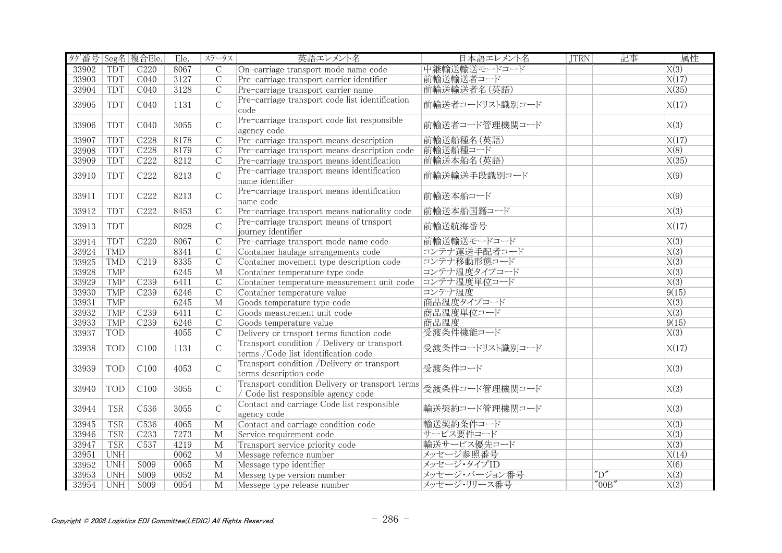| タグ番号 Seg名 複合Ele. |            |                  | Ele. | ステータス                   | 英語エレメント名                                                                               | 日本語エレメント名       | <b>JTRN</b> | 記事                               | 属性                |
|------------------|------------|------------------|------|-------------------------|----------------------------------------------------------------------------------------|-----------------|-------------|----------------------------------|-------------------|
| 33902            | <b>TDT</b> | C220             | 8067 | $\overline{C}$          | On-carriage transport mode name code                                                   | 中継輸送輸送モードコード    |             |                                  | $\overline{X(3)}$ |
| 33903            | <b>TDT</b> | CO40             | 3127 | $\overline{C}$          | Pre-carriage transport carrier identifier                                              | 前輸送輸送者コード       |             |                                  | X(17)             |
| 33904            | <b>TDT</b> | CO40             | 3128 | $\mathcal{C}$           | Pre-carriage transport carrier name                                                    | 前輸送輸送者名 (英語)    |             |                                  | X(35)             |
| 33905            | <b>TDT</b> | C <sub>040</sub> | 1131 | $\mathcal{C}$           | Pre-carriage transport code list identification<br>code                                | 前輸送者コードリスト識別コード |             |                                  | X(17)             |
| 33906            | TDT        | C <sub>040</sub> | 3055 | $\mathcal{C}$           | Pre-carriage transport code list responsible<br>agency code                            | 前輸送者コード管理機関コード  |             |                                  | X(3)              |
| 33907            | <b>TDT</b> | C228             | 8178 | $\mathcal{C}$           | Pre-carriage transport means description                                               | 前輸送船種名(英語)      |             |                                  | X(17)             |
| 33908            | <b>TDT</b> | C228             | 8179 | $\overline{C}$          | Pre-carriage transport means description code                                          | 前輸送船種コード        |             |                                  | X(8)              |
| 33909            | <b>TDT</b> | C <sub>222</sub> | 8212 | $\overline{C}$          | Pre-carriage transport means identification                                            | 前輸送本船名(英語)      |             |                                  | X(35)             |
| 33910            | <b>TDT</b> | C222             | 8213 | $\mathcal{C}$           | Pre-carriage transport means identification<br>name identifier                         | 前輸送輸送手段識別コード    |             |                                  | X(9)              |
| 33911            | <b>TDT</b> | C222             | 8213 | $\mathbf C$             | Pre-carriage transport means identification<br>name code                               | 前輸送本船コード        |             |                                  | X(9)              |
| 33912            | TDT        | C <sub>222</sub> | 8453 | $\overline{C}$          | Pre-carriage transport means nationality code                                          | 前輸送本船国籍コード      |             |                                  | X(3)              |
| 33913            | <b>TDT</b> |                  | 8028 | $\mathcal{C}$           | Pre-carriage transport means of trnsport<br>journey identifier                         | 前輸送航海番号         |             |                                  | X(17)             |
| 33914            | TDT        | C <sub>220</sub> | 8067 | $\overline{C}$          | Pre-carriage transport mode name code                                                  | 前輸送輸送モードコード     |             |                                  | $\overline{X(3)}$ |
| 33924            | TMD        |                  | 8341 | $\mathcal{C}$           | Container haulage arrangements code                                                    | コンテナ運送手配者コード    |             |                                  | X(3)              |
| 33925            | <b>TMD</b> | C <sub>219</sub> | 8335 | $\overline{C}$          | Container movement type description code                                               | コンテナ移動形態コード     |             |                                  | $\overline{X(3)}$ |
| 33928            | <b>TMP</b> |                  | 6245 | $\overline{M}$          | Container temperature type code                                                        | コンテナ温度タイプコード    |             |                                  | $\overline{X(3)}$ |
| 33929            | <b>TMP</b> | C <sub>239</sub> | 6411 | $\overline{C}$          | Container temperature measurement unit code                                            | コンテナ温度単位コード     |             |                                  | $\overline{X(3)}$ |
| 33930            | <b>TMP</b> | C239             | 6246 | $\overline{C}$          | Container temperature value                                                            | コンテナ温度          |             |                                  | 9(15)             |
| 33931            | <b>TMP</b> |                  | 6245 | $\overline{M}$          | Goods temperature type code                                                            | 商品温度タイプコード      |             |                                  | X(3)              |
| 33932            | <b>TMP</b> | C <sub>239</sub> | 6411 | $\overline{C}$          | Goods measurement unit code                                                            | 商品温度単位コード       |             |                                  | $\overline{X(3)}$ |
| 33933            | <b>TMP</b> | C <sub>239</sub> | 6246 | $\mathcal{C}$           | Goods temperature value                                                                | 商品温度            |             |                                  | 9(15)             |
| 33937            | <b>TOD</b> |                  | 4055 | $\overline{C}$          | Delivery or trnsport terms function code                                               | 受渡条件機能コード       |             |                                  | $\overline{X(3)}$ |
| 33938            | <b>TOD</b> | C100             | 1131 | $\mathcal{C}$           | Transport condition / Delivery or transport<br>terms / Code list identification code   | 受渡条件コードリスト識別コード |             |                                  | X(17)             |
| 33939            | <b>TOD</b> | C100             | 4053 | $\mathcal{C}$           | Transport condition /Delivery or transport<br>terms description code                   | 受渡条件コード         |             |                                  | X(3)              |
| 33940            | <b>TOD</b> | C100             | 3055 | $\mathcal{C}$           | Transport condition Delivery or transport terms<br>/ Code list responsible agency code | 受渡条件コード管理機関コード  |             |                                  | X(3)              |
| 33944            | <b>TSR</b> | C <sub>536</sub> | 3055 | $\mathcal{C}$           | Contact and carriage Code list responsible<br>agency code                              | 輸送契約コード管理機関コード  |             |                                  | X(3)              |
| 33945            | <b>TSR</b> | C <sub>536</sub> | 4065 | $\overline{\mathbf{M}}$ | Contact and carriage condition code                                                    | 輸送契約条件コード       |             |                                  | $\overline{X(3)}$ |
| 33946            | <b>TSR</b> | C233             | 7273 | $\mathbf M$             | Service requirement code                                                               | サービス要件コード       |             |                                  | $\overline{X(3)}$ |
| 33947            | <b>TSR</b> | C <sub>537</sub> | 4219 | $\mathbf{M}$            | Transport service priority code                                                        | 輸送サービス優先コード     |             |                                  | $\overline{X(3)}$ |
| 33951            | <b>UNH</b> |                  | 0062 | M                       | Message refernce number                                                                | メッセージ参照番号       |             |                                  | X(14)             |
| 33952            | <b>UNH</b> | S009             | 0065 | M                       | Message type identifier                                                                | メッセージ・タイプID     |             |                                  | X(6)              |
| 33953            | <b>UNH</b> | S009             | 0052 | $\mathbf{M}$            | Messeg type version number                                                             | メッセージ・バージョン番号   |             | $^{\prime\prime}$ D <sup>"</sup> | $\overline{X(3)}$ |
| 33954            | <b>UNH</b> | S <sub>009</sub> | 0054 | $\overline{\mathbf{M}}$ | Messege type release number                                                            | メッセージ・リリース番号    |             | "00B"                            | $\overline{X(3)}$ |